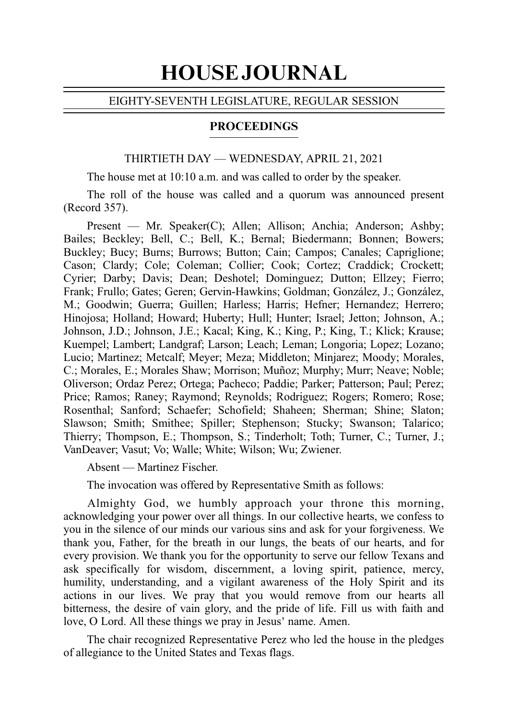# HOUSE JOURNAL

#### EIGHTY-SEVENTH LEGISLATURE, REGULAR SESSION

#### PROCEEDINGS

### THIRTIETH DAY — WEDNESDAY, APRIL 21, 2021

The house met at 10:10 a.m. and was called to order by the speaker.

The roll of the house was called and a quorum was announced present (Record 357).

Present — Mr. Speaker(C); Allen; Allison; Anchia; Anderson; Ashby; Bailes; Beckley; Bell, C.; Bell, K.; Bernal; Biedermann; Bonnen; Bowers; Buckley; Bucy; Burns; Burrows; Button; Cain; Campos; Canales; Capriglione; Cason; Clardy; Cole; Coleman; Collier; Cook; Cortez; Craddick; Crockett; Cyrier; Darby; Davis; Dean; Deshotel; Dominguez; Dutton; Ellzey; Fierro; Frank; Frullo; Gates; Geren; Gervin-Hawkins; Goldman; González, J.; González, M.; Goodwin; Guerra; Guillen; Harless; Harris; Hefner; Hernandez; Herrero; Hinojosa; Holland; Howard; Huberty; Hull; Hunter; Israel; Jetton; Johnson, A.; Johnson, J.D.; Johnson, J.E.; Kacal; King, K.; King, P.; King, T.; Klick; Krause; Kuempel; Lambert; Landgraf; Larson; Leach; Leman; Longoria; Lopez; Lozano; Lucio; Martinez; Metcalf; Meyer; Meza; Middleton; Minjarez; Moody; Morales, C.; Morales, E.; Morales Shaw; Morrison; Muñoz; Murphy; Murr; Neave; Noble; Oliverson; Ordaz Perez; Ortega; Pacheco; Paddie; Parker; Patterson; Paul; Perez; Price; Ramos; Raney; Raymond; Reynolds; Rodriguez; Rogers; Romero; Rose; Rosenthal; Sanford; Schaefer; Schofield; Shaheen; Sherman; Shine; Slaton; Slawson; Smith; Smithee; Spiller; Stephenson; Stucky; Swanson; Talarico; Thierry; Thompson, E.; Thompson, S.; Tinderholt; Toth; Turner, C.; Turner, J.; VanDeaver; Vasut; Vo; Walle; White; Wilson; Wu; Zwiener.

Absent — Martinez Fischer.

The invocation was offered by Representative Smith as follows:

Almighty God, we humbly approach your throne this morning, acknowledging your power over all things. In our collective hearts, we confess to you in the silence of our minds our various sins and ask for your forgiveness. We thank you, Father, for the breath in our lungs, the beats of our hearts, and for every provision. We thank you for the opportunity to serve our fellow Texans and ask specifically for wisdom, discernment, a loving spirit, patience, mercy, humility, understanding, and a vigilant awareness of the Holy Spirit and its actions in our lives. We pray that you would remove from our hearts all bitterness, the desire of vain glory, and the pride of life. Fill us with faith and love, O Lord. All these things we pray in Jesus' name. Amen.

The chair recognized Representative Perez who led the house in the pledges of allegiance to the United States and Texas flags.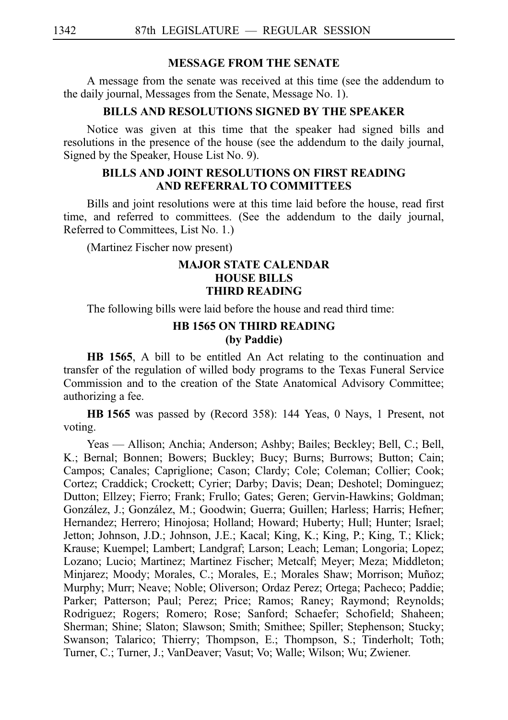#### **MESSAGE FROM THE SENATE**

A message from the senate was received at this time (see the addendum to the daily journal, Messages from the Senate, Message No. 1).

## **BILLS AND RESOLUTIONS SIGNED BY THE SPEAKER**

Notice was given at this time that the speaker had signed bills and resolutions in the presence of the house (see the addendum to the daily journal, Signed by the Speaker, House List No. 9).

## **BILLS AND JOINT RESOLUTIONS ON FIRST READING AND REFERRAL TO COMMITTEES**

Bills and joint resolutions were at this time laid before the house, read first time, and referred to committees. (See the addendum to the daily journal, Referred to Committees, List No. 1.)

(Martinez Fischer now present)

#### **MAJOR STATE CALENDAR HOUSE BILLS THIRD READING**

The following bills were laid before the house and read third time:

#### **HB 1565 ON THIRD READING (by Paddie)**

**HB 1565**, A bill to be entitled An Act relating to the continuation and transfer of the regulation of willed body programs to the Texas Funeral Service Commission and to the creation of the State Anatomical Advisory Committee; authorizing a fee.

**HBi1565** was passed by (Record 358): 144 Yeas, 0 Nays, 1 Present, not voting.

Yeas — Allison; Anchia; Anderson; Ashby; Bailes; Beckley; Bell, C.; Bell, K.; Bernal; Bonnen; Bowers; Buckley; Bucy; Burns; Burrows; Button; Cain; Campos; Canales; Capriglione; Cason; Clardy; Cole; Coleman; Collier; Cook; Cortez; Craddick; Crockett; Cyrier; Darby; Davis; Dean; Deshotel; Dominguez; Dutton; Ellzey; Fierro; Frank; Frullo; Gates; Geren; Gervin-Hawkins; Goldman; González, J.; González, M.; Goodwin; Guerra; Guillen; Harless; Harris; Hefner; Hernandez; Herrero; Hinojosa; Holland; Howard; Huberty; Hull; Hunter; Israel; Jetton; Johnson, J.D.; Johnson, J.E.; Kacal; King, K.; King, P.; King, T.; Klick; Krause; Kuempel; Lambert; Landgraf; Larson; Leach; Leman; Longoria; Lopez; Lozano; Lucio; Martinez; Martinez Fischer; Metcalf; Meyer; Meza; Middleton; Minjarez; Moody; Morales, C.; Morales, E.; Morales Shaw; Morrison; Muñoz; Murphy; Murr; Neave; Noble; Oliverson; Ordaz Perez; Ortega; Pacheco; Paddie; Parker; Patterson; Paul; Perez; Price; Ramos; Raney; Raymond; Reynolds; Rodriguez; Rogers; Romero; Rose; Sanford; Schaefer; Schofield; Shaheen; Sherman; Shine; Slaton; Slawson; Smith; Smithee; Spiller; Stephenson; Stucky; Swanson; Talarico; Thierry; Thompson, E.; Thompson, S.; Tinderholt; Toth; Turner, C.; Turner, J.; VanDeaver; Vasut; Vo; Walle; Wilson; Wu; Zwiener.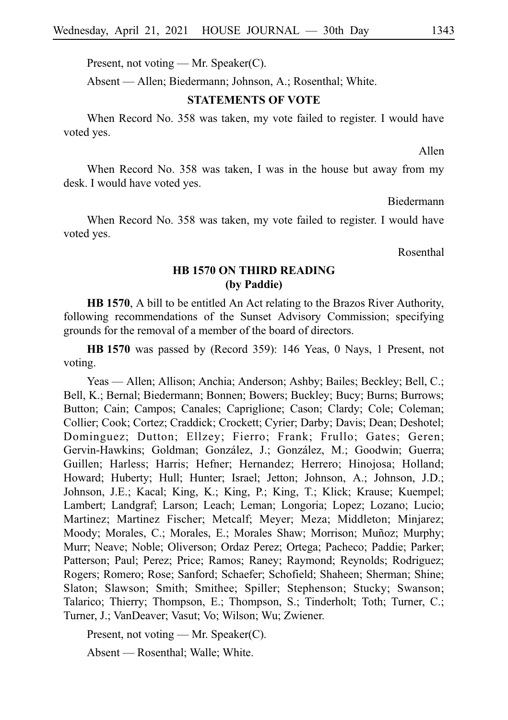Present, not voting — Mr. Speaker(C).

Absent — Allen; Biedermann; Johnson, A.; Rosenthal; White.

#### **STATEMENTS OF VOTE**

When Record No. 358 was taken, my vote failed to register. I would have voted yes.

Allen

When Record No. 358 was taken, I was in the house but away from my desk. I would have voted yes.

Biedermann

When Record No. 358 was taken, my vote failed to register. I would have voted yes.

Rosenthal

### **HB 1570 ON THIRD READING (by Paddie)**

**HB 1570**, A bill to be entitled An Act relating to the Brazos River Authority, following recommendations of the Sunset Advisory Commission; specifying grounds for the removal of a member of the board of directors.

**HBi1570** was passed by (Record 359): 146 Yeas, 0 Nays, 1 Present, not voting.

Yeas — Allen; Allison; Anchia; Anderson; Ashby; Bailes; Beckley; Bell, C.; Bell, K.; Bernal; Biedermann; Bonnen; Bowers; Buckley; Bucy; Burns; Burrows; Button; Cain; Campos; Canales; Capriglione; Cason; Clardy; Cole; Coleman; Collier; Cook; Cortez; Craddick; Crockett; Cyrier; Darby; Davis; Dean; Deshotel; Dominguez; Dutton; Ellzey; Fierro; Frank; Frullo; Gates; Geren; Gervin-Hawkins; Goldman; González, J.; González, M.; Goodwin; Guerra; Guillen; Harless; Harris; Hefner; Hernandez; Herrero; Hinojosa; Holland; Howard; Huberty; Hull; Hunter; Israel; Jetton; Johnson, A.; Johnson, J.D.; Johnson, J.E.; Kacal; King, K.; King, P.; King, T.; Klick; Krause; Kuempel; Lambert; Landgraf; Larson; Leach; Leman; Longoria; Lopez; Lozano; Lucio; Martinez; Martinez Fischer; Metcalf; Meyer; Meza; Middleton; Minjarez; Moody; Morales, C.; Morales, E.; Morales Shaw; Morrison; Muñoz; Murphy; Murr; Neave; Noble; Oliverson; Ordaz Perez; Ortega; Pacheco; Paddie; Parker; Patterson; Paul; Perez; Price; Ramos; Raney; Raymond; Reynolds; Rodriguez; Rogers; Romero; Rose; Sanford; Schaefer; Schofield; Shaheen; Sherman; Shine; Slaton; Slawson; Smith; Smithee; Spiller; Stephenson; Stucky; Swanson; Talarico; Thierry; Thompson, E.; Thompson, S.; Tinderholt; Toth; Turner, C.; Turner, J.; VanDeaver; Vasut; Vo; Wilson; Wu; Zwiener.

Present, not voting — Mr. Speaker(C).

Absent — Rosenthal; Walle; White.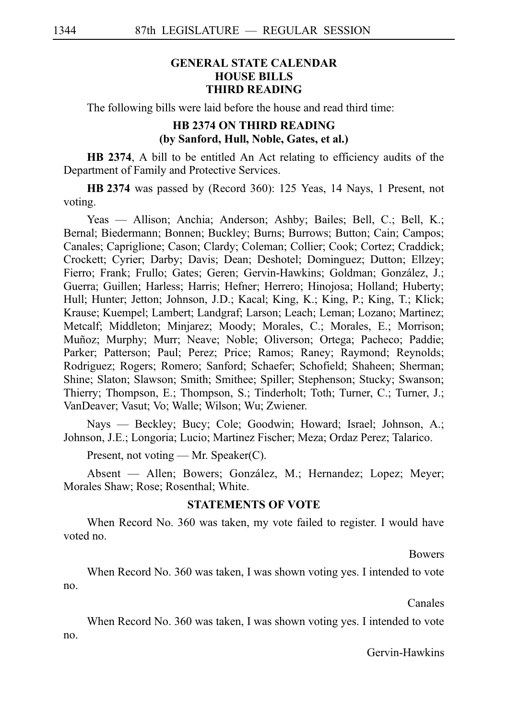## **GENERAL STATE CALENDAR HOUSE BILLS THIRD READING**

The following bills were laid before the house and read third time:

#### **HB 2374 ON THIRD READING (by Sanford, Hull, Noble, Gates, et al.)**

**HB 2374**, A bill to be entitled An Act relating to efficiency audits of the Department of Family and Protective Services.

**HB 2374** was passed by (Record 360): 125 Yeas, 14 Nays, 1 Present, not voting.

Yeas — Allison; Anchia; Anderson; Ashby; Bailes; Bell, C.; Bell, K.; Bernal; Biedermann; Bonnen; Buckley; Burns; Burrows; Button; Cain; Campos; Canales; Capriglione; Cason; Clardy; Coleman; Collier; Cook; Cortez; Craddick; Crockett; Cyrier; Darby; Davis; Dean; Deshotel; Dominguez; Dutton; Ellzey; Fierro; Frank; Frullo; Gates; Geren; Gervin-Hawkins; Goldman; González, J.; Guerra; Guillen; Harless; Harris; Hefner; Herrero; Hinojosa; Holland; Huberty; Hull; Hunter; Jetton; Johnson, J.D.; Kacal; King, K.; King, P.; King, T.; Klick; Krause; Kuempel; Lambert; Landgraf; Larson; Leach; Leman; Lozano; Martinez; Metcalf; Middleton; Minjarez; Moody; Morales, C.; Morales, E.; Morrison; Muñoz; Murphy; Murr; Neave; Noble; Oliverson; Ortega; Pacheco; Paddie; Parker; Patterson; Paul; Perez; Price; Ramos; Raney; Raymond; Reynolds; Rodriguez; Rogers; Romero; Sanford; Schaefer; Schofield; Shaheen; Sherman; Shine; Slaton; Slawson; Smith; Smithee; Spiller; Stephenson; Stucky; Swanson; Thierry; Thompson, E.; Thompson, S.; Tinderholt; Toth; Turner, C.; Turner, J.; VanDeaver; Vasut; Vo; Walle; Wilson; Wu; Zwiener.

Nays — Beckley; Bucy; Cole; Goodwin; Howard; Israel; Johnson, A.; Johnson, J.E.; Longoria; Lucio; Martinez Fischer; Meza; Ordaz Perez; Talarico.

Present, not voting — Mr. Speaker(C).

Absent — Allen; Bowers; González, M.; Hernandez; Lopez; Meyer; Morales Shaw; Rose; Rosenthal; White.

#### **STATEMENTS OF VOTE**

When Record No. 360 was taken, my vote failed to register. I would have voted no.

Bowers

When Record No. 360 was taken, I was shown voting yes. I intended to vote no.

Canales

When Record No. 360 was taken, I was shown voting yes. I intended to vote no.

Gervin-Hawkins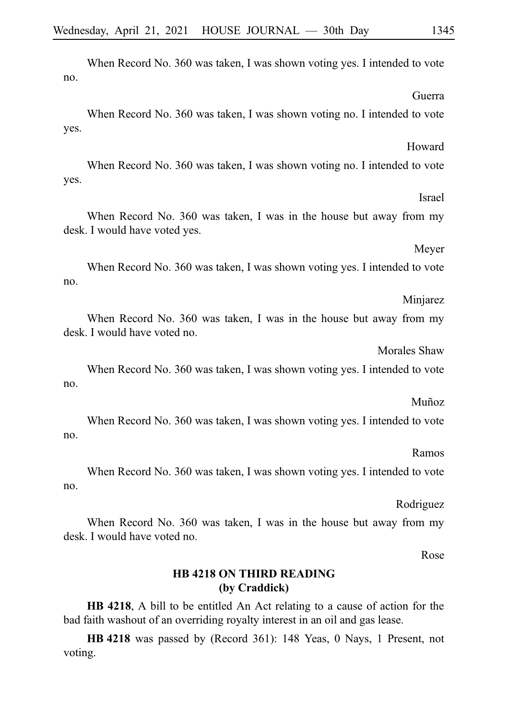When Record No. 360 was taken, I was shown voting yes. I intended to vote no. Guerra When Record No. 360 was taken, I was shown voting no. I intended to vote yes. Howard When Record No. 360 was taken, I was shown voting no. I intended to vote yes. Israel When Record No. 360 was taken, I was in the house but away from my desk. I would have voted yes. Meyer When Record No. 360 was taken, I was shown voting yes. I intended to vote no. Minjarez When Record No. 360 was taken, I was in the house but away from my desk. I would have voted no. Morales Shaw When Record No. 360 was taken, I was shown voting yes. I intended to vote no. Muñoz When Record No. 360 was taken, I was shown voting yes. I intended to vote no.

Ramos

When Record No. 360 was taken, I was shown voting yes. I intended to vote no.

Rodriguez

When Record No. 360 was taken, I was in the house but away from my desk. I would have voted no.

Rose

### **HB 4218 ON THIRD READING (by Craddick)**

**HB 4218**, A bill to be entitled An Act relating to a cause of action for the bad faith washout of an overriding royalty interest in an oil and gas lease.

**HB** 4218 was passed by (Record 361): 148 Yeas, 0 Nays, 1 Present, not voting.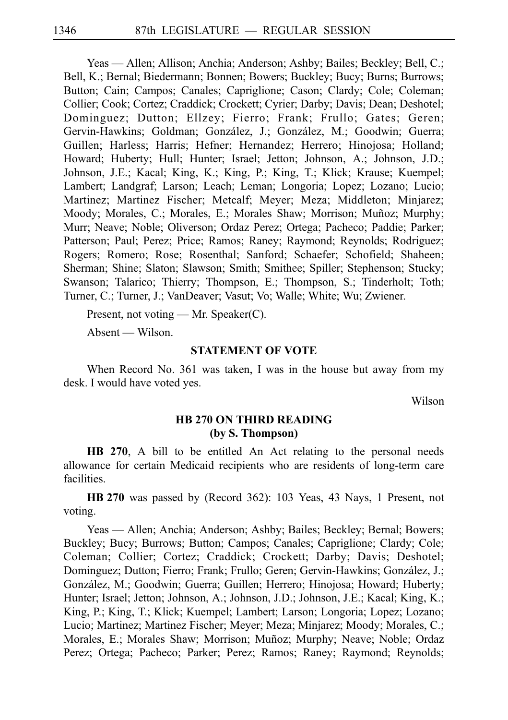Yeas — Allen; Allison; Anchia; Anderson; Ashby; Bailes; Beckley; Bell, C.; Bell, K.; Bernal; Biedermann; Bonnen; Bowers; Buckley; Bucy; Burns; Burrows; Button; Cain; Campos; Canales; Capriglione; Cason; Clardy; Cole; Coleman; Collier; Cook; Cortez; Craddick; Crockett; Cyrier; Darby; Davis; Dean; Deshotel; Dominguez; Dutton; Ellzey; Fierro; Frank; Frullo; Gates; Geren; Gervin-Hawkins; Goldman; González, J.; González, M.; Goodwin; Guerra; Guillen; Harless; Harris; Hefner; Hernandez; Herrero; Hinojosa; Holland; Howard; Huberty; Hull; Hunter; Israel; Jetton; Johnson, A.; Johnson, J.D.; Johnson, J.E.; Kacal; King, K.; King, P.; King, T.; Klick; Krause; Kuempel; Lambert; Landgraf; Larson; Leach; Leman; Longoria; Lopez; Lozano; Lucio; Martinez; Martinez Fischer; Metcalf; Meyer; Meza; Middleton; Minjarez; Moody; Morales, C.; Morales, E.; Morales Shaw; Morrison; Muñoz; Murphy; Murr; Neave; Noble; Oliverson; Ordaz Perez; Ortega; Pacheco; Paddie; Parker; Patterson; Paul; Perez; Price; Ramos; Raney; Raymond; Reynolds; Rodriguez; Rogers; Romero; Rose; Rosenthal; Sanford; Schaefer; Schofield; Shaheen; Sherman; Shine; Slaton; Slawson; Smith; Smithee; Spiller; Stephenson; Stucky; Swanson; Talarico; Thierry; Thompson, E.; Thompson, S.; Tinderholt; Toth; Turner, C.; Turner, J.; VanDeaver; Vasut; Vo; Walle; White; Wu; Zwiener.

Present, not voting — Mr. Speaker(C).

Absent — Wilson.

#### **STATEMENT OF VOTE**

When Record No. 361 was taken, I was in the house but away from my desk. I would have voted yes.

Wilson

#### **HB 270 ON THIRD READING (by S. Thompson)**

**HB 270**, A bill to be entitled An Act relating to the personal needs allowance for certain Medicaid recipients who are residents of long-term care facilities.

**HB** 270 was passed by (Record 362): 103 Yeas, 43 Nays, 1 Present, not voting.

Yeas — Allen; Anchia; Anderson; Ashby; Bailes; Beckley; Bernal; Bowers; Buckley; Bucy; Burrows; Button; Campos; Canales; Capriglione; Clardy; Cole; Coleman; Collier; Cortez; Craddick; Crockett; Darby; Davis; Deshotel; Dominguez; Dutton; Fierro; Frank; Frullo; Geren; Gervin-Hawkins; González, J.; González, M.; Goodwin; Guerra; Guillen; Herrero; Hinojosa; Howard; Huberty; Hunter; Israel; Jetton; Johnson, A.; Johnson, J.D.; Johnson, J.E.; Kacal; King, K.; King, P.; King, T.; Klick; Kuempel; Lambert; Larson; Longoria; Lopez; Lozano; Lucio; Martinez; Martinez Fischer; Meyer; Meza; Minjarez; Moody; Morales, C.; Morales, E.; Morales Shaw; Morrison; Muñoz; Murphy; Neave; Noble; Ordaz Perez; Ortega; Pacheco; Parker; Perez; Ramos; Raney; Raymond; Reynolds;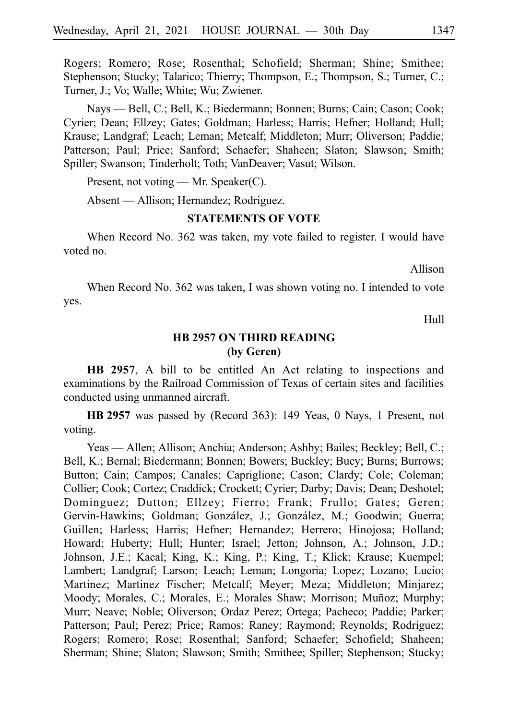Rogers; Romero; Rose; Rosenthal; Schofield; Sherman; Shine; Smithee; Stephenson; Stucky; Talarico; Thierry; Thompson, E.; Thompson, S.; Turner, C.; Turner, J.; Vo; Walle; White; Wu; Zwiener.

Nays — Bell, C.; Bell, K.; Biedermann; Bonnen; Burns; Cain; Cason; Cook; Cyrier; Dean; Ellzey; Gates; Goldman; Harless; Harris; Hefner; Holland; Hull; Krause; Landgraf; Leach; Leman; Metcalf; Middleton; Murr; Oliverson; Paddie; Patterson; Paul; Price; Sanford; Schaefer; Shaheen; Slaton; Slawson; Smith; Spiller; Swanson; Tinderholt; Toth; VanDeaver; Vasut; Wilson.

Present, not voting — Mr. Speaker(C).

Absent — Allison; Hernandez; Rodriguez.

#### **STATEMENTS OF VOTE**

When Record No. 362 was taken, my vote failed to register. I would have voted no.

Allison

When Record No. 362 was taken, I was shown voting no. I intended to vote yes.

Hull

## **HB 2957 ON THIRD READING (by Geren)**

**HB 2957**, A bill to be entitled An Act relating to inspections and examinations by the Railroad Commission of Texas of certain sites and facilities conducted using unmanned aircraft.

**HB** 2957 was passed by (Record 363): 149 Yeas, 0 Nays, 1 Present, not voting.

Yeas — Allen; Allison; Anchia; Anderson; Ashby; Bailes; Beckley; Bell, C.; Bell, K.; Bernal; Biedermann; Bonnen; Bowers; Buckley; Bucy; Burns; Burrows; Button; Cain; Campos; Canales; Capriglione; Cason; Clardy; Cole; Coleman; Collier; Cook; Cortez; Craddick; Crockett; Cyrier; Darby; Davis; Dean; Deshotel; Dominguez; Dutton; Ellzey; Fierro; Frank; Frullo; Gates; Geren; Gervin-Hawkins; Goldman; González, J.; González, M.; Goodwin; Guerra; Guillen; Harless; Harris; Hefner; Hernandez; Herrero; Hinojosa; Holland; Howard; Huberty; Hull; Hunter; Israel; Jetton; Johnson, A.; Johnson, J.D.; Johnson, J.E.; Kacal; King, K.; King, P.; King, T.; Klick; Krause; Kuempel; Lambert; Landgraf; Larson; Leach; Leman; Longoria; Lopez; Lozano; Lucio; Martinez; Martinez Fischer; Metcalf; Meyer; Meza; Middleton; Minjarez; Moody; Morales, C.; Morales, E.; Morales Shaw; Morrison; Muñoz; Murphy; Murr; Neave; Noble; Oliverson; Ordaz Perez; Ortega; Pacheco; Paddie; Parker; Patterson; Paul; Perez; Price; Ramos; Raney; Raymond; Reynolds; Rodriguez; Rogers; Romero; Rose; Rosenthal; Sanford; Schaefer; Schofield; Shaheen; Sherman; Shine; Slaton; Slawson; Smith; Smithee; Spiller; Stephenson; Stucky;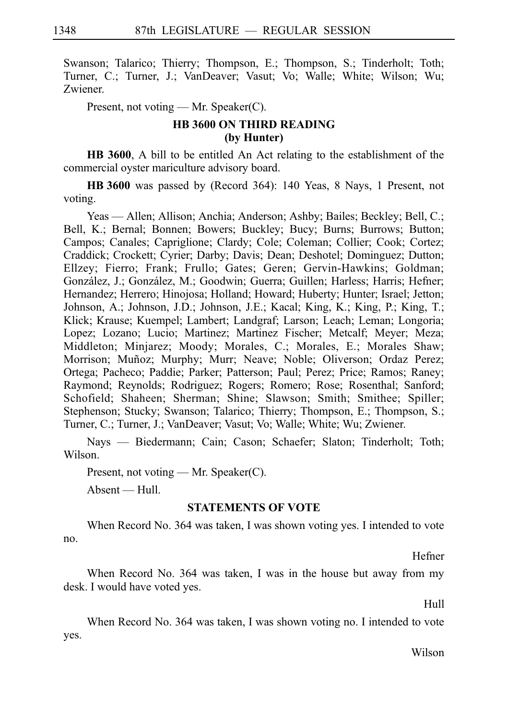Swanson; Talarico; Thierry; Thompson, E.; Thompson, S.; Tinderholt; Toth; Turner, C.; Turner, J.; VanDeaver; Vasut; Vo; Walle; White; Wilson; Wu; Zwiener.

Present, not voting — Mr. Speaker(C).

## **HB 3600 ON THIRD READING (by Hunter)**

**HB 3600**, A bill to be entitled An Act relating to the establishment of the commercial oyster mariculture advisory board.

**HB** 3600 was passed by (Record 364): 140 Yeas, 8 Nays, 1 Present, not voting.

Yeas — Allen; Allison; Anchia; Anderson; Ashby; Bailes; Beckley; Bell, C.; Bell, K.; Bernal; Bonnen; Bowers; Buckley; Bucy; Burns; Burrows; Button; Campos; Canales; Capriglione; Clardy; Cole; Coleman; Collier; Cook; Cortez; Craddick; Crockett; Cyrier; Darby; Davis; Dean; Deshotel; Dominguez; Dutton; Ellzey; Fierro; Frank; Frullo; Gates; Geren; Gervin-Hawkins; Goldman; González, J.; González, M.; Goodwin; Guerra; Guillen; Harless; Harris; Hefner; Hernandez; Herrero; Hinojosa; Holland; Howard; Huberty; Hunter; Israel; Jetton; Johnson, A.; Johnson, J.D.; Johnson, J.E.; Kacal; King, K.; King, P.; King, T.; Klick; Krause; Kuempel; Lambert; Landgraf; Larson; Leach; Leman; Longoria; Lopez; Lozano; Lucio; Martinez; Martinez Fischer; Metcalf; Meyer; Meza; Middleton; Minjarez; Moody; Morales, C.; Morales, E.; Morales Shaw; Morrison; Muñoz; Murphy; Murr; Neave; Noble; Oliverson; Ordaz Perez; Ortega; Pacheco; Paddie; Parker; Patterson; Paul; Perez; Price; Ramos; Raney; Raymond; Reynolds; Rodriguez; Rogers; Romero; Rose; Rosenthal; Sanford; Schofield; Shaheen; Sherman; Shine; Slawson; Smith; Smithee; Spiller; Stephenson; Stucky; Swanson; Talarico; Thierry; Thompson, E.; Thompson, S.; Turner, C.; Turner, J.; VanDeaver; Vasut; Vo; Walle; White; Wu; Zwiener.

Nays — Biedermann; Cain; Cason; Schaefer; Slaton; Tinderholt; Toth; Wilson.

Present, not voting — Mr. Speaker(C).

Absent — Hull.

#### **STATEMENTS OF VOTE**

When Record No. 364 was taken, I was shown voting yes. I intended to vote no.

Hefner

When Record No. 364 was taken, I was in the house but away from my desk. I would have voted yes.

Hull

When Record No. 364 was taken, I was shown voting no. I intended to vote yes.

Wilson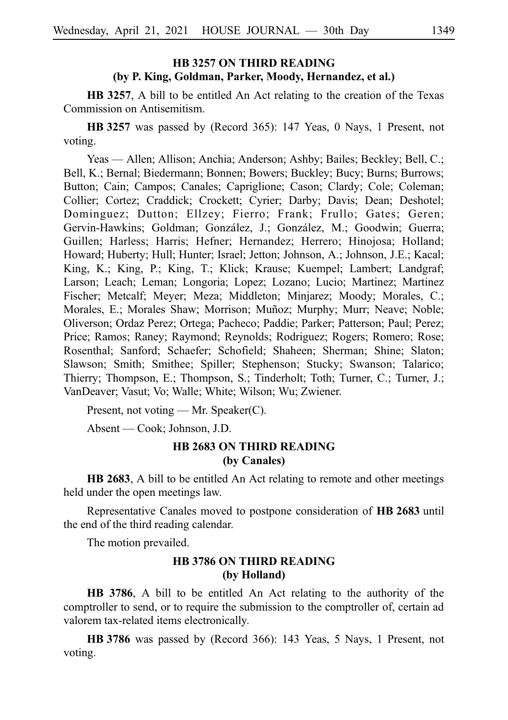### **HB 3257 ON THIRD READING (by P. King, Goldman, Parker, Moody, Hernandez, et al.)**

**HB 3257**, A bill to be entitled An Act relating to the creation of the Texas Commission on Antisemitism.

**HB** 3257 was passed by (Record 365): 147 Yeas, 0 Nays, 1 Present, not voting.

Yeas — Allen; Allison; Anchia; Anderson; Ashby; Bailes; Beckley; Bell, C.; Bell, K.; Bernal; Biedermann; Bonnen; Bowers; Buckley; Bucy; Burns; Burrows; Button; Cain; Campos; Canales; Capriglione; Cason; Clardy; Cole; Coleman; Collier; Cortez; Craddick; Crockett; Cyrier; Darby; Davis; Dean; Deshotel; Dominguez; Dutton; Ellzey; Fierro; Frank; Frullo; Gates; Geren; Gervin-Hawkins; Goldman; González, J.; González, M.; Goodwin; Guerra; Guillen; Harless; Harris; Hefner; Hernandez; Herrero; Hinojosa; Holland; Howard; Huberty; Hull; Hunter; Israel; Jetton; Johnson, A.; Johnson, J.E.; Kacal; King, K.; King, P.; King, T.; Klick; Krause; Kuempel; Lambert; Landgraf; Larson; Leach; Leman; Longoria; Lopez; Lozano; Lucio; Martinez; Martinez Fischer; Metcalf; Meyer; Meza; Middleton; Minjarez; Moody; Morales, C.; Morales, E.; Morales Shaw; Morrison; Muñoz; Murphy; Murr; Neave; Noble; Oliverson; Ordaz Perez; Ortega; Pacheco; Paddie; Parker; Patterson; Paul; Perez; Price; Ramos; Raney; Raymond; Reynolds; Rodriguez; Rogers; Romero; Rose; Rosenthal; Sanford; Schaefer; Schofield; Shaheen; Sherman; Shine; Slaton; Slawson; Smith; Smithee; Spiller; Stephenson; Stucky; Swanson; Talarico; Thierry; Thompson, E.; Thompson, S.; Tinderholt; Toth; Turner, C.; Turner, J.; VanDeaver; Vasut; Vo; Walle; White; Wilson; Wu; Zwiener.

Present, not voting — Mr. Speaker(C).

Absent — Cook; Johnson, J.D.

## **HB 2683 ON THIRD READING (by Canales)**

**HB 2683**, A bill to be entitled An Act relating to remote and other meetings held under the open meetings law.

Representative Canales moved to postpone consideration of **HB 2683** until the end of the third reading calendar.

The motion prevailed.

## **HB 3786 ON THIRD READING (by Holland)**

**HB 3786**, A bill to be entitled An Act relating to the authority of the comptroller to send, or to require the submission to the comptroller of, certain ad valorem tax-related items electronically.

**HB** 3786 was passed by (Record 366): 143 Yeas, 5 Nays, 1 Present, not voting.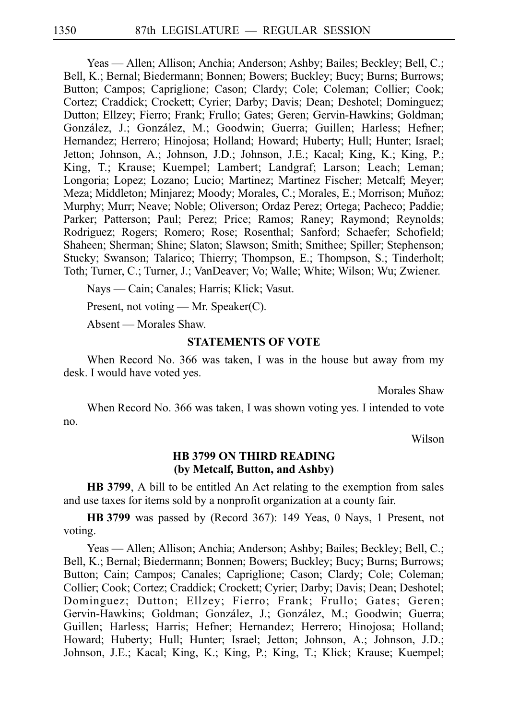Yeas — Allen; Allison; Anchia; Anderson; Ashby; Bailes; Beckley; Bell, C.; Bell, K.; Bernal; Biedermann; Bonnen; Bowers; Buckley; Bucy; Burns; Burrows; Button; Campos; Capriglione; Cason; Clardy; Cole; Coleman; Collier; Cook; Cortez; Craddick; Crockett; Cyrier; Darby; Davis; Dean; Deshotel; Dominguez; Dutton; Ellzey; Fierro; Frank; Frullo; Gates; Geren; Gervin-Hawkins; Goldman; González, J.; González, M.; Goodwin; Guerra; Guillen; Harless; Hefner; Hernandez; Herrero; Hinojosa; Holland; Howard; Huberty; Hull; Hunter; Israel; Jetton; Johnson, A.; Johnson, J.D.; Johnson, J.E.; Kacal; King, K.; King, P.; King, T.; Krause; Kuempel; Lambert; Landgraf; Larson; Leach; Leman; Longoria; Lopez; Lozano; Lucio; Martinez; Martinez Fischer; Metcalf; Meyer; Meza; Middleton; Minjarez; Moody; Morales, C.; Morales, E.; Morrison; Muñoz; Murphy; Murr; Neave; Noble; Oliverson; Ordaz Perez; Ortega; Pacheco; Paddie; Parker; Patterson; Paul; Perez; Price; Ramos; Raney; Raymond; Reynolds; Rodriguez; Rogers; Romero; Rose; Rosenthal; Sanford; Schaefer; Schofield; Shaheen; Sherman; Shine; Slaton; Slawson; Smith; Smithee; Spiller; Stephenson; Stucky; Swanson; Talarico; Thierry; Thompson, E.; Thompson, S.; Tinderholt; Toth; Turner, C.; Turner, J.; VanDeaver; Vo; Walle; White; Wilson; Wu; Zwiener.

Nays — Cain; Canales; Harris; Klick; Vasut.

Present, not voting — Mr. Speaker(C).

Absent — Morales Shaw.

#### **STATEMENTS OF VOTE**

When Record No. 366 was taken, I was in the house but away from my desk. I would have voted yes.

Morales Shaw

When Record No. 366 was taken, I was shown voting yes. I intended to vote no.

Wilson

#### **HB 3799 ON THIRD READING (by Metcalf, Button, and Ashby)**

**HB 3799**, A bill to be entitled An Act relating to the exemption from sales and use taxes for items sold by a nonprofit organization at a county fair.

**HB** 3799 was passed by (Record 367): 149 Yeas, 0 Nays, 1 Present, not voting.

Yeas — Allen; Allison; Anchia; Anderson; Ashby; Bailes; Beckley; Bell, C.; Bell, K.; Bernal; Biedermann; Bonnen; Bowers; Buckley; Bucy; Burns; Burrows; Button; Cain; Campos; Canales; Capriglione; Cason; Clardy; Cole; Coleman; Collier; Cook; Cortez; Craddick; Crockett; Cyrier; Darby; Davis; Dean; Deshotel; Dominguez; Dutton; Ellzey; Fierro; Frank; Frullo; Gates; Geren; Gervin-Hawkins; Goldman; González, J.; González, M.; Goodwin; Guerra; Guillen; Harless; Harris; Hefner; Hernandez; Herrero; Hinojosa; Holland; Howard; Huberty; Hull; Hunter; Israel; Jetton; Johnson, A.; Johnson, J.D.; Johnson, J.E.; Kacal; King, K.; King, P.; King, T.; Klick; Krause; Kuempel;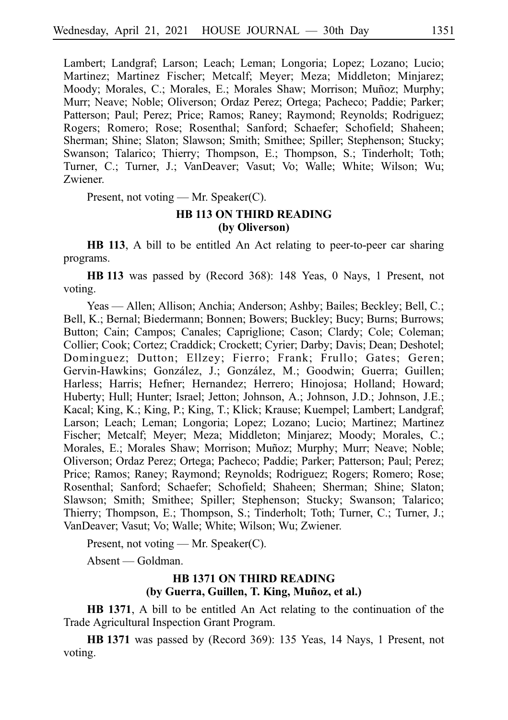Lambert; Landgraf; Larson; Leach; Leman; Longoria; Lopez; Lozano; Lucio; Martinez; Martinez Fischer; Metcalf; Meyer; Meza; Middleton; Minjarez; Moody; Morales, C.; Morales, E.; Morales Shaw; Morrison; Muñoz; Murphy; Murr; Neave; Noble; Oliverson; Ordaz Perez; Ortega; Pacheco; Paddie; Parker; Patterson; Paul; Perez; Price; Ramos; Raney; Raymond; Reynolds; Rodriguez; Rogers; Romero; Rose; Rosenthal; Sanford; Schaefer; Schofield; Shaheen; Sherman; Shine; Slaton; Slawson; Smith; Smithee; Spiller; Stephenson; Stucky; Swanson; Talarico; Thierry; Thompson, E.; Thompson, S.; Tinderholt; Toth; Turner, C.; Turner, J.; VanDeaver; Vasut; Vo; Walle; White; Wilson; Wu; Zwiener.

Present, not voting — Mr. Speaker(C).

## **HB 113 ON THIRD READING (by Oliverson)**

**HB 113**, A bill to be entitled An Act relating to peer-to-peer car sharing programs.

**HBi113** was passed by (Record 368): 148 Yeas, 0 Nays, 1 Present, not voting.

Yeas — Allen; Allison; Anchia; Anderson; Ashby; Bailes; Beckley; Bell, C.; Bell, K.; Bernal; Biedermann; Bonnen; Bowers; Buckley; Bucy; Burns; Burrows; Button; Cain; Campos; Canales; Capriglione; Cason; Clardy; Cole; Coleman; Collier; Cook; Cortez; Craddick; Crockett; Cyrier; Darby; Davis; Dean; Deshotel; Dominguez; Dutton; Ellzey; Fierro; Frank; Frullo; Gates; Geren; Gervin-Hawkins; González, J.; González, M.; Goodwin; Guerra; Guillen; Harless; Harris; Hefner; Hernandez; Herrero; Hinojosa; Holland; Howard; Huberty; Hull; Hunter; Israel; Jetton; Johnson, A.; Johnson, J.D.; Johnson, J.E.; Kacal; King, K.; King, P.; King, T.; Klick; Krause; Kuempel; Lambert; Landgraf; Larson; Leach; Leman; Longoria; Lopez; Lozano; Lucio; Martinez; Martinez Fischer; Metcalf; Meyer; Meza; Middleton; Minjarez; Moody; Morales, C.; Morales, E.; Morales Shaw; Morrison; Muñoz; Murphy; Murr; Neave; Noble; Oliverson; Ordaz Perez; Ortega; Pacheco; Paddie; Parker; Patterson; Paul; Perez; Price; Ramos; Raney; Raymond; Reynolds; Rodriguez; Rogers; Romero; Rose; Rosenthal; Sanford; Schaefer; Schofield; Shaheen; Sherman; Shine; Slaton; Slawson; Smith; Smithee; Spiller; Stephenson; Stucky; Swanson; Talarico; Thierry; Thompson, E.; Thompson, S.; Tinderholt; Toth; Turner, C.; Turner, J.; VanDeaver; Vasut; Vo; Walle; White; Wilson; Wu; Zwiener.

Present, not voting — Mr. Speaker(C).

Absent — Goldman.

## **HB 1371 ON THIRD READING** (by Guerra, Guillen, T. King, Muñoz, et al.)

**HB 1371**, A bill to be entitled An Act relating to the continuation of the Trade Agricultural Inspection Grant Program.

**HBi1371** was passed by (Record 369): 135 Yeas, 14 Nays, 1 Present, not voting.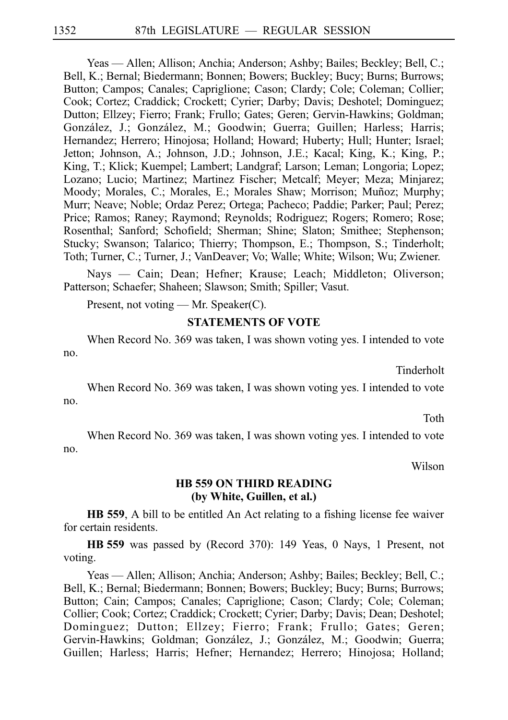Yeas — Allen; Allison; Anchia; Anderson; Ashby; Bailes; Beckley; Bell, C.; Bell, K.; Bernal; Biedermann; Bonnen; Bowers; Buckley; Bucy; Burns; Burrows; Button; Campos; Canales; Capriglione; Cason; Clardy; Cole; Coleman; Collier; Cook; Cortez; Craddick; Crockett; Cyrier; Darby; Davis; Deshotel; Dominguez; Dutton; Ellzey; Fierro; Frank; Frullo; Gates; Geren; Gervin-Hawkins; Goldman; González, J.; González, M.; Goodwin; Guerra; Guillen; Harless; Harris; Hernandez; Herrero; Hinojosa; Holland; Howard; Huberty; Hull; Hunter; Israel; Jetton; Johnson, A.; Johnson, J.D.; Johnson, J.E.; Kacal; King, K.; King, P.; King, T.; Klick; Kuempel; Lambert; Landgraf; Larson; Leman; Longoria; Lopez; Lozano; Lucio; Martinez; Martinez Fischer; Metcalf; Meyer; Meza; Minjarez; Moody; Morales, C.; Morales, E.; Morales Shaw; Morrison; Muñoz; Murphy; Murr; Neave; Noble; Ordaz Perez; Ortega; Pacheco; Paddie; Parker; Paul; Perez; Price; Ramos; Raney; Raymond; Reynolds; Rodriguez; Rogers; Romero; Rose; Rosenthal; Sanford; Schofield; Sherman; Shine; Slaton; Smithee; Stephenson; Stucky; Swanson; Talarico; Thierry; Thompson, E.; Thompson, S.; Tinderholt; Toth; Turner, C.; Turner, J.; VanDeaver; Vo; Walle; White; Wilson; Wu; Zwiener.

Nays — Cain; Dean; Hefner; Krause; Leach; Middleton; Oliverson; Patterson; Schaefer; Shaheen; Slawson; Smith; Spiller; Vasut.

Present, not voting — Mr. Speaker(C).

#### **STATEMENTS OF VOTE**

When Record No. 369 was taken, I was shown voting yes. I intended to vote no.

Tinderholt

When Record No. 369 was taken, I was shown voting yes. I intended to vote no.

Toth

When Record No. 369 was taken, I was shown voting yes. I intended to vote no.

Wilson

#### **HB 559 ON THIRD READING (by White, Guillen, et al.)**

**HB 559**, A bill to be entitled An Act relating to a fishing license fee waiver for certain residents.

**HBi559** was passed by (Record 370): 149 Yeas, 0 Nays, 1 Present, not voting.

Yeas — Allen; Allison; Anchia; Anderson; Ashby; Bailes; Beckley; Bell, C.; Bell, K.; Bernal; Biedermann; Bonnen; Bowers; Buckley; Bucy; Burns; Burrows; Button; Cain; Campos; Canales; Capriglione; Cason; Clardy; Cole; Coleman; Collier; Cook; Cortez; Craddick; Crockett; Cyrier; Darby; Davis; Dean; Deshotel; Dominguez; Dutton; Ellzey; Fierro; Frank; Frullo; Gates; Geren; Gervin-Hawkins; Goldman; González, J.; González, M.; Goodwin; Guerra; Guillen; Harless; Harris; Hefner; Hernandez; Herrero; Hinojosa; Holland;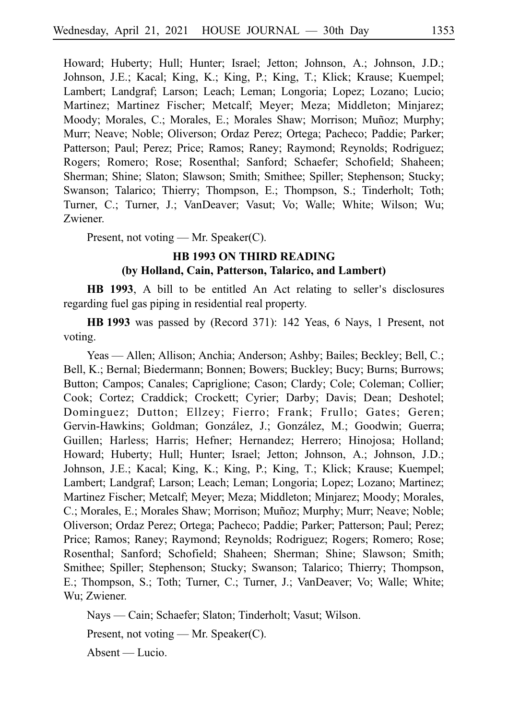Howard; Huberty; Hull; Hunter; Israel; Jetton; Johnson, A.; Johnson, J.D.; Johnson, J.E.; Kacal; King, K.; King, P.; King, T.; Klick; Krause; Kuempel; Lambert; Landgraf; Larson; Leach; Leman; Longoria; Lopez; Lozano; Lucio; Martinez; Martinez Fischer; Metcalf; Meyer; Meza; Middleton; Minjarez; Moody; Morales, C.; Morales, E.; Morales Shaw; Morrison; Muñoz; Murphy; Murr; Neave; Noble; Oliverson; Ordaz Perez; Ortega; Pacheco; Paddie; Parker; Patterson; Paul; Perez; Price; Ramos; Raney; Raymond; Reynolds; Rodriguez; Rogers; Romero; Rose; Rosenthal; Sanford; Schaefer; Schofield; Shaheen; Sherman; Shine; Slaton; Slawson; Smith; Smithee; Spiller; Stephenson; Stucky; Swanson; Talarico; Thierry; Thompson, E.; Thompson, S.; Tinderholt; Toth; Turner, C.; Turner, J.; VanDeaver; Vasut; Vo; Walle; White; Wilson; Wu; Zwiener.

Present, not voting — Mr. Speaker(C).

## **HB 1993 ON THIRD READING (by Holland, Cain, Patterson, Talarico, and Lambert)**

HB 1993, A bill to be entitled An Act relating to seller's disclosures regarding fuel gas piping in residential real property.

**HBi1993** was passed by (Record 371): 142 Yeas, 6 Nays, 1 Present, not voting.

Yeas — Allen; Allison; Anchia; Anderson; Ashby; Bailes; Beckley; Bell, C.; Bell, K.; Bernal; Biedermann; Bonnen; Bowers; Buckley; Bucy; Burns; Burrows; Button; Campos; Canales; Capriglione; Cason; Clardy; Cole; Coleman; Collier; Cook; Cortez; Craddick; Crockett; Cyrier; Darby; Davis; Dean; Deshotel; Dominguez; Dutton; Ellzey; Fierro; Frank; Frullo; Gates; Geren; Gervin-Hawkins; Goldman; González, J.; González, M.; Goodwin; Guerra; Guillen; Harless; Harris; Hefner; Hernandez; Herrero; Hinojosa; Holland; Howard; Huberty; Hull; Hunter; Israel; Jetton; Johnson, A.; Johnson, J.D.; Johnson, J.E.; Kacal; King, K.; King, P.; King, T.; Klick; Krause; Kuempel; Lambert; Landgraf; Larson; Leach; Leman; Longoria; Lopez; Lozano; Martinez; Martinez Fischer; Metcalf; Meyer; Meza; Middleton; Minjarez; Moody; Morales, C.; Morales, E.; Morales Shaw; Morrison; Muñoz; Murphy; Murr; Neave; Noble; Oliverson; Ordaz Perez; Ortega; Pacheco; Paddie; Parker; Patterson; Paul; Perez; Price; Ramos; Raney; Raymond; Reynolds; Rodriguez; Rogers; Romero; Rose; Rosenthal; Sanford; Schofield; Shaheen; Sherman; Shine; Slawson; Smith; Smithee; Spiller; Stephenson; Stucky; Swanson; Talarico; Thierry; Thompson, E.; Thompson, S.; Toth; Turner, C.; Turner, J.; VanDeaver; Vo; Walle; White; Wu; Zwiener.

Nays — Cain; Schaefer; Slaton; Tinderholt; Vasut; Wilson.

Present, not voting — Mr. Speaker(C).

Absent — Lucio.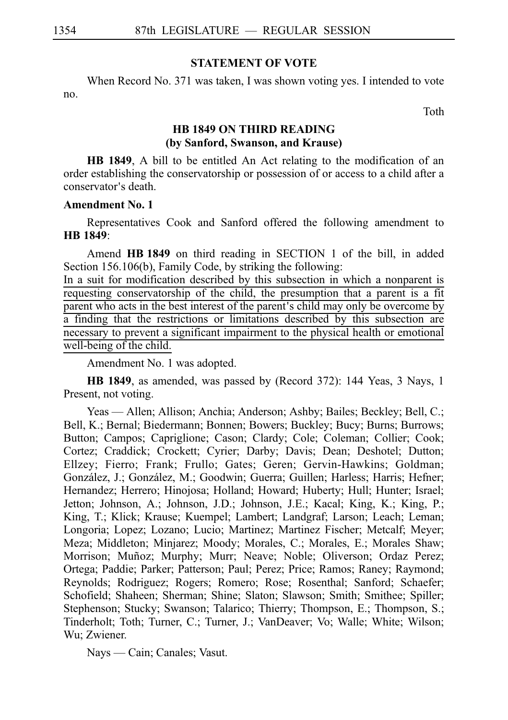#### **STATEMENT OF VOTE**

When Record No. 371 was taken, I was shown voting yes. I intended to vote no.

Toth

## **HB 1849 ON THIRD READING (by Sanford, Swanson, and Krause)**

**HB 1849**, A bill to be entitled An Act relating to the modification of an order establishing the conservatorship or possession of or access to a child after a conservator's death.

#### **Amendment No. 1**

Representatives Cook and Sanford offered the following amendment to **HBi1849**:

Amend **HBi1849** on third reading in SECTION 1 of the bill, in added Section 156.106(b), Family Code, by striking the following:

In a suit for modification described by this subsection in which a nonparent is requesting conservatorship of the child, the presumption that a parent is a fit parent who acts in the best interest of the parent's child may only be overcome by a finding that the restrictions or limitations described by this subsection are necessary to prevent a significant impairment to the physical health or emotional well-being of the child.

Amendment No. 1 was adopted.

**HB 1849**, as amended, was passed by (Record 372): 144 Yeas, 3 Nays, 1 Present, not voting.

Yeas — Allen; Allison; Anchia; Anderson; Ashby; Bailes; Beckley; Bell, C.; Bell, K.; Bernal; Biedermann; Bonnen; Bowers; Buckley; Bucy; Burns; Burrows; Button; Campos; Capriglione; Cason; Clardy; Cole; Coleman; Collier; Cook; Cortez; Craddick; Crockett; Cyrier; Darby; Davis; Dean; Deshotel; Dutton; Ellzey; Fierro; Frank; Frullo; Gates; Geren; Gervin-Hawkins; Goldman; González, J.; González, M.; Goodwin; Guerra; Guillen; Harless; Harris; Hefner; Hernandez; Herrero; Hinojosa; Holland; Howard; Huberty; Hull; Hunter; Israel; Jetton; Johnson, A.; Johnson, J.D.; Johnson, J.E.; Kacal; King, K.; King, P.; King, T.; Klick; Krause; Kuempel; Lambert; Landgraf; Larson; Leach; Leman; Longoria; Lopez; Lozano; Lucio; Martinez; Martinez Fischer; Metcalf; Meyer; Meza; Middleton; Minjarez; Moody; Morales, C.; Morales, E.; Morales Shaw; Morrison; Muñoz; Murphy; Murr; Neave; Noble; Oliverson; Ordaz Perez; Ortega; Paddie; Parker; Patterson; Paul; Perez; Price; Ramos; Raney; Raymond; Reynolds; Rodriguez; Rogers; Romero; Rose; Rosenthal; Sanford; Schaefer; Schofield; Shaheen; Sherman; Shine; Slaton; Slawson; Smith; Smithee; Spiller; Stephenson; Stucky; Swanson; Talarico; Thierry; Thompson, E.; Thompson, S.; Tinderholt; Toth; Turner, C.; Turner, J.; VanDeaver; Vo; Walle; White; Wilson; Wu; Zwiener.

Nays — Cain; Canales; Vasut.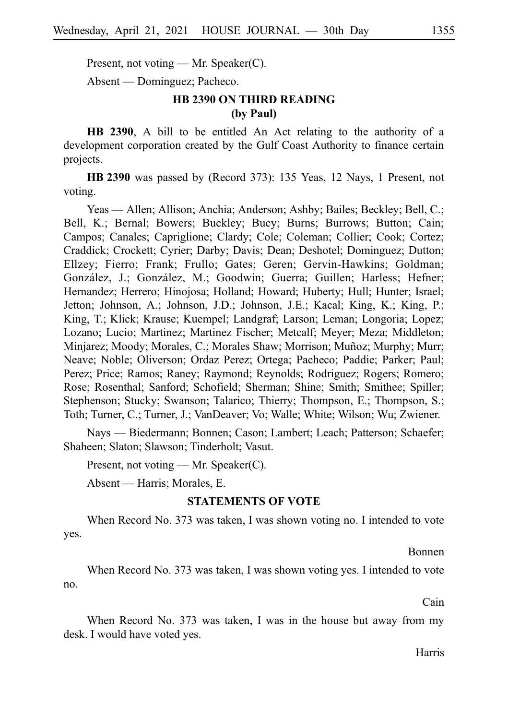Present, not voting — Mr. Speaker(C).

Absent — Dominguez; Pacheco.

## **HB 2390 ON THIRD READING (by Paul)**

**HB 2390**, A bill to be entitled An Act relating to the authority of a development corporation created by the Gulf Coast Authority to finance certain projects.

**HB 2390** was passed by (Record 373): 135 Yeas, 12 Nays, 1 Present, not voting.

Yeas — Allen; Allison; Anchia; Anderson; Ashby; Bailes; Beckley; Bell, C.; Bell, K.; Bernal; Bowers; Buckley; Bucy; Burns; Burrows; Button; Cain; Campos; Canales; Capriglione; Clardy; Cole; Coleman; Collier; Cook; Cortez; Craddick; Crockett; Cyrier; Darby; Davis; Dean; Deshotel; Dominguez; Dutton; Ellzey; Fierro; Frank; Frullo; Gates; Geren; Gervin-Hawkins; Goldman; González, J.; González, M.; Goodwin; Guerra; Guillen; Harless; Hefner; Hernandez; Herrero; Hinojosa; Holland; Howard; Huberty; Hull; Hunter; Israel; Jetton; Johnson, A.; Johnson, J.D.; Johnson, J.E.; Kacal; King, K.; King, P.; King, T.; Klick; Krause; Kuempel; Landgraf; Larson; Leman; Longoria; Lopez; Lozano; Lucio; Martinez; Martinez Fischer; Metcalf; Meyer; Meza; Middleton; Minjarez; Moody; Morales, C.; Morales Shaw; Morrison; Muñoz; Murphy; Murr; Neave; Noble; Oliverson; Ordaz Perez; Ortega; Pacheco; Paddie; Parker; Paul; Perez; Price; Ramos; Raney; Raymond; Reynolds; Rodriguez; Rogers; Romero; Rose; Rosenthal; Sanford; Schofield; Sherman; Shine; Smith; Smithee; Spiller; Stephenson; Stucky; Swanson; Talarico; Thierry; Thompson, E.; Thompson, S.; Toth; Turner, C.; Turner, J.; VanDeaver; Vo; Walle; White; Wilson; Wu; Zwiener.

Nays — Biedermann; Bonnen; Cason; Lambert; Leach; Patterson; Schaefer; Shaheen; Slaton; Slawson; Tinderholt; Vasut.

Present, not voting — Mr. Speaker(C).

Absent — Harris; Morales, E.

#### **STATEMENTS OF VOTE**

When Record No. 373 was taken, I was shown voting no. I intended to vote yes.

Bonnen

When Record No. 373 was taken, I was shown voting yes. I intended to vote no.

Cain

When Record No. 373 was taken, I was in the house but away from my desk. I would have voted yes.

Harris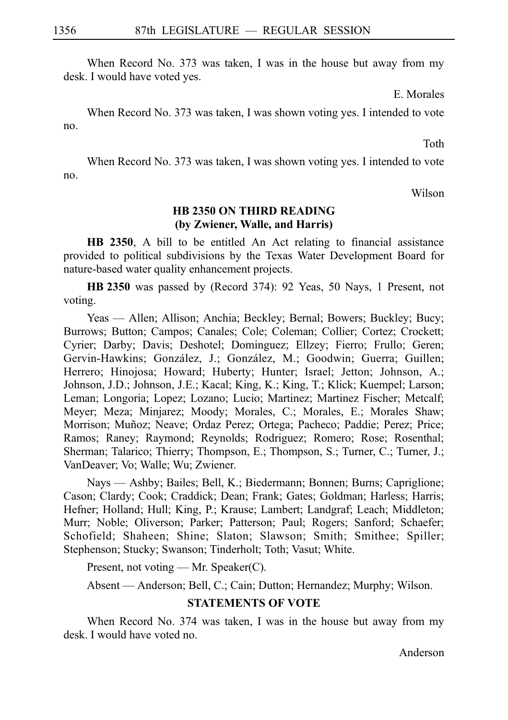When Record No. 373 was taken, I was in the house but away from my desk. I would have voted yes.

E. Morales

When Record No. 373 was taken, I was shown voting yes. I intended to vote no.

Toth

When Record No. 373 was taken, I was shown voting yes. I intended to vote no.

Wilson

## **HB 2350 ON THIRD READING (by Zwiener, Walle, and Harris)**

**HB 2350**, A bill to be entitled An Act relating to financial assistance provided to political subdivisions by the Texas Water Development Board for nature-based water quality enhancement projects.

**HB** 2350 was passed by (Record 374): 92 Yeas, 50 Nays, 1 Present, not voting.

Yeas — Allen; Allison; Anchia; Beckley; Bernal; Bowers; Buckley; Bucy; Burrows; Button; Campos; Canales; Cole; Coleman; Collier; Cortez; Crockett; Cyrier; Darby; Davis; Deshotel; Dominguez; Ellzey; Fierro; Frullo; Geren; Gervin-Hawkins; González, J.; González, M.; Goodwin; Guerra; Guillen; Herrero; Hinojosa; Howard; Huberty; Hunter; Israel; Jetton; Johnson, A.; Johnson, J.D.; Johnson, J.E.; Kacal; King, K.; King, T.; Klick; Kuempel; Larson; Leman; Longoria; Lopez; Lozano; Lucio; Martinez; Martinez Fischer; Metcalf; Meyer; Meza; Minjarez; Moody; Morales, C.; Morales, E.; Morales Shaw; Morrison; Muñoz; Neave; Ordaz Perez; Ortega; Pacheco; Paddie; Perez; Price; Ramos; Raney; Raymond; Reynolds; Rodriguez; Romero; Rose; Rosenthal; Sherman; Talarico; Thierry; Thompson, E.; Thompson, S.; Turner, C.; Turner, J.; VanDeaver; Vo; Walle; Wu; Zwiener.

Nays — Ashby; Bailes; Bell, K.; Biedermann; Bonnen; Burns; Capriglione; Cason; Clardy; Cook; Craddick; Dean; Frank; Gates; Goldman; Harless; Harris; Hefner; Holland; Hull; King, P.; Krause; Lambert; Landgraf; Leach; Middleton; Murr; Noble; Oliverson; Parker; Patterson; Paul; Rogers; Sanford; Schaefer; Schofield; Shaheen; Shine; Slaton; Slawson; Smith; Smithee; Spiller; Stephenson; Stucky; Swanson; Tinderholt; Toth; Vasut; White.

Present, not voting — Mr. Speaker(C).

Absent — Anderson; Bell, C.; Cain; Dutton; Hernandez; Murphy; Wilson.

## **STATEMENTS OF VOTE**

When Record No. 374 was taken, I was in the house but away from my desk. I would have voted no.

Anderson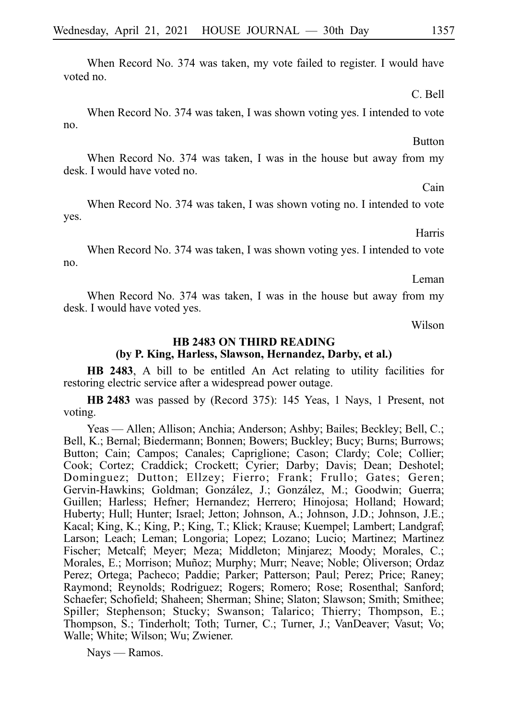When Record No. 374 was taken, my vote failed to register. I would have voted no.

When Record No. 374 was taken, I was shown voting yes. I intended to vote

no.

When Record No. 374 was taken, I was in the house but away from my desk. I would have voted no.

When Record No. 374 was taken, I was shown voting no. I intended to vote yes.

When Record No. 374 was taken, I was shown voting yes. I intended to vote no.

When Record No. 374 was taken, I was in the house but away from my desk. I would have voted yes.

Wilson

#### **HB 2483 ON THIRD READING (by P. King, Harless, Slawson, Hernandez, Darby, et al.)**

**HB 2483**, A bill to be entitled An Act relating to utility facilities for restoring electric service after a widespread power outage.

**HB 2483** was passed by (Record 375): 145 Yeas, 1 Nays, 1 Present, not voting.

Yeas — Allen; Allison; Anchia; Anderson; Ashby; Bailes; Beckley; Bell, C.; Bell, K.; Bernal; Biedermann; Bonnen; Bowers; Buckley; Bucy; Burns; Burrows; Button; Cain; Campos; Canales; Capriglione; Cason; Clardy; Cole; Collier; Cook; Cortez; Craddick; Crockett; Cyrier; Darby; Davis; Dean; Deshotel; Dominguez; Dutton; Ellzey; Fierro; Frank; Frullo; Gates; Geren; Gervin-Hawkins; Goldman; González, J.; González, M.; Goodwin; Guerra; Guillen; Harless; Hefner; Hernandez; Herrero; Hinojosa; Holland; Howard; Huberty; Hull; Hunter; Israel; Jetton; Johnson, A.; Johnson, J.D.; Johnson, J.E.; Kacal; King, K.; King, P.; King, T.; Klick; Krause; Kuempel; Lambert; Landgraf; Larson; Leach; Leman; Longoria; Lopez; Lozano; Lucio; Martinez; Martinez Fischer; Metcalf; Meyer; Meza; Middleton; Minjarez; Moody; Morales, C.; Morales, E.; Morrison; Muñoz; Murphy; Murr; Neave; Noble; Oliverson; Ordaz Perez; Ortega; Pacheco; Paddie; Parker; Patterson; Paul; Perez; Price; Raney; Raymond; Reynolds; Rodriguez; Rogers; Romero; Rose; Rosenthal; Sanford; Schaefer; Schofield; Shaheen; Sherman; Shine; Slaton; Slawson; Smith; Smithee; Spiller; Stephenson; Stucky; Swanson; Talarico; Thierry; Thompson, E.; Thompson, S.; Tinderholt; Toth; Turner, C.; Turner, J.; VanDeaver; Vasut; Vo; Walle; White; Wilson; Wu; Zwiener.

Nays — Ramos.

Button

Cain

Harris

Leman

C. Bell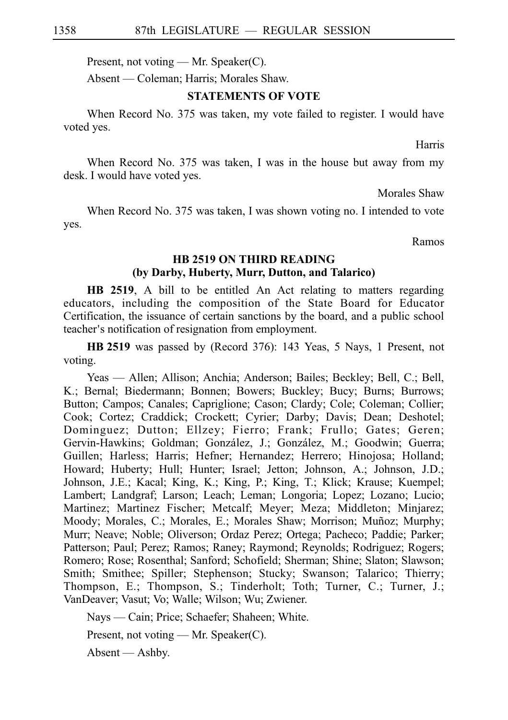Present, not voting — Mr. Speaker(C).

Absent — Coleman; Harris; Morales Shaw.

### **STATEMENTS OF VOTE**

When Record No. 375 was taken, my vote failed to register. I would have voted yes.

Harris

When Record No. 375 was taken, I was in the house but away from my desk. I would have voted yes.

Morales Shaw

When Record No. 375 was taken, I was shown voting no. I intended to vote yes.

Ramos

## **HB 2519 ON THIRD READING (by Darby, Huberty, Murr, Dutton, and Talarico)**

**HB 2519**, A bill to be entitled An Act relating to matters regarding educators, including the composition of the State Board for Educator Certification, the issuance of certain sanctions by the board, and a public school teacher's notification of resignation from employment.

**HB** 2519 was passed by (Record 376): 143 Yeas, 5 Nays, 1 Present, not voting.

Yeas — Allen; Allison; Anchia; Anderson; Bailes; Beckley; Bell, C.; Bell, K.; Bernal; Biedermann; Bonnen; Bowers; Buckley; Bucy; Burns; Burrows; Button; Campos; Canales; Capriglione; Cason; Clardy; Cole; Coleman; Collier; Cook; Cortez; Craddick; Crockett; Cyrier; Darby; Davis; Dean; Deshotel; Dominguez; Dutton; Ellzey; Fierro; Frank; Frullo; Gates; Geren; Gervin-Hawkins; Goldman; González, J.; González, M.; Goodwin; Guerra; Guillen; Harless; Harris; Hefner; Hernandez; Herrero; Hinojosa; Holland; Howard; Huberty; Hull; Hunter; Israel; Jetton; Johnson, A.; Johnson, J.D.; Johnson, J.E.; Kacal; King, K.; King, P.; King, T.; Klick; Krause; Kuempel; Lambert; Landgraf; Larson; Leach; Leman; Longoria; Lopez; Lozano; Lucio; Martinez; Martinez Fischer; Metcalf; Meyer; Meza; Middleton; Minjarez; Moody; Morales, C.; Morales, E.; Morales Shaw; Morrison; Muñoz; Murphy; Murr; Neave; Noble; Oliverson; Ordaz Perez; Ortega; Pacheco; Paddie; Parker; Patterson; Paul; Perez; Ramos; Raney; Raymond; Reynolds; Rodriguez; Rogers; Romero; Rose; Rosenthal; Sanford; Schofield; Sherman; Shine; Slaton; Slawson; Smith; Smithee; Spiller; Stephenson; Stucky; Swanson; Talarico; Thierry; Thompson, E.; Thompson, S.; Tinderholt; Toth; Turner, C.; Turner, J.; VanDeaver; Vasut; Vo; Walle; Wilson; Wu; Zwiener.

Nays — Cain; Price; Schaefer; Shaheen; White.

Present, not voting — Mr. Speaker(C).

Absent — Ashby.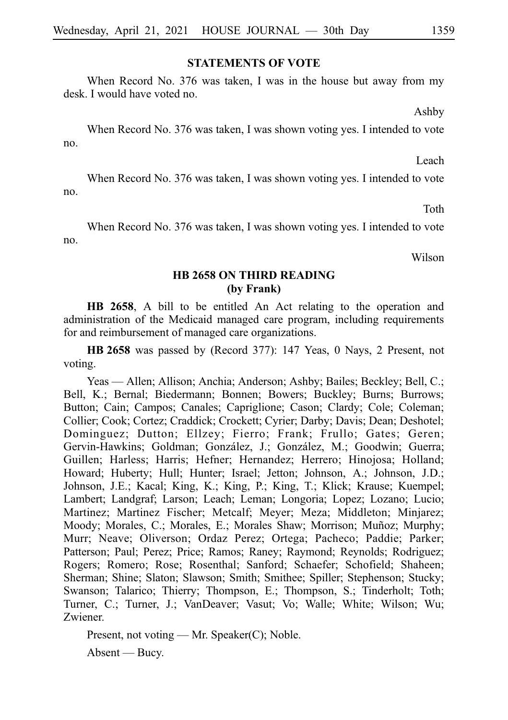### **STATEMENTS OF VOTE**

When Record No. 376 was taken, I was in the house but away from my desk. I would have voted no.

Ashby

When Record No. 376 was taken, I was shown voting yes. I intended to vote no.

Leach

When Record No. 376 was taken, I was shown voting yes. I intended to vote no.

Toth

When Record No. 376 was taken, I was shown voting yes. I intended to vote no.

Wilson

#### **HB 2658 ON THIRD READING (by Frank)**

**HB 2658**, A bill to be entitled An Act relating to the operation and administration of the Medicaid managed care program, including requirements for and reimbursement of managed care organizations.

**HB** 2658 was passed by (Record 377): 147 Yeas, 0 Nays, 2 Present, not voting.

Yeas — Allen; Allison; Anchia; Anderson; Ashby; Bailes; Beckley; Bell, C.; Bell, K.; Bernal; Biedermann; Bonnen; Bowers; Buckley; Burns; Burrows; Button; Cain; Campos; Canales; Capriglione; Cason; Clardy; Cole; Coleman; Collier; Cook; Cortez; Craddick; Crockett; Cyrier; Darby; Davis; Dean; Deshotel; Dominguez; Dutton; Ellzey; Fierro; Frank; Frullo; Gates; Geren; Gervin-Hawkins; Goldman; González, J.; González, M.; Goodwin; Guerra; Guillen; Harless; Harris; Hefner; Hernandez; Herrero; Hinojosa; Holland; Howard; Huberty; Hull; Hunter; Israel; Jetton; Johnson, A.; Johnson, J.D.; Johnson, J.E.; Kacal; King, K.; King, P.; King, T.; Klick; Krause; Kuempel; Lambert; Landgraf; Larson; Leach; Leman; Longoria; Lopez; Lozano; Lucio; Martinez; Martinez Fischer; Metcalf; Meyer; Meza; Middleton; Minjarez; Moody; Morales, C.; Morales, E.; Morales Shaw; Morrison; Muñoz; Murphy; Murr; Neave; Oliverson; Ordaz Perez; Ortega; Pacheco; Paddie; Parker; Patterson; Paul; Perez; Price; Ramos; Raney; Raymond; Reynolds; Rodriguez; Rogers; Romero; Rose; Rosenthal; Sanford; Schaefer; Schofield; Shaheen; Sherman; Shine; Slaton; Slawson; Smith; Smithee; Spiller; Stephenson; Stucky; Swanson; Talarico; Thierry; Thompson, E.; Thompson, S.; Tinderholt; Toth; Turner, C.; Turner, J.; VanDeaver; Vasut; Vo; Walle; White; Wilson; Wu; Zwiener.

Present, not voting — Mr. Speaker(C); Noble.

Absent — Bucy.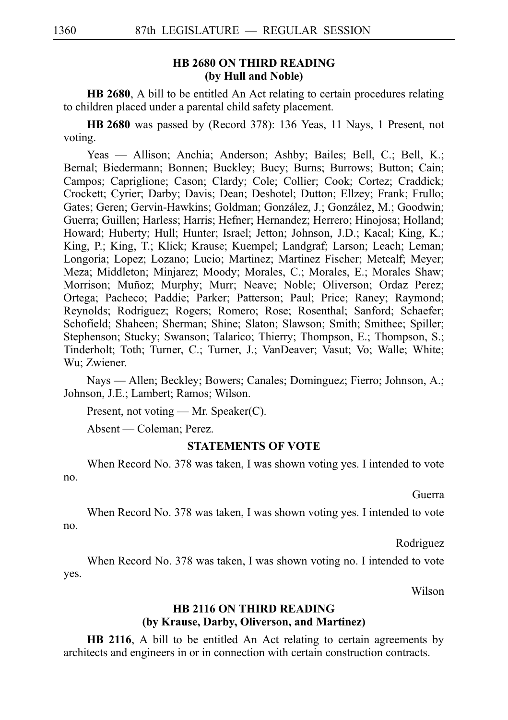#### **HB 2680 ON THIRD READING (by Hull and Noble)**

**HB 2680**, A bill to be entitled An Act relating to certain procedures relating to children placed under a parental child safety placement.

**HBi2680** was passed by (Record 378): 136 Yeas, 11 Nays, 1 Present, not voting.

Yeas — Allison; Anchia; Anderson; Ashby; Bailes; Bell, C.; Bell, K.; Bernal; Biedermann; Bonnen; Buckley; Bucy; Burns; Burrows; Button; Cain; Campos; Capriglione; Cason; Clardy; Cole; Collier; Cook; Cortez; Craddick; Crockett; Cyrier; Darby; Davis; Dean; Deshotel; Dutton; Ellzey; Frank; Frullo; Gates; Geren; Gervin-Hawkins; Goldman; González, J.; González, M.; Goodwin; Guerra; Guillen; Harless; Harris; Hefner; Hernandez; Herrero; Hinojosa; Holland; Howard; Huberty; Hull; Hunter; Israel; Jetton; Johnson, J.D.; Kacal; King, K.; King, P.; King, T.; Klick; Krause; Kuempel; Landgraf; Larson; Leach; Leman; Longoria; Lopez; Lozano; Lucio; Martinez; Martinez Fischer; Metcalf; Meyer; Meza; Middleton; Minjarez; Moody; Morales, C.; Morales, E.; Morales Shaw; Morrison; Muñoz; Murphy; Murr; Neave; Noble; Oliverson; Ordaz Perez; Ortega; Pacheco; Paddie; Parker; Patterson; Paul; Price; Raney; Raymond; Reynolds; Rodriguez; Rogers; Romero; Rose; Rosenthal; Sanford; Schaefer; Schofield; Shaheen; Sherman; Shine; Slaton; Slawson; Smith; Smithee; Spiller; Stephenson; Stucky; Swanson; Talarico; Thierry; Thompson, E.; Thompson, S.; Tinderholt; Toth; Turner, C.; Turner, J.; VanDeaver; Vasut; Vo; Walle; White; Wu; Zwiener.

Nays — Allen; Beckley; Bowers; Canales; Dominguez; Fierro; Johnson, A.; Johnson, J.E.; Lambert; Ramos; Wilson.

Present, not voting — Mr. Speaker(C).

Absent — Coleman; Perez.

#### **STATEMENTS OF VOTE**

When Record No. 378 was taken, I was shown voting yes. I intended to vote no.

Guerra

When Record No. 378 was taken, I was shown voting yes. I intended to vote no.

Rodriguez

When Record No. 378 was taken, I was shown voting no. I intended to vote yes.

Wilson

## **HB 2116 ON THIRD READING (by Krause, Darby, Oliverson, and Martinez)**

**HB 2116**, A bill to be entitled An Act relating to certain agreements by architects and engineers in or in connection with certain construction contracts.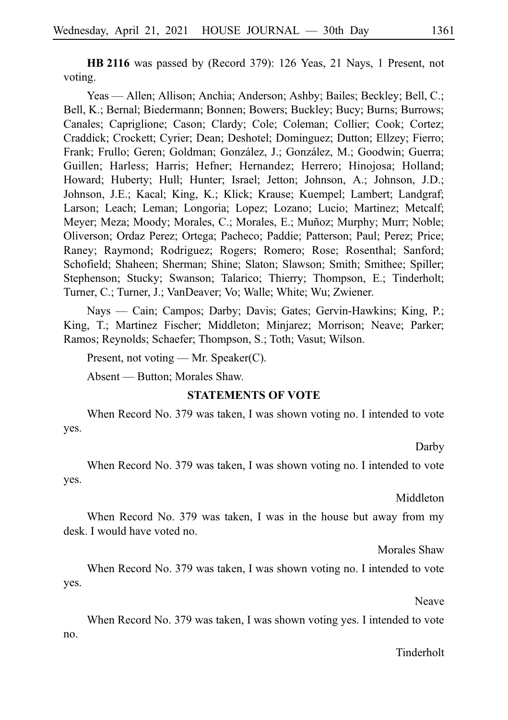**HB** 2116 was passed by (Record 379): 126 Yeas, 21 Nays, 1 Present, not voting.

Yeas — Allen; Allison; Anchia; Anderson; Ashby; Bailes; Beckley; Bell, C.; Bell, K.; Bernal; Biedermann; Bonnen; Bowers; Buckley; Bucy; Burns; Burrows; Canales; Capriglione; Cason; Clardy; Cole; Coleman; Collier; Cook; Cortez; Craddick; Crockett; Cyrier; Dean; Deshotel; Dominguez; Dutton; Ellzey; Fierro; Frank; Frullo; Geren; Goldman; González, J.; González, M.; Goodwin; Guerra; Guillen; Harless; Harris; Hefner; Hernandez; Herrero; Hinojosa; Holland; Howard; Huberty; Hull; Hunter; Israel; Jetton; Johnson, A.; Johnson, J.D.; Johnson, J.E.; Kacal; King, K.; Klick; Krause; Kuempel; Lambert; Landgraf; Larson; Leach; Leman; Longoria; Lopez; Lozano; Lucio; Martinez; Metcalf; Meyer; Meza; Moody; Morales, C.; Morales, E.; Muñoz; Murphy; Murr; Noble; Oliverson; Ordaz Perez; Ortega; Pacheco; Paddie; Patterson; Paul; Perez; Price; Raney; Raymond; Rodriguez; Rogers; Romero; Rose; Rosenthal; Sanford; Schofield; Shaheen; Sherman; Shine; Slaton; Slawson; Smith; Smithee; Spiller; Stephenson; Stucky; Swanson; Talarico; Thierry; Thompson, E.; Tinderholt; Turner, C.; Turner, J.; VanDeaver; Vo; Walle; White; Wu; Zwiener.

Nays — Cain; Campos; Darby; Davis; Gates; Gervin-Hawkins; King, P.; King, T.; Martinez Fischer; Middleton; Minjarez; Morrison; Neave; Parker; Ramos; Reynolds; Schaefer; Thompson, S.; Toth; Vasut; Wilson.

Present, not voting — Mr. Speaker(C).

Absent — Button; Morales Shaw.

#### **STATEMENTS OF VOTE**

When Record No. 379 was taken, I was shown voting no. I intended to vote yes.

Darby

When Record No. 379 was taken, I was shown voting no. I intended to vote yes.

Middleton

When Record No. 379 was taken, I was in the house but away from my desk. I would have voted no.

Morales Shaw

When Record No. 379 was taken, I was shown voting no. I intended to vote yes.

Neave

When Record No. 379 was taken, I was shown voting yes. I intended to vote no.

#### Tinderholt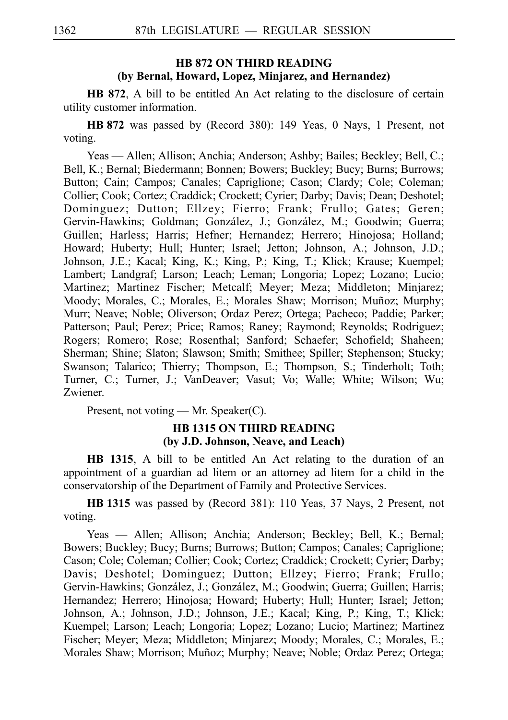## **HB 872 ON THIRD READING (by Bernal, Howard, Lopez, Minjarez, and Hernandez)**

**HB 872**, A bill to be entitled An Act relating to the disclosure of certain utility customer information.

**HBi872** was passed by (Record 380): 149 Yeas, 0 Nays, 1 Present, not voting.

Yeas — Allen; Allison; Anchia; Anderson; Ashby; Bailes; Beckley; Bell, C.; Bell, K.; Bernal; Biedermann; Bonnen; Bowers; Buckley; Bucy; Burns; Burrows; Button; Cain; Campos; Canales; Capriglione; Cason; Clardy; Cole; Coleman; Collier; Cook; Cortez; Craddick; Crockett; Cyrier; Darby; Davis; Dean; Deshotel; Dominguez; Dutton; Ellzey; Fierro; Frank; Frullo; Gates; Geren; Gervin-Hawkins; Goldman; González, J.; González, M.; Goodwin; Guerra; Guillen; Harless; Harris; Hefner; Hernandez; Herrero; Hinojosa; Holland; Howard; Huberty; Hull; Hunter; Israel; Jetton; Johnson, A.; Johnson, J.D.; Johnson, J.E.; Kacal; King, K.; King, P.; King, T.; Klick; Krause; Kuempel; Lambert; Landgraf; Larson; Leach; Leman; Longoria; Lopez; Lozano; Lucio; Martinez; Martinez Fischer; Metcalf; Meyer; Meza; Middleton; Minjarez; Moody; Morales, C.; Morales, E.; Morales Shaw; Morrison; Muñoz; Murphy; Murr; Neave; Noble; Oliverson; Ordaz Perez; Ortega; Pacheco; Paddie; Parker; Patterson; Paul; Perez; Price; Ramos; Raney; Raymond; Reynolds; Rodriguez; Rogers; Romero; Rose; Rosenthal; Sanford; Schaefer; Schofield; Shaheen; Sherman; Shine; Slaton; Slawson; Smith; Smithee; Spiller; Stephenson; Stucky; Swanson; Talarico; Thierry; Thompson, E.; Thompson, S.; Tinderholt; Toth; Turner, C.; Turner, J.; VanDeaver; Vasut; Vo; Walle; White; Wilson; Wu; Zwiener.

Present, not voting — Mr. Speaker(C).

## **HB 1315 ON THIRD READING (by J.D. Johnson, Neave, and Leach)**

**HB 1315**, A bill to be entitled An Act relating to the duration of an appointment of a guardian ad litem or an attorney ad litem for a child in the conservatorship of the Department of Family and Protective Services.

**HBi1315** was passed by (Record 381): 110 Yeas, 37 Nays, 2 Present, not voting.

Yeas — Allen; Allison; Anchia; Anderson; Beckley; Bell, K.; Bernal; Bowers; Buckley; Bucy; Burns; Burrows; Button; Campos; Canales; Capriglione; Cason; Cole; Coleman; Collier; Cook; Cortez; Craddick; Crockett; Cyrier; Darby; Davis; Deshotel; Dominguez; Dutton; Ellzey; Fierro; Frank; Frullo; Gervin-Hawkins; González, J.; González, M.; Goodwin; Guerra; Guillen; Harris; Hernandez; Herrero; Hinojosa; Howard; Huberty; Hull; Hunter; Israel; Jetton; Johnson, A.; Johnson, J.D.; Johnson, J.E.; Kacal; King, P.; King, T.; Klick; Kuempel; Larson; Leach; Longoria; Lopez; Lozano; Lucio; Martinez; Martinez Fischer; Meyer; Meza; Middleton; Minjarez; Moody; Morales, C.; Morales, E.; Morales Shaw; Morrison; Muñoz; Murphy; Neave; Noble; Ordaz Perez; Ortega;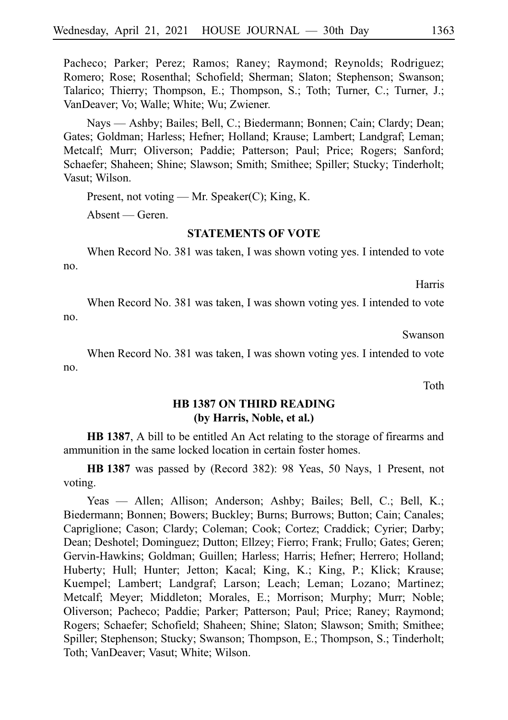Pacheco; Parker; Perez; Ramos; Raney; Raymond; Reynolds; Rodriguez; Romero; Rose; Rosenthal; Schofield; Sherman; Slaton; Stephenson; Swanson; Talarico; Thierry; Thompson, E.; Thompson, S.; Toth; Turner, C.; Turner, J.; VanDeaver; Vo; Walle; White; Wu; Zwiener.

Nays — Ashby; Bailes; Bell, C.; Biedermann; Bonnen; Cain; Clardy; Dean; Gates; Goldman; Harless; Hefner; Holland; Krause; Lambert; Landgraf; Leman; Metcalf; Murr; Oliverson; Paddie; Patterson; Paul; Price; Rogers; Sanford; Schaefer; Shaheen; Shine; Slawson; Smith; Smithee; Spiller; Stucky; Tinderholt; Vasut; Wilson.

Present, not voting — Mr. Speaker(C); King, K.

Absent — Geren.

#### **STATEMENTS OF VOTE**

When Record No. 381 was taken, I was shown voting yes. I intended to vote no.

Harris

When Record No. 381 was taken, I was shown voting yes. I intended to vote no.

Swanson

When Record No. 381 was taken, I was shown voting yes. I intended to vote no.

Toth

## **HB 1387 ON THIRD READING (by Harris, Noble, et al.)**

**HB 1387**, A bill to be entitled An Act relating to the storage of firearms and ammunition in the same locked location in certain foster homes.

**HBi1387** was passed by (Record 382): 98 Yeas, 50 Nays, 1 Present, not voting.

Yeas — Allen; Allison; Anderson; Ashby; Bailes; Bell, C.; Bell, K.; Biedermann; Bonnen; Bowers; Buckley; Burns; Burrows; Button; Cain; Canales; Capriglione; Cason; Clardy; Coleman; Cook; Cortez; Craddick; Cyrier; Darby; Dean; Deshotel; Dominguez; Dutton; Ellzey; Fierro; Frank; Frullo; Gates; Geren; Gervin-Hawkins; Goldman; Guillen; Harless; Harris; Hefner; Herrero; Holland; Huberty; Hull; Hunter; Jetton; Kacal; King, K.; King, P.; Klick; Krause; Kuempel; Lambert; Landgraf; Larson; Leach; Leman; Lozano; Martinez; Metcalf; Meyer; Middleton; Morales, E.; Morrison; Murphy; Murr; Noble; Oliverson; Pacheco; Paddie; Parker; Patterson; Paul; Price; Raney; Raymond; Rogers; Schaefer; Schofield; Shaheen; Shine; Slaton; Slawson; Smith; Smithee; Spiller; Stephenson; Stucky; Swanson; Thompson, E.; Thompson, S.; Tinderholt; Toth; VanDeaver; Vasut; White; Wilson.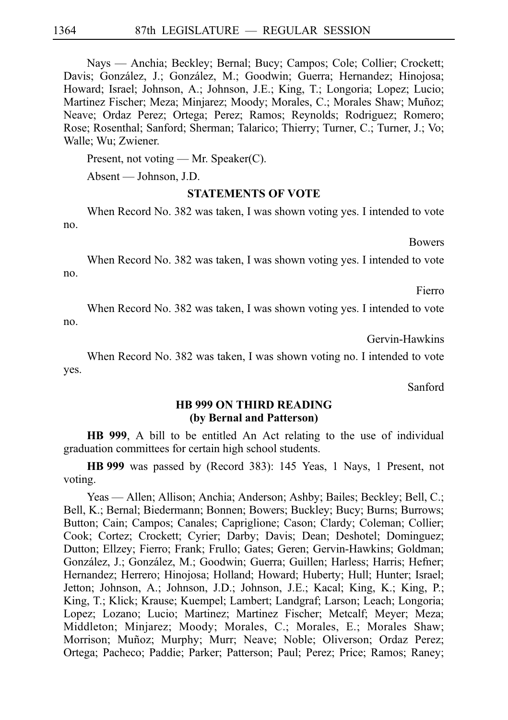Nays — Anchia; Beckley; Bernal; Bucy; Campos; Cole; Collier; Crockett; Davis; González, J.; González, M.; Goodwin; Guerra; Hernandez; Hinojosa; Howard; Israel; Johnson, A.; Johnson, J.E.; King, T.; Longoria; Lopez; Lucio; Martinez Fischer; Meza; Minjarez; Moody; Morales, C.; Morales Shaw; Muñoz; Neave; Ordaz Perez; Ortega; Perez; Ramos; Reynolds; Rodriguez; Romero; Rose; Rosenthal; Sanford; Sherman; Talarico; Thierry; Turner, C.; Turner, J.; Vo; Walle; Wu; Zwiener.

Present, not voting — Mr. Speaker(C).

Absent — Johnson, J.D.

#### **STATEMENTS OF VOTE**

When Record No. 382 was taken, I was shown voting yes. I intended to vote no.

**Bowers** 

When Record No. 382 was taken, I was shown voting yes. I intended to vote no.

Fierro

When Record No. 382 was taken, I was shown voting yes. I intended to vote no.

Gervin-Hawkins

When Record No. 382 was taken, I was shown voting no. I intended to vote yes.

Sanford

#### **HB 999 ON THIRD READING (by Bernal and Patterson)**

**HB 999**, A bill to be entitled An Act relating to the use of individual graduation committees for certain high school students.

**HBi999** was passed by (Record 383): 145 Yeas, 1 Nays, 1 Present, not voting.

Yeas — Allen; Allison; Anchia; Anderson; Ashby; Bailes; Beckley; Bell, C.; Bell, K.; Bernal; Biedermann; Bonnen; Bowers; Buckley; Bucy; Burns; Burrows; Button; Cain; Campos; Canales; Capriglione; Cason; Clardy; Coleman; Collier; Cook; Cortez; Crockett; Cyrier; Darby; Davis; Dean; Deshotel; Dominguez; Dutton; Ellzey; Fierro; Frank; Frullo; Gates; Geren; Gervin-Hawkins; Goldman; González, J.; González, M.; Goodwin; Guerra; Guillen; Harless; Harris; Hefner; Hernandez; Herrero; Hinojosa; Holland; Howard; Huberty; Hull; Hunter; Israel; Jetton; Johnson, A.; Johnson, J.D.; Johnson, J.E.; Kacal; King, K.; King, P.; King, T.; Klick; Krause; Kuempel; Lambert; Landgraf; Larson; Leach; Longoria; Lopez; Lozano; Lucio; Martinez; Martinez Fischer; Metcalf; Meyer; Meza; Middleton; Minjarez; Moody; Morales, C.; Morales, E.; Morales Shaw; Morrison; Muñoz; Murphy; Murr; Neave; Noble; Oliverson; Ordaz Perez; Ortega; Pacheco; Paddie; Parker; Patterson; Paul; Perez; Price; Ramos; Raney;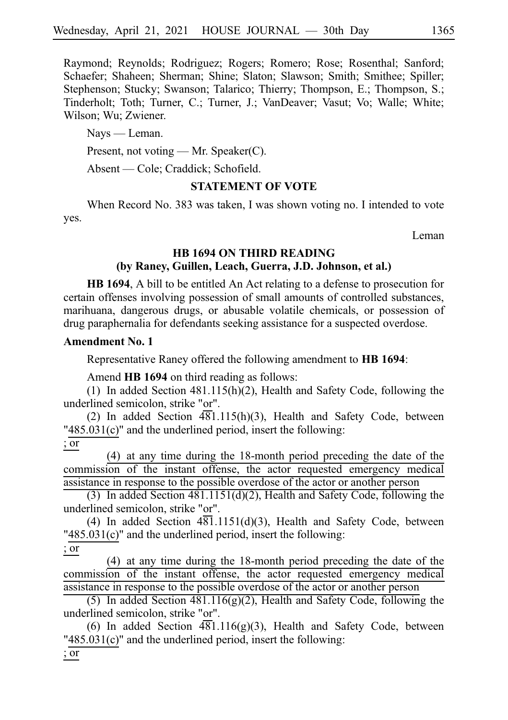Raymond; Reynolds; Rodriguez; Rogers; Romero; Rose; Rosenthal; Sanford; Schaefer; Shaheen; Sherman; Shine; Slaton; Slawson; Smith; Smithee; Spiller; Stephenson; Stucky; Swanson; Talarico; Thierry; Thompson, E.; Thompson, S.; Tinderholt; Toth; Turner, C.; Turner, J.; VanDeaver; Vasut; Vo; Walle; White; Wilson; Wu; Zwiener.

Nays — Leman.

Present, not voting — Mr. Speaker(C).

Absent — Cole; Craddick; Schofield.

## **STATEMENT OF VOTE**

When Record No. 383 was taken, I was shown voting no. I intended to vote yes.

Leman

## **HB 1694 ON THIRD READING (by Raney, Guillen, Leach, Guerra, J.D. Johnson, et al.)**

**HB 1694**, A bill to be entitled An Act relating to a defense to prosecution for certain offenses involving possession of small amounts of controlled substances, marihuana, dangerous drugs, or abusable volatile chemicals, or possession of drug paraphernalia for defendants seeking assistance for a suspected overdose.

## **Amendment No. 1**

Representative Raney offered the following amendment to **HB 1694**:

Amend **HB 1694** on third reading as follows:

(1) In added Section  $481.115(h)(2)$ , Health and Safety Code, following the underlined semicolon, strike "or".

(2) In added Section  $\overline{481.115(h)}(3)$ , Health and Safety Code, between "485.031(c)" and the underlined period, insert the following:

; or

 $(4)$  at any time during the 18-month period preceding the date of the commission of the instant offense, the actor requested emergency medical assistance in response to the possible overdose of the actor or another person

(3) In added Section  $481.1151(d)(2)$ , Health and Safety Code, following the underlined semicolon, strike "or".

(4) In added Section  $4\overline{81}$ .1151(d)(3), Health and Safety Code, between "485.031(c)" and the underlined period, insert the following:

; or

 $(4)$  at any time during the 18-month period preceding the date of the commission of the instant offense, the actor requested emergency medical assistance in response to the possible overdose of the actor or another person

(5) In added Section  $481.116(g)(2)$ , Health and Safety Code, following the underlined semicolon, strike "or".

(6) In added Section  $\overline{481.116(g)(3)}$ , Health and Safety Code, between "485.031(c)" and the underlined period, insert the following:

; or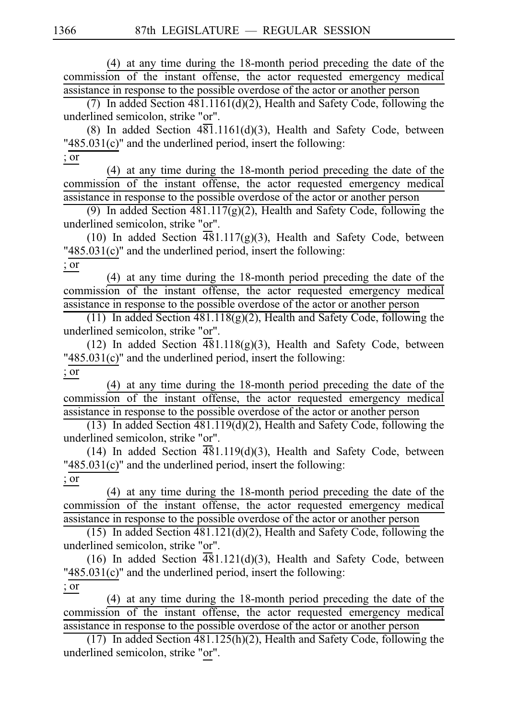$(4)$  at any time during the 18-month period preceding the date of the commission of the instant offense, the actor requested emergency medical assistance in response to the possible overdose of the actor or another person

(7) In added Section  $481.1161(d)(2)$ , Health and Safety Code, following the underlined semicolon, strike "or".

(8) In added Section  $4\overline{81}$ .1161(d)(3), Health and Safety Code, between "485.031(c)" and the underlined period, insert the following:

; or

 $(4)$  at any time during the 18-month period preceding the date of the commission of the instant offense, the actor requested emergency medical assistance in response to the possible overdose of the actor or another person

(9) In added Section  $481.117(g)(2)$ , Health and Safety Code, following the underlined semicolon, strike "or".

(10) In added Section  $\overline{481.117(g)(3)}$ , Health and Safety Code, between "485.031(c)" and the underlined period, insert the following:

; or

 $(4)$  at any time during the 18-month period preceding the date of the commission of the instant offense, the actor requested emergency medical assistance in response to the possible overdose of the actor or another person

(11) In added Section  $\frac{481.118(g)(2)}{2}$ , Health and Safety Code, following the underlined semicolon, strike "or".

(12) In added Section  $\overline{481.118(g)(3)}$ , Health and Safety Code, between "485.031(c)" and the underlined period, insert the following: ; or

 $(4)$  at any time during the 18-month period preceding the date of the commission of the instant offense, the actor requested emergency medical assistance in response to the possible overdose of the actor or another person

(13) In added Section  $481.119(d)(2)$ , Health and Safety Code, following the underlined semicolon, strike "or".

(14) In added Section  $\overline{481.119(d)(3)}$ , Health and Safety Code, between "485.031(c)" and the underlined period, insert the following: ; or

 $(4)$  at any time during the 18-month period preceding the date of the commission of the instant offense, the actor requested emergency medical assistance in response to the possible overdose of the actor or another person

(15) In added Section  $481.121(d)(2)$ , Health and Safety Code, following the underlined semicolon, strike "or".

(16) In added Section  $\overline{48}1.121(d)(3)$ , Health and Safety Code, between "485.031(c)" and the underlined period, insert the following: ; or

 $(4)$  at any time during the 18-month period preceding the date of the commission of the instant offense, the actor requested emergency medical assistance in response to the possible overdose of the actor or another person

(17) In added Section  $481.125(h)(2)$ , Health and Safety Code, following the underlined semicolon, strike "or".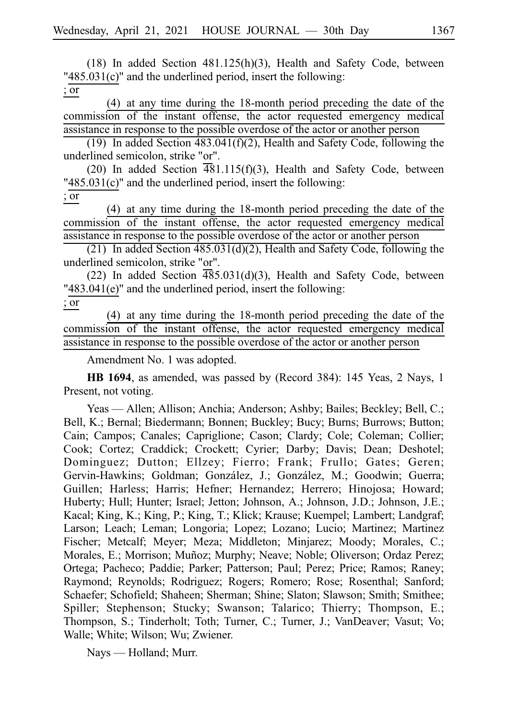(18) In added Section  $481.125(h)(3)$ , Health and Safety Code, between "485.031(c)" and the underlined period, insert the following: ; or

 $(4)$  at any time during the 18-month period preceding the date of the commission of the instant offense, the actor requested emergency medical assistance in response to the possible overdose of the actor or another person

(19) In added Section  $483.041(f)(2)$ , Health and Safety Code, following the underlined semicolon, strike "or".

(20) In added Section  $\overline{481.115(f)(3)}$ , Health and Safety Code, between "485.031(c)" and the underlined period, insert the following: ; or

 $(4)$  at any time during the 18-month period preceding the date of the commission of the instant offense, the actor requested emergency medical assistance in response to the possible overdose of the actor or another person

(21) In added Section  $\frac{485.031(d)}{2}$ , Health and Safety Code, following the underlined semicolon, strike "or".

(22) In added Section  $\overline{485.031}$ (d)(3), Health and Safety Code, between "483.041(e)" and the underlined period, insert the following:

; or

 $(4)$  at any time during the 18-month period preceding the date of the commission of the instant offense, the actor requested emergency medical assistance in response to the possible overdose of the actor or another person

Amendment No. 1 was adopted.

**HB 1694**, as amended, was passed by (Record 384): 145 Yeas, 2 Nays, 1 Present, not voting.

Yeas — Allen; Allison; Anchia; Anderson; Ashby; Bailes; Beckley; Bell, C.; Bell, K.; Bernal; Biedermann; Bonnen; Buckley; Bucy; Burns; Burrows; Button; Cain; Campos; Canales; Capriglione; Cason; Clardy; Cole; Coleman; Collier; Cook; Cortez; Craddick; Crockett; Cyrier; Darby; Davis; Dean; Deshotel; Dominguez; Dutton; Ellzey; Fierro; Frank; Frullo; Gates; Geren; Gervin-Hawkins; Goldman; González, J.; González, M.; Goodwin; Guerra; Guillen; Harless; Harris; Hefner; Hernandez; Herrero; Hinojosa; Howard; Huberty; Hull; Hunter; Israel; Jetton; Johnson, A.; Johnson, J.D.; Johnson, J.E.; Kacal; King, K.; King, P.; King, T.; Klick; Krause; Kuempel; Lambert; Landgraf; Larson; Leach; Leman; Longoria; Lopez; Lozano; Lucio; Martinez; Martinez Fischer; Metcalf; Meyer; Meza; Middleton; Minjarez; Moody; Morales, C.; Morales, E.; Morrison; Muñoz; Murphy; Neave; Noble; Oliverson; Ordaz Perez; Ortega; Pacheco; Paddie; Parker; Patterson; Paul; Perez; Price; Ramos; Raney; Raymond; Reynolds; Rodriguez; Rogers; Romero; Rose; Rosenthal; Sanford; Schaefer; Schofield; Shaheen; Sherman; Shine; Slaton; Slawson; Smith; Smithee; Spiller; Stephenson; Stucky; Swanson; Talarico; Thierry; Thompson, E.; Thompson, S.; Tinderholt; Toth; Turner, C.; Turner, J.; VanDeaver; Vasut; Vo; Walle; White; Wilson; Wu; Zwiener.

Nays — Holland; Murr.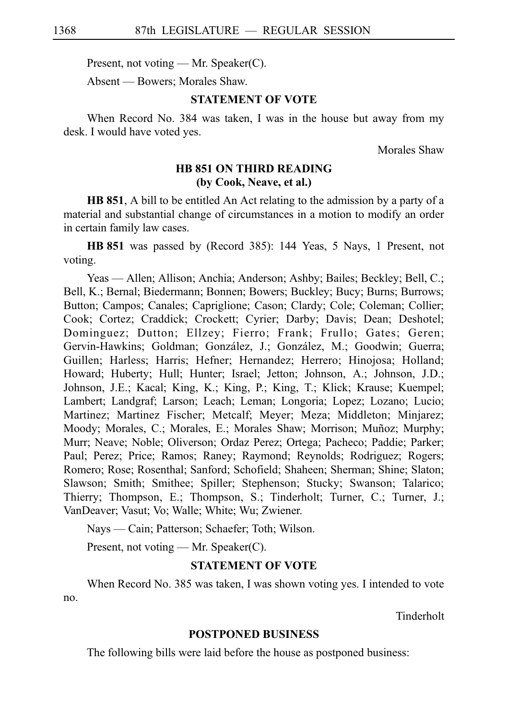Present, not voting — Mr. Speaker(C).

Absent — Bowers; Morales Shaw.

#### **STATEMENT OF VOTE**

When Record No. 384 was taken, I was in the house but away from my desk. I would have voted yes.

Morales Shaw

## **HB 851 ON THIRD READING (by Cook, Neave, et al.)**

**HB 851**, A bill to be entitled An Act relating to the admission by a party of a material and substantial change of circumstances in a motion to modify an order in certain family law cases.

**HBi851** was passed by (Record 385): 144 Yeas, 5 Nays, 1 Present, not voting.

Yeas — Allen; Allison; Anchia; Anderson; Ashby; Bailes; Beckley; Bell, C.; Bell, K.; Bernal; Biedermann; Bonnen; Bowers; Buckley; Bucy; Burns; Burrows; Button; Campos; Canales; Capriglione; Cason; Clardy; Cole; Coleman; Collier; Cook; Cortez; Craddick; Crockett; Cyrier; Darby; Davis; Dean; Deshotel; Dominguez; Dutton; Ellzey; Fierro; Frank; Frullo; Gates; Geren; Gervin-Hawkins; Goldman; González, J.; González, M.; Goodwin; Guerra; Guillen; Harless; Harris; Hefner; Hernandez; Herrero; Hinojosa; Holland; Howard; Huberty; Hull; Hunter; Israel; Jetton; Johnson, A.; Johnson, J.D.; Johnson, J.E.; Kacal; King, K.; King, P.; King, T.; Klick; Krause; Kuempel; Lambert; Landgraf; Larson; Leach; Leman; Longoria; Lopez; Lozano; Lucio; Martinez; Martinez Fischer; Metcalf; Meyer; Meza; Middleton; Minjarez; Moody; Morales, C.; Morales, E.; Morales Shaw; Morrison; Muñoz; Murphy; Murr; Neave; Noble; Oliverson; Ordaz Perez; Ortega; Pacheco; Paddie; Parker; Paul; Perez; Price; Ramos; Raney; Raymond; Reynolds; Rodriguez; Rogers; Romero; Rose; Rosenthal; Sanford; Schofield; Shaheen; Sherman; Shine; Slaton; Slawson; Smith; Smithee; Spiller; Stephenson; Stucky; Swanson; Talarico; Thierry; Thompson, E.; Thompson, S.; Tinderholt; Turner, C.; Turner, J.; VanDeaver; Vasut; Vo; Walle; White; Wu; Zwiener.

Nays — Cain; Patterson; Schaefer; Toth; Wilson.

Present, not voting — Mr. Speaker(C).

#### **STATEMENT OF VOTE**

When Record No. 385 was taken, I was shown voting yes. I intended to vote no.

Tinderholt

#### **POSTPONED BUSINESS**

The following bills were laid before the house as postponed business: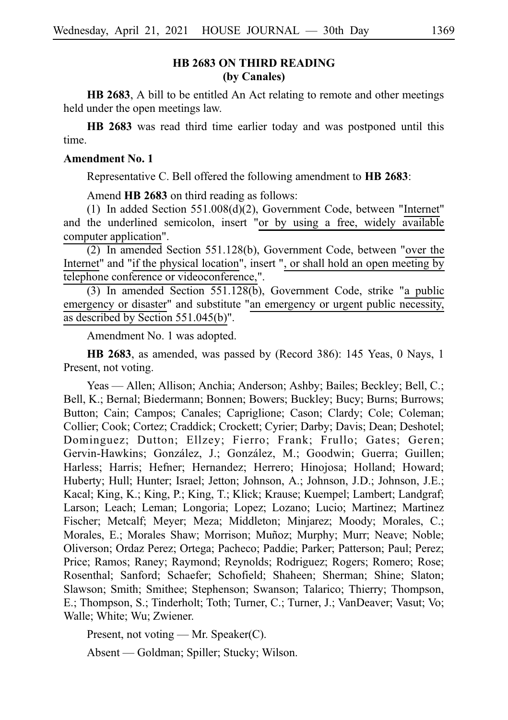## **HB 2683 ON THIRD READING (by Canales)**

**HB 2683**, A bill to be entitled An Act relating to remote and other meetings held under the open meetings law.

**HB 2683** was read third time earlier today and was postponed until this time.

#### **Amendment No. 1**

Representative C. Bell offered the following amendment to **HB 2683**:

Amend **HB 2683** on third reading as follows:

(1) In added Section  $551.008(d)(2)$ , Government Code, between "Internet" and the underlined semicolon, insert "or by using a free, widely available computer application".

 $(2)$  In amended Section 551.128(b), Government Code, between "over the Internet" and "if the physical location", insert ", or shall hold an open meeting by telephone conference or videoconference,".

(3) In amended Section  $551.128(b)$ , Government Code, strike "a public emergency or disaster" and substitute "an emergency or urgent public necessity, as described by Section 551.045(b)".

Amendment No. 1 was adopted.

**HB 2683**, as amended, was passed by (Record 386): 145 Yeas, 0 Nays, 1 Present, not voting.

Yeas — Allen; Allison; Anchia; Anderson; Ashby; Bailes; Beckley; Bell, C.; Bell, K.; Bernal; Biedermann; Bonnen; Bowers; Buckley; Bucy; Burns; Burrows; Button; Cain; Campos; Canales; Capriglione; Cason; Clardy; Cole; Coleman; Collier; Cook; Cortez; Craddick; Crockett; Cyrier; Darby; Davis; Dean; Deshotel; Dominguez; Dutton; Ellzey; Fierro; Frank; Frullo; Gates; Geren; Gervin-Hawkins; González, J.; González, M.; Goodwin; Guerra; Guillen; Harless; Harris; Hefner; Hernandez; Herrero; Hinojosa; Holland; Howard; Huberty; Hull; Hunter; Israel; Jetton; Johnson, A.; Johnson, J.D.; Johnson, J.E.; Kacal; King, K.; King, P.; King, T.; Klick; Krause; Kuempel; Lambert; Landgraf; Larson; Leach; Leman; Longoria; Lopez; Lozano; Lucio; Martinez; Martinez Fischer; Metcalf; Meyer; Meza; Middleton; Minjarez; Moody; Morales, C.; Morales, E.; Morales Shaw; Morrison; Muñoz; Murphy; Murr; Neave; Noble; Oliverson; Ordaz Perez; Ortega; Pacheco; Paddie; Parker; Patterson; Paul; Perez; Price; Ramos; Raney; Raymond; Reynolds; Rodriguez; Rogers; Romero; Rose; Rosenthal; Sanford; Schaefer; Schofield; Shaheen; Sherman; Shine; Slaton; Slawson; Smith; Smithee; Stephenson; Swanson; Talarico; Thierry; Thompson, E.; Thompson, S.; Tinderholt; Toth; Turner, C.; Turner, J.; VanDeaver; Vasut; Vo; Walle; White; Wu; Zwiener.

Present, not voting — Mr. Speaker(C).

Absent — Goldman; Spiller; Stucky; Wilson.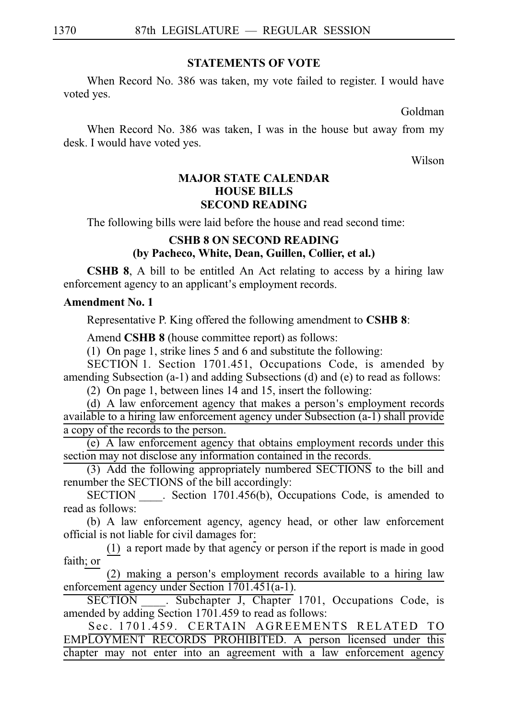### **STATEMENTS OF VOTE**

When Record No. 386 was taken, my vote failed to register. I would have voted yes.

Goldman

When Record No. 386 was taken, I was in the house but away from my desk. I would have voted yes.

Wilson

## **MAJOR STATE CALENDAR HOUSE BILLS SECOND READING**

The following bills were laid before the house and read second time:

## **CSHB 8 ON SECOND READING (by Pacheco, White, Dean, Guillen, Collier, et al.)**

**CSHB 8**, A bill to be entitled An Act relating to access by a hiring law enforcement agency to an applicant's employment records.

## **Amendment No. 1**

Representative P. King offered the following amendment to **CSHB 8**:

Amend **CSHB 8** (house committee report) as follows:

(1) On page 1, strike lines 5 and 6 and substitute the following:

SECTION 1. Section 1701.451, Occupations Code, is amended by amending Subsection (a-1) and adding Subsections (d) and (e) to read as follows:

(2) On page 1, between lines  $14$  and  $15$ , insert the following:

(d) A law enforcement agency that makes a person's employment records available to a hiring law enforcement agency under Subsection (a-1) shall provide a copy of the records to the person.

 $(e)$  A law enforcement agency that obtains employment records under this section may not disclose any information contained in the records.

(3) Add the following appropriately numbered SECTIONS to the bill and renumber the SECTIONS of the bill accordingly:

SECTION Section 1701.456(b), Occupations Code, is amended to read as follows:

(b) A law enforcement agency, agency head, or other law enforcement official is not liable for civil damages for:

 $(1)$  a report made by that agency or person if the report is made in good faith; or

 $(2)$  making a person's employment records available to a hiring law enforcement agency under Section 1701.451(a-1).

SECTION . Subchapter J, Chapter 1701, Occupations Code, is amended by adding Section 1701.459 to read as follows:

Sec. 1701.459. CERTAIN AGREEMENTS RELATED TO EMPLOYMENT RECORDS PROHIBITED. A person licensed under this chapter may not enter into an agreement with a law enforcement agency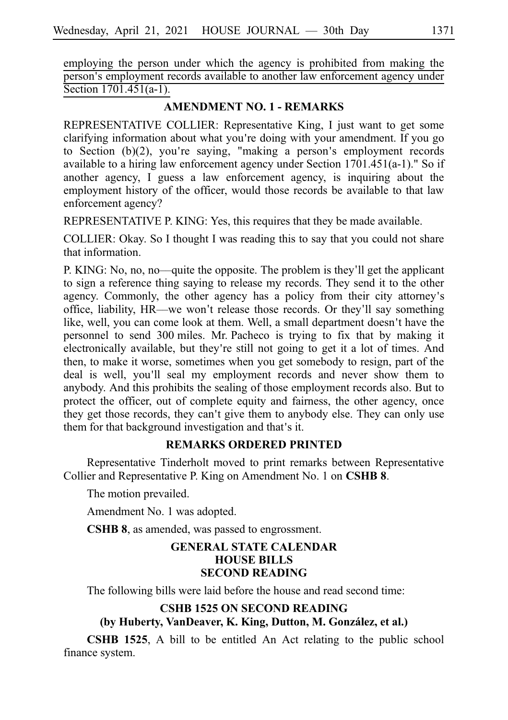employing the person under which the agency is prohibited from making the person's employment records available to another law enforcement agency under Section 1701.451(a-1).

## **AMENDMENT NO. 1 - REMARKS**

REPRESENTATIVE COLLIER: Representative King, I just want to get some clarifying information about what you're doing with your amendment. If you go to Section  $(b)(2)$ , you're saying, "making a person's employment records available to a hiring law enforcement agency under Section  $1701.451(a-1)$ ." So if another agency, I guess a law enforcement agency, is inquiring about the employment history of the officer, would those records be available to that law enforcement agency?

REPRESENTATIVE P. KING: Yes, this requires that they be made available.

COLLIER: Okay. So I thought I was reading this to say that you could not share that information.

P. KING: No, no, no—quite the opposite. The problem is they'll get the applicant to sign a reference thing saying to release my records. They send it to the other agency. Commonly, the other agency has a policy from their city attorney's office, liability, HR—we won't release those records. Or they'll say something like, well, you can come look at them. Well, a small department doesn't have the personnel to send 300 miles. Mr. Pacheco is trying to fix that by making it electronically available, but they're still not going to get it a lot of times. And then, to make it worse, sometimes when you get somebody to resign, part of the deal is well, you'll seal my employment records and never show them to anybody. And this prohibits the sealing of those employment records also. But to protect the officer, out of complete equity and fairness, the other agency, once they get those records, they can't give them to anybody else. They can only use them for that background investigation and that's it.

## **REMARKS ORDERED PRINTED**

Representative Tinderholt moved to print remarks between Representative Collier and Representative P. King on Amendment No. 1 on **CSHB 8**.

The motion prevailed.

Amendment No. 1 was adopted.

**CSHB 8**, as amended, was passed to engrossment.

## **GENERAL STATE CALENDAR HOUSE BILLS SECOND READING**

The following bills were laid before the house and read second time:

## **CSHB 1525 ON SECOND READING**

## (by Huberty, VanDeaver, K. King, Dutton, M. González, et al.)

**CSHB 1525**, A bill to be entitled An Act relating to the public school finance system.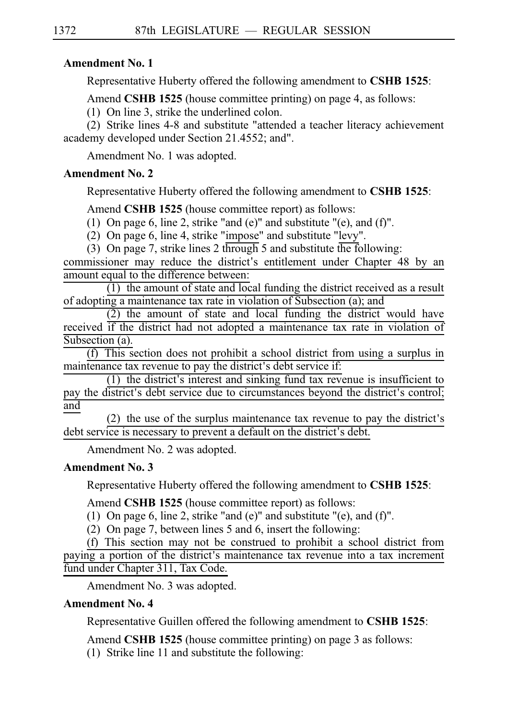## **Amendment No. 1**

Representative Huberty offered the following amendment to **CSHB 1525**:

Amend **CSHB 1525** (house committee printing) on page 4, as follows:

 $(1)$  On line 3, strike the underlined colon.

(2) Strike lines 4-8 and substitute "attended a teacher literacy achievement academy developed under Section 21.4552; and".

Amendment No. 1 was adopted.

## **Amendment No. 2**

Representative Huberty offered the following amendment to **CSHBi1525**:

Amend **CSHB 1525** (house committee report) as follows:

(1) On page 6, line 2, strike "and (e)" and substitute "(e), and (f)".

(2) On page 6, line 4, strike "impose" and substitute "levy".

(3) On page 7, strike lines 2 through 5 and substitute the following:

commissioner may reduce the district's entitlement under Chapter 48 by an amount equal to the difference between:

 $(1)$  the amount of state and local funding the district received as a result of adopting a maintenance tax rate in violation of Subsection (a); and

 $(2)$  the amount of state and local funding the district would have received if the district had not adopted a maintenance tax rate in violation of Subsection (a).

 $(f)$  This section does not prohibit a school district from using a surplus in maintenance tax revenue to pay the district's debt service if:

 $(1)$  the district's interest and sinking fund tax revenue is insufficient to pay the district's debt service due to circumstances beyond the district's control; and

(2) the use of the surplus maintenance tax revenue to pay the district's debt service is necessary to prevent a default on the district's debt.

Amendment No. 2 was adopted.

## **Amendment No. 3**

Representative Huberty offered the following amendment to **CSHBi1525**:

Amend **CSHB 1525** (house committee report) as follows:

(1) On page 6, line 2, strike "and (e)" and substitute "(e), and (f)".

(2) On page 7, between lines 5 and 6, insert the following:

(f) This section may not be construed to prohibit a school district from paying a portion of the district's maintenance tax revenue into a tax increment fund under Chapter 311, Tax Code.

Amendment No. 3 was adopted.

## **Amendment No. 4**

Representative Guillen offered the following amendment to **CSHBi1525**:

Amend **CSHB 1525** (house committee printing) on page 3 as follows:

 $(1)$  Strike line 11 and substitute the following: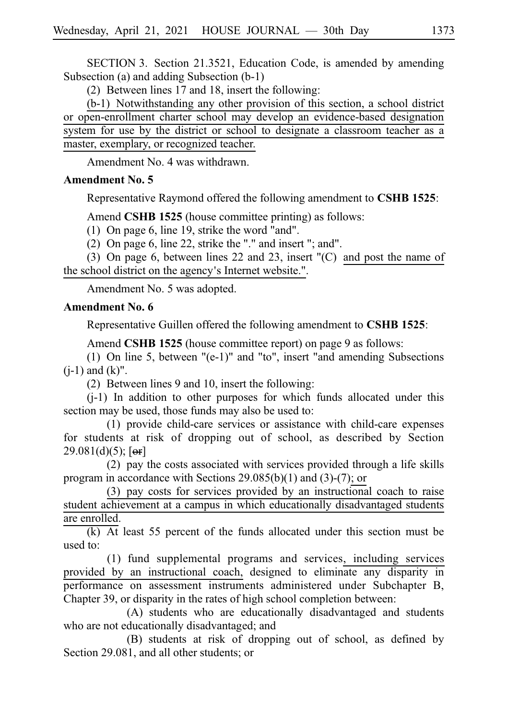SECTION 3. Section 21.3521, Education Code, is amended by amending Subsection (a) and adding Subsection (b-1)

(2) Between lines  $17$  and  $18$ , insert the following:

 $(b-1)$  Notwithstanding any other provision of this section, a school district or open-enrollment charter school may develop an evidence-based designation system for use by the district or school to designate a classroom teacher as a master, exemplary, or recognized teacher.

Amendment No. 4 was withdrawn.

#### **Amendment No. 5**

Representative Raymond offered the following amendment to **CSHB 1525**:

Amend **CSHB 1525** (house committee printing) as follows:

(1) On page 6, line 19, strike the word "and".

(2) On page 6, line 22, strike the "." and insert "; and".

(3) On page 6, between lines 22 and 23, insert  $(C)$  and post the name of the school district on the agency's Internet website.".

Amendment No. 5 was adopted.

#### **Amendment No. 6**

Representative Guillen offered the following amendment to **CSHB 1525**:

Amend **CSHB 1525** (house committee report) on page 9 as follows:

(1) On line 5, between " $(e-1)$ " and "to", insert "and amending Subsections  $(i-1)$  and  $(k)$ ".

(2) Between lines 9 and 10, insert the following:

 $(i-1)$  In addition to other purposes for which funds allocated under this section may be used, those funds may also be used to:

 $(1)$  provide child-care services or assistance with child-care expenses for students at risk of dropping out of school, as described by Section  $29.081(d)(5)$ ; [or]

 $(2)$  pay the costs associated with services provided through a life skills program in accordance with Sections 29.085(b)(1) and (3)-(7); or

 $(3)$  pay costs for services provided by an instructional coach to raise student achievement at a campus in which educationally disadvantaged students are enrolled.

 $\overline{(k)}$  At least 55 percent of the funds allocated under this section must be used to:

(1) fund supplemental programs and services, including services provided by an instructional coach, designed to eliminate any disparity in performance on assessment instruments administered under Subchapter B, Chapter 39, or disparity in the rates of high school completion between:

 $(A)$  students who are educationally disadvantaged and students who are not educationally disadvantaged; and

(B) students at risk of dropping out of school, as defined by Section 29.081, and all other students; or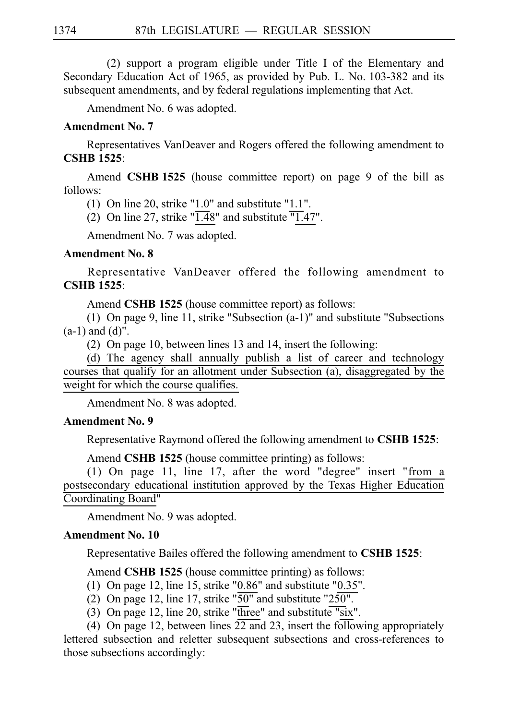$(2)$  support a program eligible under Title I of the Elementary and Secondary Education Act of 1965, as provided by Pub. L. No. 103-382 and its subsequent amendments, and by federal regulations implementing that Act.

Amendment No. 6 was adopted.

#### **Amendment No. 7**

Representatives VanDeaver and Rogers offered the following amendment to **CSHBi1525**:

Amend **CSHB 1525** (house committee report) on page 9 of the bill as follows:

(1) On line 20, strike "1.0" and substitute "1.1".

(2) On line 27, strike " $\overline{1.48}$ " and substitute " $\overline{1.47}$ ".

Amendment No. 7 was adopted.

### **Amendment No. 8**

Representative VanDeaver offered the following amendment to **CSHBi1525**:

Amend **CSHB 1525** (house committee report) as follows:

(1) On page 9, line 11, strike "Subsection  $(a-1)$ " and substitute "Subsections" (a-1) and (d)".

(2) On page 10, between lines 13 and 14, insert the following:

(d) The agency shall annually publish a list of career and technology courses that qualify for an allotment under Subsection (a), disaggregated by the weight for which the course qualifies.

Amendment No. 8 was adopted.

#### **Amendment No. 9**

Representative Raymond offered the following amendment to **CSHBi1525**:

Amend **CSHB 1525** (house committee printing) as follows:

(1) On page 11, line 17, after the word "degree" insert "from a postsecondary educational institution approved by the Texas Higher Education Coordinating Board"

Amendment No. 9 was adopted.

#### **Amendment No. 10**

Representative Bailes offered the following amendment to CSHB 1525:

Amend **CSHB 1525** (house committee printing) as follows:

- (1) On page 12, line 15, strike "0.86" and substitute "0.35".
- (2) On page 12, line 17, strike " $\overline{50"}$  and substitute "250".
- (3) On page 12, line 20, strike "three" and substitute "six".
- (4) On page 12, between lines  $\overline{22}$  and 23, insert the following appropriately

lettered subsection and reletter subsequent subsections and cross-references to those subsections accordingly: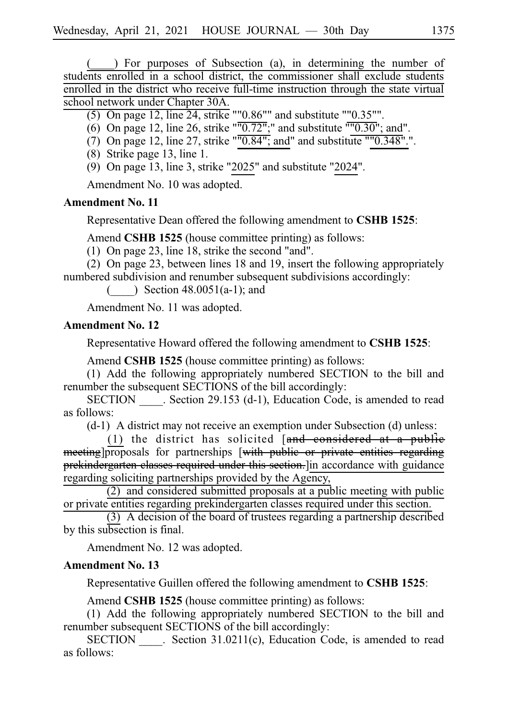$($ ) For purposes of Subsection (a), in determining the number of students enrolled in a school district, the commissioner shall exclude students enrolled in the district who receive full-time instruction through the state virtual school network under Chapter 30A.

- (5) On page 12, line 24, strike ""0.86"" and substitute ""0.35"".
- (6) On page 12, line 26, strike " $\overline{0.72}$ ";" and substitute  $\overline{0.30}$ "; and".
- (7) On page 12, line 27, strike " $\overline{0.84}$ "; and" and substitute "" $0.348$ ".".
- $(8)$  Strike page 13, line 1.
- (9) On page 13, line 3, strike "2025" and substitute "2024".

Amendment No. 10 was adopted.

#### **Amendment No. 11**

Representative Dean offered the following amendment to **CSHB 1525**:

Amend **CSHB 1525** (house committee printing) as follows:

(1) On page 23, line 18, strike the second "and".

(2) On page 23, between lines 18 and 19, insert the following appropriately numbered subdivision and renumber subsequent subdivisions accordingly:

 $(\ )$  Section 48.0051(a-1); and

Amendment No. 11 was adopted.

## **Amendment No. 12**

Representative Howard offered the following amendment to **CSHBi1525**:

Amend **CSHB 1525** (house committee printing) as follows:

(1) Add the following appropriately numbered SECTION to the bill and renumber the subsequent SECTIONS of the bill accordingly:

SECTION Section 29.153 (d-1), Education Code, is amended to read as follows:

 $(d-1)$  A district may not receive an exemption under Subsection  $(d)$  unless:

(1) the district has solicited  $[and$  considered at a public meeting]proposals for partnerships [with public or private entities regarding prekindergarten classes required under this section. In accordance with guidance regarding soliciting partnerships provided by the Agency,

 $(2)$  and considered submitted proposals at a public meeting with public or private entities regarding prekindergarten classes required under this section.

 $(3)$  A decision of the board of trustees regarding a partnership described by this subsection is final.

Amendment No. 12 was adopted.

#### **Amendment No. 13**

Representative Guillen offered the following amendment to **CSHBi1525**:

Amend **CSHB 1525** (house committee printing) as follows:

(1) Add the following appropriately numbered SECTION to the bill and renumber subsequent SECTIONS of the bill accordingly:

SECTION Section 31.0211(c), Education Code, is amended to read as follows: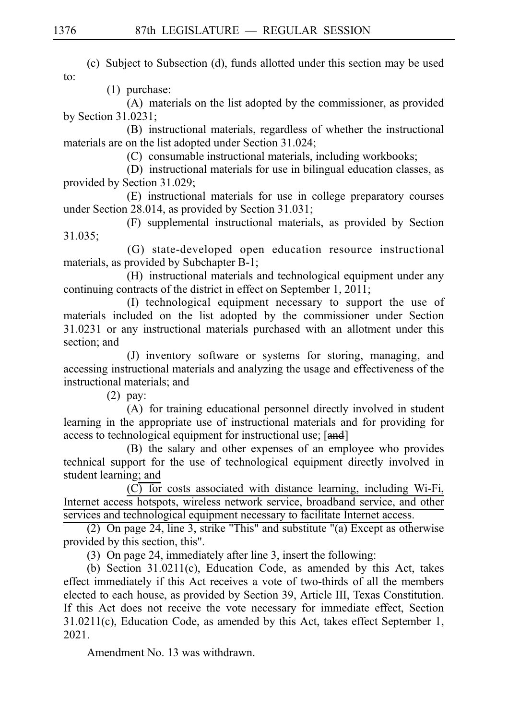(c) Subject to Subsection (d), funds allotted under this section may be used to:

 $(1)$  purchase:

(A) materials on the list adopted by the commissioner, as provided by Section 31.0231;

(B) instructional materials, regardless of whether the instructional materials are on the list adopted under Section 31.024;

(C) consumable instructional materials, including workbooks;

(D) instructional materials for use in bilingual education classes, as provided by Section 31.029;

(E) instructional materials for use in college preparatory courses under Section 28.014, as provided by Section 31.031;

(F) supplemental instructional materials, as provided by Section 31.035;

(G) state-developed open education resource instructional materials, as provided by Subchapter B-1;

(H) instructional materials and technological equipment under any continuing contracts of the district in effect on September 1, 2011;

(I) technological equipment necessary to support the use of materials included on the list adopted by the commissioner under Section 31.0231 or any instructional materials purchased with an allotment under this section; and

(J) inventory software or systems for storing, managing, and accessing instructional materials and analyzing the usage and effectiveness of the instructional materials; and

 $(2)$  pay:

(A) for training educational personnel directly involved in student learning in the appropriate use of instructional materials and for providing for access to technological equipment for instructional use; [and]

(B) the salary and other expenses of an employee who provides technical support for the use of technological equipment directly involved in student learning; and

 $(C)$  for costs associated with distance learning, including Wi-Fi, Internet access hotspots, wireless network service, broadband service, and other services and technological equipment necessary to facilitate Internet access.

(2) On page 24, line 3, strike "This" and substitute "(a) Except as otherwise provided by this section, this".

(3) On page 24, immediately after line 3, insert the following:

(b) Section  $31.0211(c)$ , Education Code, as amended by this Act, takes effect immediately if this Act receives a vote of two-thirds of all the members elected to each house, as provided by Section 39, Article III, Texas Constitution. If this Act does not receive the vote necessary for immediate effect, Section 31.0211(c), Education Code, as amended by this Act, takes effect September 1, 2021.

Amendment No. 13 was withdrawn.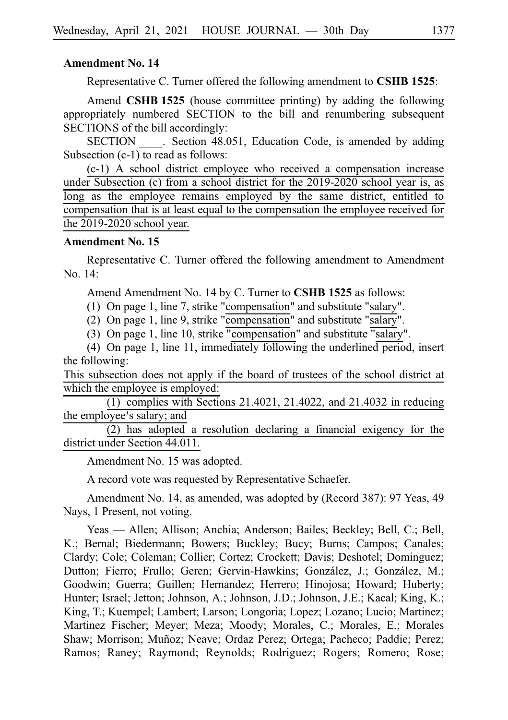#### **Amendment No. 14**

Representative C. Turner offered the following amendment to **CSHB 1525**:

Amend **CSHB 1525** (house committee printing) by adding the following appropriately numbered SECTION to the bill and renumbering subsequent SECTIONS of the bill accordingly:

SECTION Section 48.051, Education Code, is amended by adding Subsection (c-1) to read as follows:

 $(c-1)$  A school district employee who received a compensation increase under Subsection (c) from a school district for the 2019-2020 school year is, as long as the employee remains employed by the same district, entitled to compensation that is at least equal to the compensation the employee received for the 2019-2020 school year.

### **Amendment No. 15**

Representative C. Turner offered the following amendment to Amendment No. 14:

Amend Amendment No. 14 by C. Turner to **CSHB 1525** as follows:

(1) On page 1, line 7, strike "compensation" and substitute "salary".

(2) On page 1, line 9, strike "compensation" and substitute "salary".

(3) On page 1, line 10, strike "compensation" and substitute "salary".

(4) On page 1, line 11, immediately following the underlined period, insert the following:

This subsection does not apply if the board of trustees of the school district at which the employee is employed:

 $(1)$  complies with Sections 21.4021, 21.4022, and 21.4032 in reducing the employee's salary; and

 $\overline{(2)}$  has adopted a resolution declaring a financial exigency for the district under Section 44.011.

Amendment No. 15 was adopted.

A record vote was requested by Representative Schaefer.

Amendment No. 14, as amended, was adopted by (Record 387): 97 Yeas, 49 Nays, 1 Present, not voting.

Yeas — Allen; Allison; Anchia; Anderson; Bailes; Beckley; Bell, C.; Bell, K.; Bernal; Biedermann; Bowers; Buckley; Bucy; Burns; Campos; Canales; Clardy; Cole; Coleman; Collier; Cortez; Crockett; Davis; Deshotel; Dominguez; Dutton; Fierro; Frullo; Geren; Gervin-Hawkins; González, J.; González, M.; Goodwin; Guerra; Guillen; Hernandez; Herrero; Hinojosa; Howard; Huberty; Hunter; Israel; Jetton; Johnson, A.; Johnson, J.D.; Johnson, J.E.; Kacal; King, K.; King, T.; Kuempel; Lambert; Larson; Longoria; Lopez; Lozano; Lucio; Martinez; Martinez Fischer; Meyer; Meza; Moody; Morales, C.; Morales, E.; Morales Shaw; Morrison; Muñoz; Neave; Ordaz Perez; Ortega; Pacheco; Paddie; Perez; Ramos; Raney; Raymond; Reynolds; Rodriguez; Rogers; Romero; Rose;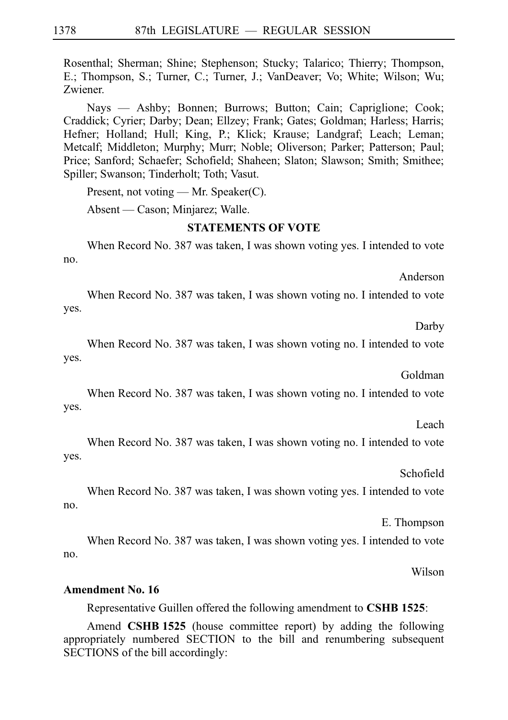Rosenthal; Sherman; Shine; Stephenson; Stucky; Talarico; Thierry; Thompson, E.; Thompson, S.; Turner, C.; Turner, J.; VanDeaver; Vo; White; Wilson; Wu; Zwiener.

Nays — Ashby; Bonnen; Burrows; Button; Cain; Capriglione; Cook; Craddick; Cyrier; Darby; Dean; Ellzey; Frank; Gates; Goldman; Harless; Harris; Hefner; Holland; Hull; King, P.; Klick; Krause; Landgraf; Leach; Leman; Metcalf; Middleton; Murphy; Murr; Noble; Oliverson; Parker; Patterson; Paul; Price; Sanford; Schaefer; Schofield; Shaheen; Slaton; Slawson; Smith; Smithee; Spiller; Swanson; Tinderholt; Toth; Vasut.

Present, not voting — Mr. Speaker(C).

Absent — Cason; Minjarez; Walle.

## **STATEMENTS OF VOTE**

When Record No. 387 was taken, I was shown voting yes. I intended to vote no.

Anderson

When Record No. 387 was taken, I was shown voting no. I intended to vote yes.

Darby

When Record No. 387 was taken, I was shown voting no. I intended to vote yes.

Goldman

When Record No. 387 was taken, I was shown voting no. I intended to vote yes.

Leach

When Record No. 387 was taken, I was shown voting no. I intended to vote yes.

Schofield

When Record No. 387 was taken, I was shown voting yes. I intended to vote no.

E. Thompson

When Record No. 387 was taken, I was shown voting yes. I intended to vote no.

Wilson

#### **Amendment No. 16**

Representative Guillen offered the following amendment to **CSHB 1525**:

Amend **CSHB 1525** (house committee report) by adding the following appropriately numbered SECTION to the bill and renumbering subsequent SECTIONS of the bill accordingly: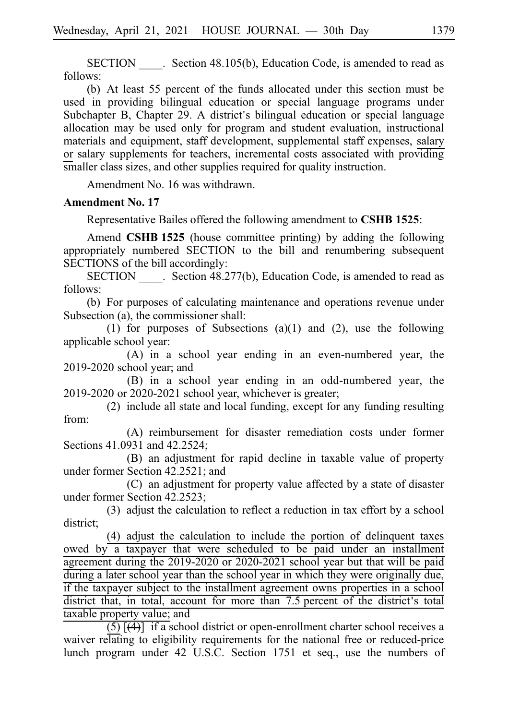SECTION Section 48.105(b), Education Code, is amended to read as follows:

(b) At least 55 percent of the funds allocated under this section must be used in providing bilingual education or special language programs under Subchapter B, Chapter 29. A district's bilingual education or special language allocation may be used only for program and student evaluation, instructional materials and equipment, staff development, supplemental staff expenses, salary or salary supplements for teachers, incremental costs associated with providing smaller class sizes, and other supplies required for quality instruction.

Amendment No. 16 was withdrawn.

#### **Amendment No. 17**

Representative Bailes offered the following amendment to **CSHB 1525**:

Amend **CSHB 1525** (house committee printing) by adding the following appropriately numbered SECTION to the bill and renumbering subsequent SECTIONS of the bill accordingly:

SECTION Section 48.277(b), Education Code, is amended to read as follows:

(b) For purposes of calculating maintenance and operations revenue under Subsection (a), the commissioner shall:

(1) for purposes of Subsections (a)(1) and (2), use the following applicable school year:

(A) in a school year ending in an even-numbered year, the  $2019-2020$  school year; and

(B) in a school year ending in an odd-numbered year, the  $2019-2020$  or  $2020-2021$  school year, whichever is greater;

 $(2)$  include all state and local funding, except for any funding resulting from:

(A) reimbursement for disaster remediation costs under former Sections 41.0931 and 42.2524;

(B) an adjustment for rapid decline in taxable value of property under former Section 42.2521; and

(C) an adjustment for property value affected by a state of disaster under former Section 42.2523;

(3) adjust the calculation to reflect a reduction in tax effort by a school district;

 $(4)$  adjust the calculation to include the portion of delinquent taxes owed by a taxpayer that were scheduled to be paid under an installment agreement during the  $2019-2020$  or  $2020-2021$  school year but that will be paid during a later school year than the school year in which they were originally due, if the taxpayer subject to the installment agreement owns properties in a school district that, in total, account for more than  $7.5$  percent of the district's total taxable property value; and

 $(5)$   $\overline{(4)}$  if a school district or open-enrollment charter school receives a waiver relating to eligibility requirements for the national free or reduced-price lunch program under 42 U.S.C. Section 1751 et seq., use the numbers of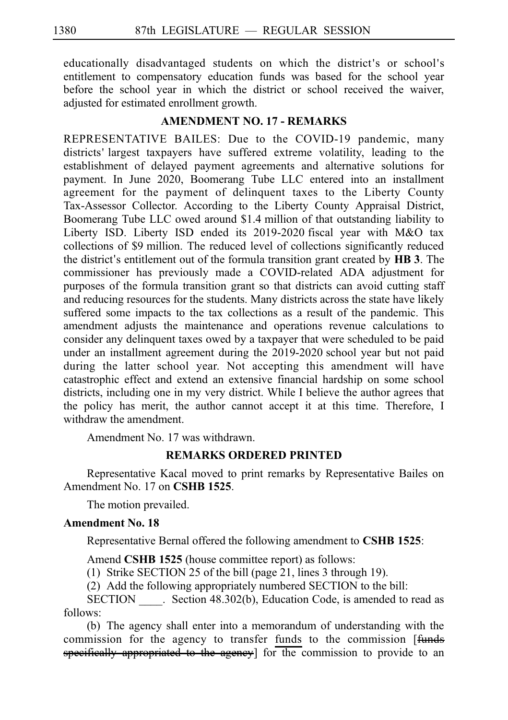educationally disadvantaged students on which the district's or school's entitlement to compensatory education funds was based for the school year before the school year in which the district or school received the waiver, adjusted for estimated enrollment growth.

#### **AMENDMENT NO. 17 - REMARKS**

REPRESENTATIVE BAILES: Due to the COVID-19 pandemic, many districts' largest taxpayers have suffered extreme volatility, leading to the establishment of delayed payment agreements and alternative solutions for payment. In June 2020, Boomerang Tube LLC entered into an installment agreement for the payment of delinquent taxes to the Liberty County Tax-Assessor Collector. According to the Liberty County Appraisal District, Boomerang Tube LLC owed around \$1.4 million of that outstanding liability to Liberty ISD. Liberty ISD ended its 2019-2020 fiscal year with M&O tax collections of \$9 million. The reduced level of collections significantly reduced the district's entitlement out of the formula transition grant created by **HB** 3. The commissioner has previously made a COVID-related ADA adjustment for purposes of the formula transition grant so that districts can avoid cutting staff and reducing resources for the students. Many districts across the state have likely suffered some impacts to the tax collections as a result of the pandemic. This amendment adjusts the maintenance and operations revenue calculations to consider any delinquent taxes owed by a taxpayer that were scheduled to be paid under an installment agreement during the 2019-2020 school year but not paid during the latter school year. Not accepting this amendment will have catastrophic effect and extend an extensive financial hardship on some school districts, including one in my very district. While I believe the author agrees that the policy has merit, the author cannot accept it at this time. Therefore, I withdraw the amendment.

Amendment No. 17 was withdrawn.

#### **REMARKS ORDERED PRINTED**

Representative Kacal moved to print remarks by Representative Bailes on Amendment No. 17 on **CSHB 1525**.

The motion prevailed.

#### **Amendment No. 18**

Representative Bernal offered the following amendment to **CSHB 1525**:

Amend **CSHB 1525** (house committee report) as follows:

(1) Strike SECTION 25 of the bill (page 21, lines 3 through 19).

 $(2)$  Add the following appropriately numbered SECTION to the bill:

SECTION Section 48.302(b), Education Code, is amended to read as follows:

(b) The agency shall enter into a memorandum of understanding with the commission for the agency to transfer funds to the commission [funds specifically appropriated to the agency] for the commission to provide to an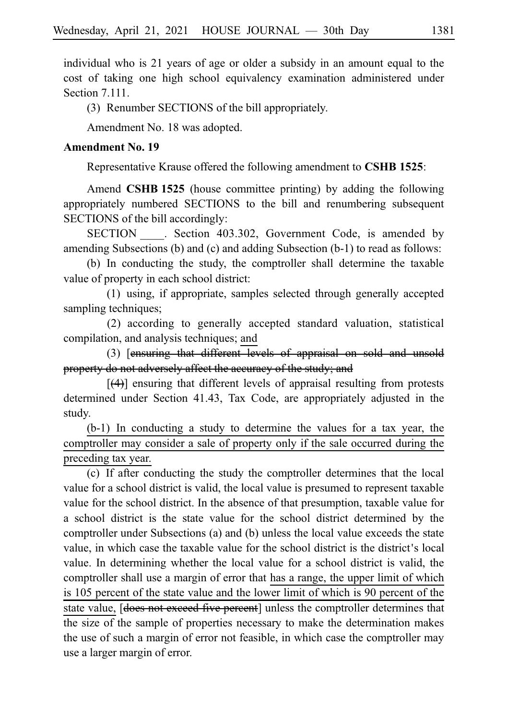individual who is 21 years of age or older a subsidy in an amount equal to the cost of taking one high school equivalency examination administered under Section 7.111.

(3) Renumber SECTIONS of the bill appropriately.

Amendment No. 18 was adopted.

#### **Amendment No. 19**

Representative Krause offered the following amendment to **CSHB 1525**:

Amend **CSHB 1525** (house committee printing) by adding the following appropriately numbered SECTIONS to the bill and renumbering subsequent SECTIONS of the bill accordingly:

SECTION . Section 403.302, Government Code, is amended by amending Subsections (b) and (c) and adding Subsection (b-1) to read as follows:

(b) In conducting the study, the comptroller shall determine the taxable value of property in each school district:

(1) using, if appropriate, samples selected through generally accepted sampling techniques;

(2) according to generally accepted standard valuation, statistical compilation, and analysis techniques; and

(3) [ensuring that different levels of appraisal on sold and unsold property do not adversely affect the accuracy of the study; and

[(4)] ensuring that different levels of appraisal resulting from protests determined under Section 41.43, Tax Code, are appropriately adjusted in the study.

 $(b-1)$  In conducting a study to determine the values for a tax year, the comptroller may consider a sale of property only if the sale occurred during the preceding tax year.

(c) If after conducting the study the comptroller determines that the local value for a school district is valid, the local value is presumed to represent taxable value for the school district. In the absence of that presumption, taxable value for a school district is the state value for the school district determined by the comptroller under Subsections (a) and (b) unless the local value exceeds the state value, in which case the taxable value for the school district is the district s local ' value. In determining whether the local value for a school district is valid, the comptroller shall use a margin of error that has a range, the upper limit of which is 105 percent of the state value and the lower limit of which is 90 percent of the state value, **[does not exceed five percent]** unless the comptroller determines that the size of the sample of properties necessary to make the determination makes the use of such a margin of error not feasible, in which case the comptroller may use a larger margin of error.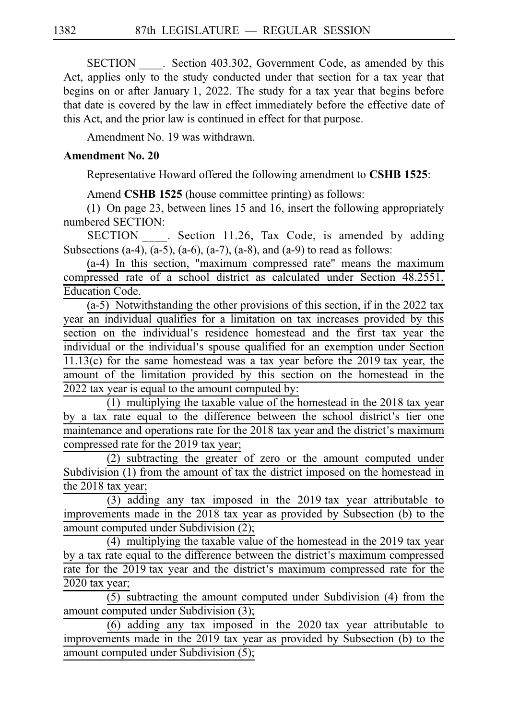SECTION Section 403.302, Government Code, as amended by this Act, applies only to the study conducted under that section for a tax year that begins on or after January 1, 2022. The study for a tax year that begins before that date is covered by the law in effect immediately before the effective date of this Act, and the prior law is continued in effect for that purpose.

Amendment No. 19 was withdrawn.

#### **Amendment No. 20**

Representative Howard offered the following amendment to **CSHB 1525**:

Amend **CSHB 1525** (house committee printing) as follows:

(1) On page 23, between lines 15 and 16, insert the following appropriately numbered SECTION:

SECTION . Section 11.26, Tax Code, is amended by adding Subsections (a-4), (a-5), (a-6), (a-7), (a-8), and (a-9) to read as follows:

 $(a-4)$  In this section, "maximum compressed rate" means the maximum compressed rate of a school district as calculated under Section 48.2551, Education Code.

 $(a-5)$  Notwithstanding the other provisions of this section, if in the 2022 tax year an individual qualifies for a limitation on tax increases provided by this section on the individual's residence homestead and the first tax year the individual or the individual's spouse qualified for an exemption under Section  $11.13(c)$  for the same homestead was a tax year before the 2019 tax year, the amount of the limitation provided by this section on the homestead in the  $2022$  tax year is equal to the amount computed by:

 $(1)$  multiplying the taxable value of the homestead in the 2018 tax year by a tax rate equal to the difference between the school district's tier one maintenance and operations rate for the 2018 tax year and the district's maximum compressed rate for the 2019 tax year;

 $(2)$  subtracting the greater of zero or the amount computed under Subdivision (1) from the amount of tax the district imposed on the homestead in the  $2018$  tax year;

 $(3)$  adding any tax imposed in the 2019 tax year attributable to improvements made in the 2018 tax year as provided by Subsection (b) to the amount computed under Subdivision (2);

(4) multiplying the taxable value of the homestead in the 2019 tax year by a tax rate equal to the difference between the district's maximum compressed rate for the 2019 tax year and the district's maximum compressed rate for the 2020 tax year;

 $(5)$  subtracting the amount computed under Subdivision  $(4)$  from the amount computed under Subdivision (3);

 $(6)$  adding any tax imposed in the 2020 tax year attributable to improvements made in the 2019 tax year as provided by Subsection (b) to the amount computed under Subdivision (5);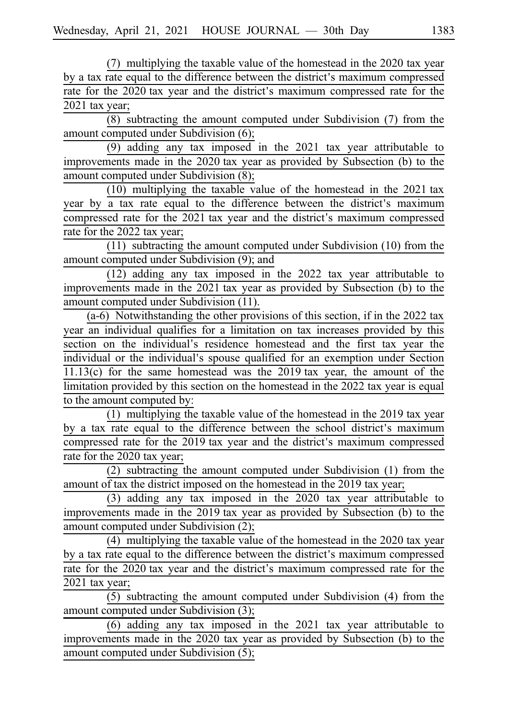(7) multiplying the taxable value of the homestead in the 2020 tax year by a tax rate equal to the difference between the district's maximum compressed rate for the 2020 tax year and the district's maximum compressed rate for the 2021 tax year;

 $\overline{(8)}$  subtracting the amount computed under Subdivision (7) from the amount computed under Subdivision (6);

 $(9)$  adding any tax imposed in the 2021 tax year attributable to improvements made in the 2020 tax year as provided by Subsection (b) to the amount computed under Subdivision (8);

 $(10)$  multiplying the taxable value of the homestead in the 2021 tax year by a tax rate equal to the difference between the district's maximum compressed rate for the 2021 tax year and the district's maximum compressed rate for the 2022 tax year;

 $(11)$  subtracting the amount computed under Subdivision (10) from the amount computed under Subdivision (9); and

 $(12)$  adding any tax imposed in the 2022 tax year attributable to improvements made in the 2021 tax year as provided by Subsection (b) to the amount computed under Subdivision (11).

 $(a-6)$  Notwithstanding the other provisions of this section, if in the 2022 tax year an individual qualifies for a limitation on tax increases provided by this section on the individual's residence homestead and the first tax year the individual or the individual's spouse qualified for an exemption under Section  $11.13(c)$  for the same homestead was the 2019 tax year, the amount of the limitation provided by this section on the homestead in the 2022 tax year is equal to the amount computed by:

 $(1)$  multiplying the taxable value of the homestead in the 2019 tax year by a tax rate equal to the difference between the school district's maximum compressed rate for the 2019 tax year and the district's maximum compressed rate for the 2020 tax year;

(2) subtracting the amount computed under Subdivision  $(1)$  from the amount of tax the district imposed on the homestead in the 2019 tax year;

 $(3)$  adding any tax imposed in the 2020 tax year attributable to improvements made in the 2019 tax year as provided by Subsection (b) to the amount computed under Subdivision (2);

 $(4)$  multiplying the taxable value of the homestead in the 2020 tax year by a tax rate equal to the difference between the district's maximum compressed rate for the 2020 tax year and the district's maximum compressed rate for the  $2021$  tax year;

 $(5)$  subtracting the amount computed under Subdivision (4) from the amount computed under Subdivision (3);

 $(6)$  adding any tax imposed in the 2021 tax year attributable to improvements made in the 2020 tax year as provided by Subsection (b) to the amount computed under Subdivision (5);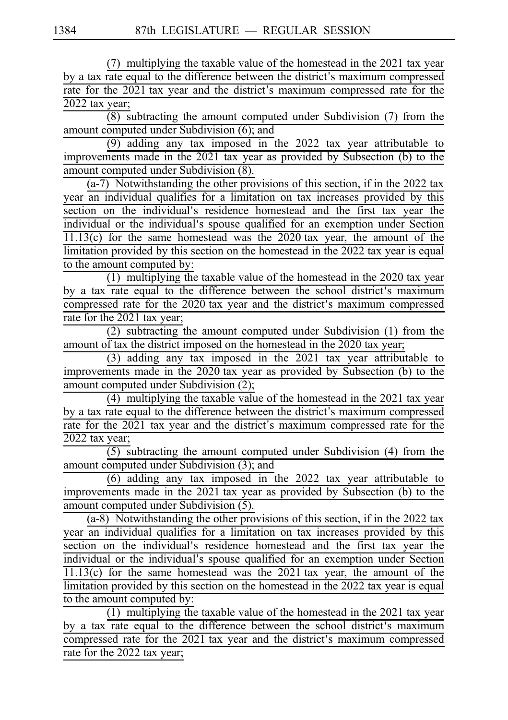$(7)$  multiplying the taxable value of the homestead in the 2021 tax year by a tax rate equal to the difference between the district's maximum compressed rate for the  $2021$  tax year and the district's maximum compressed rate for the  $2022$  tax year;

 $\overline{(8)}$  subtracting the amount computed under Subdivision (7) from the amount computed under Subdivision (6); and

(9) adding any tax imposed in the 2022 tax year attributable to improvements made in the 2021 tax year as provided by Subsection (b) to the amount computed under Subdivision (8).

 $\overline{(a-7)}$  Notwithstanding the other provisions of this section, if in the 2022 tax year an individual qualifies for a limitation on tax increases provided by this section on the individual's residence homestead and the first tax year the individual or the individual's spouse qualified for an exemption under Section  $11.13(c)$  for the same homestead was the 2020 tax year, the amount of the limitation provided by this section on the homestead in the  $2022$  tax year is equal to the amount computed by:

 $(1)$  multiplying the taxable value of the homestead in the 2020 tax year by a tax rate equal to the difference between the school district's maximum compressed rate for the 2020 tax year and the district's maximum compressed rate for the 2021 tax year;

 $(2)$  subtracting the amount computed under Subdivision (1) from the amount of tax the district imposed on the homestead in the 2020 tax year;

(3) adding any tax imposed in the 2021 tax year attributable to improvements made in the 2020 tax year as provided by Subsection (b) to the amount computed under Subdivision (2);

 $(4)$  multiplying the taxable value of the homestead in the 2021 tax year by a tax rate equal to the difference between the district's maximum compressed rate for the 2021 tax year and the district's maximum compressed rate for the  $2022$  tax year;

 $(5)$  subtracting the amount computed under Subdivision (4) from the amount computed under Subdivision (3); and

 $(6)$  adding any tax imposed in the 2022 tax year attributable to improvements made in the 2021 tax year as provided by Subsection (b) to the amount computed under Subdivision (5).

 $(a-8)$  Notwithstanding the other provisions of this section, if in the 2022 tax year an individual qualifies for a limitation on tax increases provided by this section on the individual's residence homestead and the first tax year the individual or the individual's spouse qualified for an exemption under Section  $11.13(c)$  for the same homestead was the 2021 tax year, the amount of the limitation provided by this section on the homestead in the 2022 tax year is equal to the amount computed by:

 $(1)$  multiplying the taxable value of the homestead in the 2021 tax year by a tax rate equal to the difference between the school district's maximum compressed rate for the 2021 tax year and the district's maximum compressed rate for the 2022 tax year;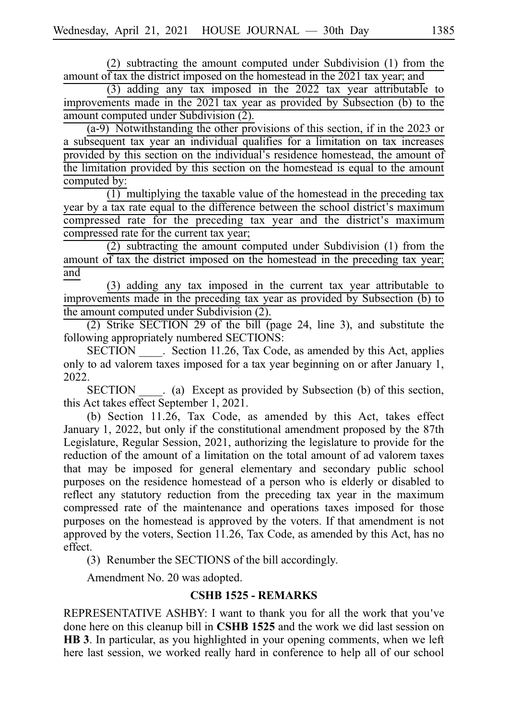$(2)$  subtracting the amount computed under Subdivision  $(1)$  from the amount of tax the district imposed on the homestead in the 2021 tax year; and

 $(3)$  adding any tax imposed in the 2022 tax year attributable to improvements made in the 2021 tax year as provided by Subsection (b) to the amount computed under Subdivision (2).

 $(a-9)$  Notwithstanding the other provisions of this section, if in the 2023 or a subsequent tax year an individual qualifies for a limitation on tax increases provided by this section on the individual's residence homestead, the amount of the limitation provided by this section on the homestead is equal to the amount computed by:

 $(1)$  multiplying the taxable value of the homestead in the preceding tax year by a tax rate equal to the difference between the school district's maximum compressed rate for the preceding tax year and the district ' s maximum compressed rate for the current tax year;

 $(2)$  subtracting the amount computed under Subdivision  $(1)$  from the amount of tax the district imposed on the homestead in the preceding tax year; and

(3) adding any tax imposed in the current tax year attributable to improvements made in the preceding tax year as provided by Subsection (b) to the amount computed under Subdivision (2).

(2) Strike SECTION 29 of the bill (page 24, line 3), and substitute the following appropriately numbered SECTIONS:

SECTION Section 11.26, Tax Code, as amended by this Act, applies only to ad valorem taxes imposed for a tax year beginning on or after January 1, 2022.

SECTION (a) Except as provided by Subsection (b) of this section, this Act takes effect September 1, 2021.

(b) Section 11.26, Tax Code, as amended by this Act, takes effect January 1, 2022, but only if the constitutional amendment proposed by the 87th Legislature, Regular Session, 2021, authorizing the legislature to provide for the reduction of the amount of a limitation on the total amount of ad valorem taxes that may be imposed for general elementary and secondary public school purposes on the residence homestead of a person who is elderly or disabled to reflect any statutory reduction from the preceding tax year in the maximum compressed rate of the maintenance and operations taxes imposed for those purposes on the homestead is approved by the voters. If that amendment is not approved by the voters, Section 11.26, Tax Code, as amended by this Act, has no effect.

(3) Renumber the SECTIONS of the bill accordingly.

Amendment No. 20 was adopted.

#### **CSHB 1525 - REMARKS**

REPRESENTATIVE ASHBY: I want to thank you for all the work that you ve' done here on this cleanup bill in **CSHB 1525** and the work we did last session on HB 3. In particular, as you highlighted in your opening comments, when we left here last session, we worked really hard in conference to help all of our school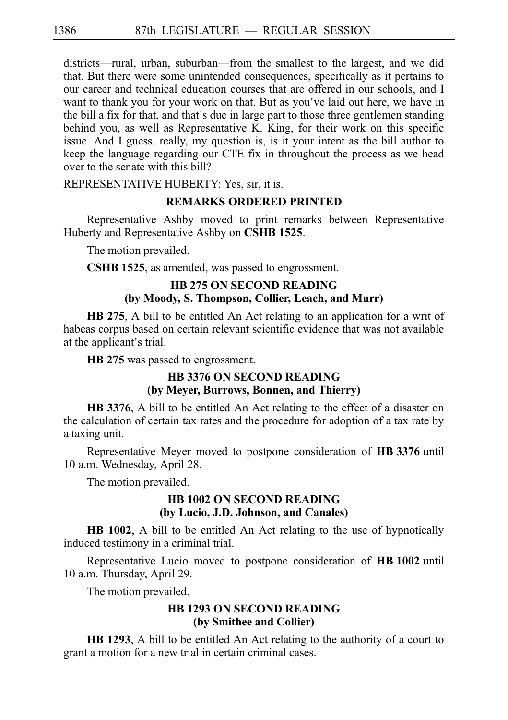districts––rural, urban, suburban––from the smallest to the largest, and we did that. But there were some unintended consequences, specifically as it pertains to our career and technical education courses that are offered in our schools, and I want to thank you for your work on that. But as you've laid out here, we have in the bill a fix for that, and that's due in large part to those three gentlemen standing behind you, as well as Representative K. King, for their work on this specific issue. And I guess, really, my question is, is it your intent as the bill author to keep the language regarding our CTE fix in throughout the process as we head over to the senate with this bill?

REPRESENTATIVE HUBERTY: Yes, sir, it is.

### **REMARKS ORDERED PRINTED**

Representative Ashby moved to print remarks between Representative Huberty and Representative Ashby on **CSHBi1525**.

The motion prevailed.

**CSHB 1525**, as amended, was passed to engrossment.

## **HB 275 ON SECOND READING (by Moody, S. Thompson, Collier, Leach, and Murr)**

**HB 275**, A bill to be entitled An Act relating to an application for a writ of habeas corpus based on certain relevant scientific evidence that was not available at the applicant's trial.

**HB** 275 was passed to engrossment.

## **HB 3376 ON SECOND READING (by Meyer, Burrows, Bonnen, and Thierry)**

**HB 3376**, A bill to be entitled An Act relating to the effect of a disaster on the calculation of certain tax rates and the procedure for adoption of a tax rate by a taxing unit.

Representative Meyer moved to postpone consideration of HB 3376 until 10 a.m. Wednesday, April 28.

The motion prevailed.

#### **HB 1002 ON SECOND READING (by Lucio, J.D. Johnson, and Canales)**

**HB 1002**, A bill to be entitled An Act relating to the use of hypnotically induced testimony in a criminal trial.

Representative Lucio moved to postpone consideration of **HB 1002** until 10 a.m. Thursday, April 29.

The motion prevailed.

#### **HB 1293 ON SECOND READING (by Smithee and Collier)**

**HB 1293**, A bill to be entitled An Act relating to the authority of a court to grant a motion for a new trial in certain criminal cases.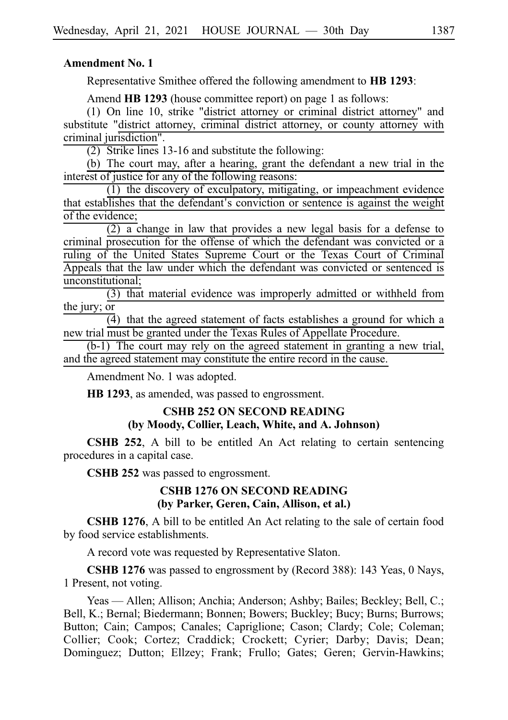#### **Amendment No. 1**

Representative Smithee offered the following amendment to **HB** 1293:

Amend **HB 1293** (house committee report) on page 1 as follows:

 $(1)$  On line 10, strike "district attorney or criminal district attorney" and substitute "district attorney, criminal district attorney, or county attorney with criminal jurisdiction".

 $(2)$  Strike lines 13-16 and substitute the following:

(b) The court may, after a hearing, grant the defendant a new trial in the interest of justice for any of the following reasons:

 $(1)$  the discovery of exculpatory, mitigating, or impeachment evidence that establishes that the defendant's conviction or sentence is against the weight of the evidence;

 $(2)$  a change in law that provides a new legal basis for a defense to criminal prosecution for the offense of which the defendant was convicted or a ruling of the United States Supreme Court or the Texas Court of Criminal Appeals that the law under which the defendant was convicted or sentenced is unconstitutional;

 $(3)$  that material evidence was improperly admitted or withheld from the jury; or

 $\overline{4}$ ) that the agreed statement of facts establishes a ground for which a new trial must be granted under the Texas Rules of Appellate Procedure.

 $(b-1)$  The court may rely on the agreed statement in granting a new trial, and the agreed statement may constitute the entire record in the cause.

Amendment No. 1 was adopted.

**HB 1293**, as amended, was passed to engrossment.

#### **CSHB 252 ON SECOND READING (by Moody, Collier, Leach, White, and A. Johnson)**

**CSHB 252**, A bill to be entitled An Act relating to certain sentencing procedures in a capital case.

**CSHB 252** was passed to engrossment.

#### **CSHB 1276 ON SECOND READING (by Parker, Geren, Cain, Allison, et al.)**

**CSHB 1276**, A bill to be entitled An Act relating to the sale of certain food by food service establishments.

A record vote was requested by Representative Slaton.

CSHB 1276 was passed to engrossment by (Record 388): 143 Yeas, 0 Nays, 1 Present, not voting.

Yeas — Allen; Allison; Anchia; Anderson; Ashby; Bailes; Beckley; Bell, C.; Bell, K.; Bernal; Biedermann; Bonnen; Bowers; Buckley; Bucy; Burns; Burrows; Button; Cain; Campos; Canales; Capriglione; Cason; Clardy; Cole; Coleman; Collier; Cook; Cortez; Craddick; Crockett; Cyrier; Darby; Davis; Dean; Dominguez; Dutton; Ellzey; Frank; Frullo; Gates; Geren; Gervin-Hawkins;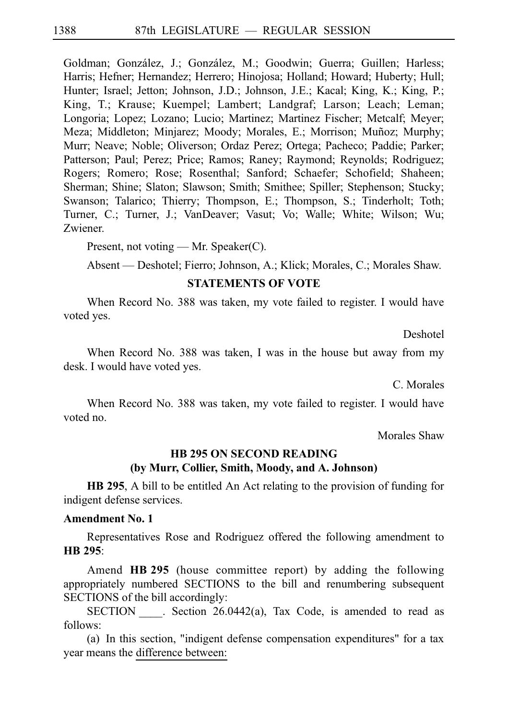Goldman; González, J.; González, M.; Goodwin; Guerra; Guillen; Harless; Harris; Hefner; Hernandez; Herrero; Hinojosa; Holland; Howard; Huberty; Hull; Hunter; Israel; Jetton; Johnson, J.D.; Johnson, J.E.; Kacal; King, K.; King, P.; King, T.; Krause; Kuempel; Lambert; Landgraf; Larson; Leach; Leman; Longoria; Lopez; Lozano; Lucio; Martinez; Martinez Fischer; Metcalf; Meyer; Meza; Middleton; Minjarez; Moody; Morales, E.; Morrison; Muñoz; Murphy; Murr; Neave; Noble; Oliverson; Ordaz Perez; Ortega; Pacheco; Paddie; Parker; Patterson; Paul; Perez; Price; Ramos; Raney; Raymond; Reynolds; Rodriguez; Rogers; Romero; Rose; Rosenthal; Sanford; Schaefer; Schofield; Shaheen; Sherman; Shine; Slaton; Slawson; Smith; Smithee; Spiller; Stephenson; Stucky; Swanson; Talarico; Thierry; Thompson, E.; Thompson, S.; Tinderholt; Toth; Turner, C.; Turner, J.; VanDeaver; Vasut; Vo; Walle; White; Wilson; Wu; Zwiener.

Present, not voting — Mr. Speaker(C).

Absent — Deshotel; Fierro; Johnson, A.; Klick; Morales, C.; Morales Shaw.

#### **STATEMENTS OF VOTE**

When Record No. 388 was taken, my vote failed to register. I would have voted yes.

Deshotel

When Record No. 388 was taken, I was in the house but away from my desk. I would have voted yes.

C. Morales

When Record No. 388 was taken, my vote failed to register. I would have voted no.

Morales Shaw

## **HB 295 ON SECOND READING (by Murr, Collier, Smith, Moody, and A. Johnson)**

**HB 295**, A bill to be entitled An Act relating to the provision of funding for indigent defense services.

#### **Amendment No. 1**

Representatives Rose and Rodriguez offered the following amendment to **HBi295**:

Amend **HB 295** (house committee report) by adding the following appropriately numbered SECTIONS to the bill and renumbering subsequent SECTIONS of the bill accordingly:

SECTION Section 26.0442(a), Tax Code, is amended to read as follows:

(a) In this section, "indigent defense compensation expenditures" for a tax year means the difference between: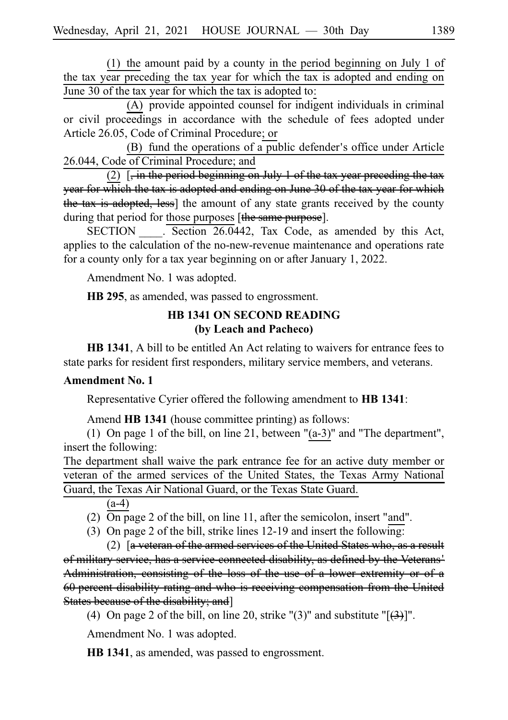(1) the amount paid by a county in the period beginning on July 1 of the tax year preceding the tax year for which the tax is adopted and ending on June 30 of the tax year for which the tax is adopted to:

(A) provide appointed counsel for indigent individuals in criminal or civil proceedings in accordance with the schedule of fees adopted under Article 26.05, Code of Criminal Procedure; or

(B) fund the operations of a public defender's office under Article 26.044, Code of Criminal Procedure; and

(2)  $\left[$ , in the period beginning on July 1 of the tax year preceding the tax year for which the tax is adopted and ending on June 30 of the tax year for which the tax is adopted, less) the amount of any state grants received by the county during that period for those purposes [the same purpose].

SECTION . Section 26.0442, Tax Code, as amended by this Act, applies to the calculation of the no-new-revenue maintenance and operations rate for a county only for a tax year beginning on or after January 1, 2022.

Amendment No. 1 was adopted.

**HB 295**, as amended, was passed to engrossment.

## **HB 1341 ON SECOND READING (by Leach and Pacheco)**

**HB 1341**, A bill to be entitled An Act relating to waivers for entrance fees to state parks for resident first responders, military service members, and veterans.

#### **Amendment No. 1**

Representative Cyrier offered the following amendment to **HBi1341**:

Amend **HB 1341** (house committee printing) as follows:

(1) On page 1 of the bill, on line 21, between " $(a-3)$ " and "The department", insert the following:

The department shall waive the park entrance fee for an active duty member or veteran of the armed services of the United States, the Texas Army National Guard, the Texas Air National Guard, or the Texas State Guard.

(a-4)

(2) On page 2 of the bill, on line 11, after the semicolon, insert "and".

(3) On page 2 of the bill, strike lines  $12-19$  and insert the following:

(2)  $\int a \cdot v \cdot \cdot \cdot \cdot$  of the armed services of the United States who, as a result of military service, has a service-connected disability, as defined by the Veterans ' Administration, consisting of the loss of the use of a lower extremity or of a 60 percent disability rating and who is receiving compensation from the United States because of the disability; and]

(4) On page 2 of the bill, on line 20, strike "(3)" and substitute " $[\frac{(3)}{]}$ ".

Amendment No. 1 was adopted.

**HB 1341**, as amended, was passed to engrossment.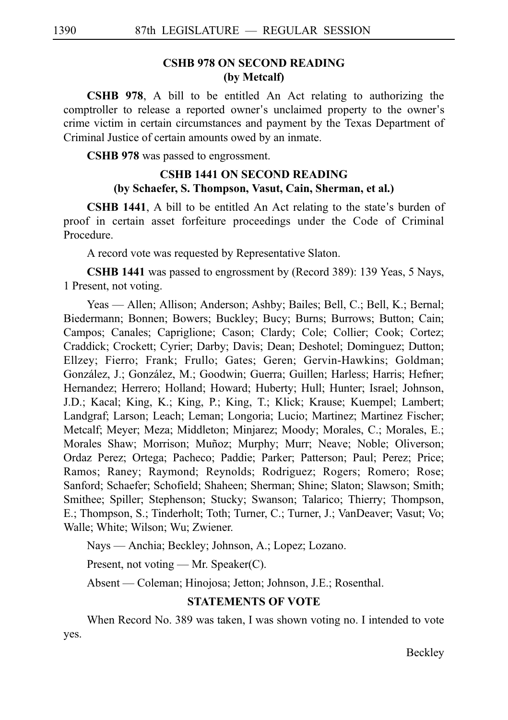## **CSHB 978 ON SECOND READING (by Metcalf)**

**CSHB 978**, A bill to be entitled An Act relating to authorizing the comptroller to release a reported owner's unclaimed property to the owner's crime victim in certain circumstances and payment by the Texas Department of Criminal Justice of certain amounts owed by an inmate.

**CSHB 978** was passed to engrossment.

## **CSHB 1441 ON SECOND READING (by Schaefer, S. Thompson, Vasut, Cain, Sherman, et al.)**

**CSHB 1441**, A bill to be entitled An Act relating to the state's burden of proof in certain asset forfeiture proceedings under the Code of Criminal Procedure.

A record vote was requested by Representative Slaton.

**CSHB 1441** was passed to engrossment by (Record 389): 139 Yeas, 5 Nays, 1 Present, not voting.

Yeas — Allen; Allison; Anderson; Ashby; Bailes; Bell, C.; Bell, K.; Bernal; Biedermann; Bonnen; Bowers; Buckley; Bucy; Burns; Burrows; Button; Cain; Campos; Canales; Capriglione; Cason; Clardy; Cole; Collier; Cook; Cortez; Craddick; Crockett; Cyrier; Darby; Davis; Dean; Deshotel; Dominguez; Dutton; Ellzey; Fierro; Frank; Frullo; Gates; Geren; Gervin-Hawkins; Goldman; González, J.; González, M.; Goodwin; Guerra; Guillen; Harless; Harris; Hefner; Hernandez; Herrero; Holland; Howard; Huberty; Hull; Hunter; Israel; Johnson, J.D.; Kacal; King, K.; King, P.; King, T.; Klick; Krause; Kuempel; Lambert; Landgraf; Larson; Leach; Leman; Longoria; Lucio; Martinez; Martinez Fischer; Metcalf; Meyer; Meza; Middleton; Minjarez; Moody; Morales, C.; Morales, E.; Morales Shaw; Morrison; Muñoz; Murphy; Murr; Neave; Noble; Oliverson; Ordaz Perez; Ortega; Pacheco; Paddie; Parker; Patterson; Paul; Perez; Price; Ramos; Raney; Raymond; Reynolds; Rodriguez; Rogers; Romero; Rose; Sanford; Schaefer; Schofield; Shaheen; Sherman; Shine; Slaton; Slawson; Smith; Smithee; Spiller; Stephenson; Stucky; Swanson; Talarico; Thierry; Thompson, E.; Thompson, S.; Tinderholt; Toth; Turner, C.; Turner, J.; VanDeaver; Vasut; Vo; Walle; White; Wilson; Wu; Zwiener.

Nays — Anchia; Beckley; Johnson, A.; Lopez; Lozano.

Present, not voting — Mr. Speaker(C).

Absent — Coleman; Hinojosa; Jetton; Johnson, J.E.; Rosenthal.

## **STATEMENTS OF VOTE**

When Record No. 389 was taken, I was shown voting no. I intended to vote yes.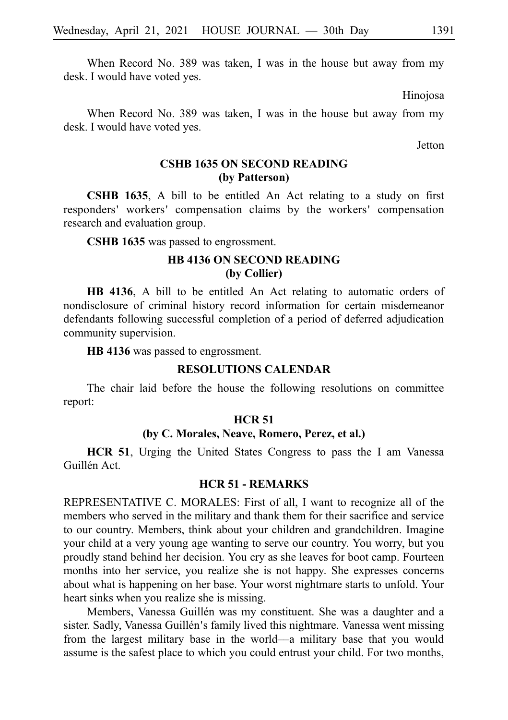When Record No. 389 was taken, I was in the house but away from my desk. I would have voted yes.

Hinojosa

When Record No. 389 was taken, I was in the house but away from my desk. I would have voted yes.

**Jetton** 

## **CSHB 1635 ON SECOND READING (by Patterson)**

**CSHB 1635**, A bill to be entitled An Act relating to a study on first responders' workers' compensation claims by the workers' compensation research and evaluation group.

**CSHB 1635** was passed to engrossment.

## **HB 4136 ON SECOND READING (by Collier)**

**HB 4136**, A bill to be entitled An Act relating to automatic orders of nondisclosure of criminal history record information for certain misdemeanor defendants following successful completion of a period of deferred adjudication community supervision.

**HB** 4136 was passed to engrossment.

#### **RESOLUTIONS CALENDAR**

The chair laid before the house the following resolutions on committee report:

#### **HCR 51**

#### **(by C. Morales, Neave, Romero, Perez, et al.)**

**HCR 51**, Urging the United States Congress to pass the I am Vanessa Guillén Act.

#### **HCR 51 - REMARKS**

REPRESENTATIVE C. MORALES: First of all, I want to recognize all of the members who served in the military and thank them for their sacrifice and service to our country. Members, think about your children and grandchildren. Imagine your child at a very young age wanting to serve our country. You worry, but you proudly stand behind her decision. You cry as she leaves for boot camp. Fourteen months into her service, you realize she is not happy. She expresses concerns about what is happening on her base. Your worst nightmare starts to unfold. Your heart sinks when you realize she is missing.

Members, Vanessa Guillén was my constituent. She was a daughter and a sister. Sadly, Vanessa Guillén's family lived this nightmare. Vanessa went missing from the largest military base in the world––a military base that you would assume is the safest place to which you could entrust your child. For two months,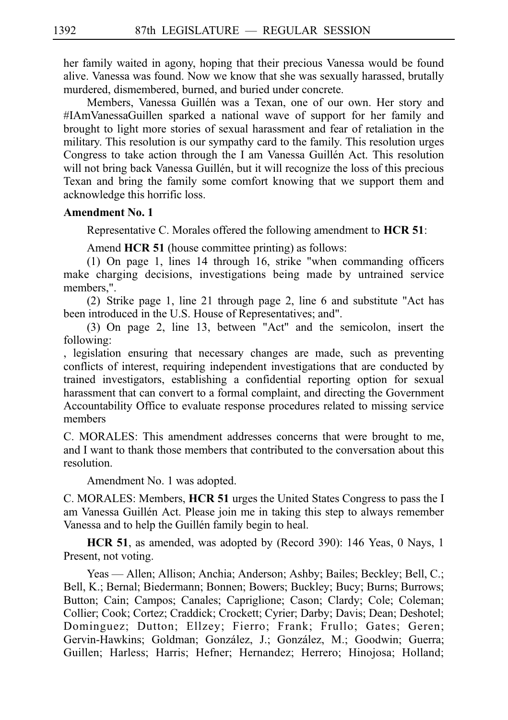her family waited in agony, hoping that their precious Vanessa would be found alive. Vanessa was found. Now we know that she was sexually harassed, brutally murdered, dismembered, burned, and buried under concrete.

Members, Vanessa Guillén was a Texan, one of our own. Her story and #IAmVanessaGuillen sparked a national wave of support for her family and brought to light more stories of sexual harassment and fear of retaliation in the military. This resolution is our sympathy card to the family. This resolution urges Congress to take action through the I am Vanessa Guillén Act. This resolution will not bring back Vanessa Guillén, but it will recognize the loss of this precious Texan and bring the family some comfort knowing that we support them and acknowledge this horrific loss.

#### **Amendment No. 1**

Representative C. Morales offered the following amendment to **HCR 51**:

Amend **HCR 51** (house committee printing) as follows:

(1) On page 1, lines 14 through 16, strike "when commanding officers make charging decisions, investigations being made by untrained service members,".

(2) Strike page 1, line 21 through page 2, line 6 and substitute "Act has been introduced in the U.S. House of Representatives; and".

(3) On page 2, line 13, between "Act" and the semicolon, insert the following:

, legislation ensuring that necessary changes are made, such as preventing conflicts of interest, requiring independent investigations that are conducted by trained investigators, establishing a confidential reporting option for sexual harassment that can convert to a formal complaint, and directing the Government Accountability Office to evaluate response procedures related to missing service members

C. MORALES: This amendment addresses concerns that were brought to me, and I want to thank those members that contributed to the conversation about this resolution.

Amendment No. 1 was adopted.

C. MORALES: Members, **HCR 51** urges the United States Congress to pass the I am Vanessa Guillén Act. Please join me in taking this step to always remember Vanessa and to help the Guillén family begin to heal.

**HCR 51**, as amended, was adopted by (Record 390): 146 Yeas, 0 Nays, 1 Present, not voting.

Yeas — Allen; Allison; Anchia; Anderson; Ashby; Bailes; Beckley; Bell, C.; Bell, K.; Bernal; Biedermann; Bonnen; Bowers; Buckley; Bucy; Burns; Burrows; Button; Cain; Campos; Canales; Capriglione; Cason; Clardy; Cole; Coleman; Collier; Cook; Cortez; Craddick; Crockett; Cyrier; Darby; Davis; Dean; Deshotel; Dominguez; Dutton; Ellzey; Fierro; Frank; Frullo; Gates; Geren; Gervin-Hawkins; Goldman; González, J.; González, M.; Goodwin; Guerra; Guillen; Harless; Harris; Hefner; Hernandez; Herrero; Hinojosa; Holland;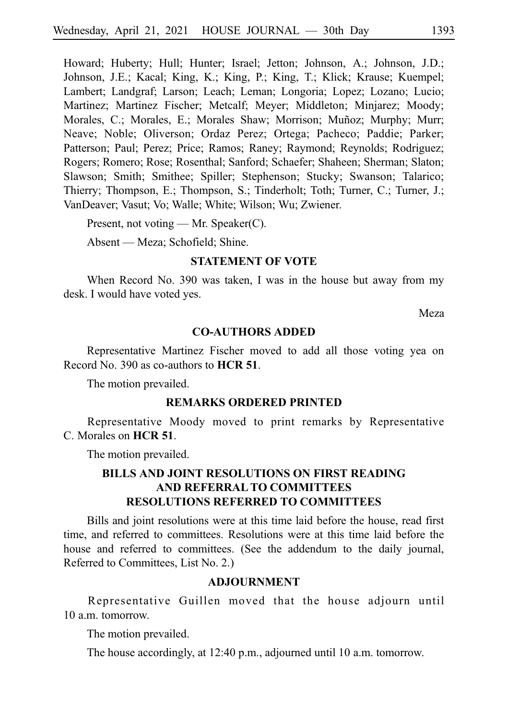Howard; Huberty; Hull; Hunter; Israel; Jetton; Johnson, A.; Johnson, J.D.; Johnson, J.E.; Kacal; King, K.; King, P.; King, T.; Klick; Krause; Kuempel; Lambert; Landgraf; Larson; Leach; Leman; Longoria; Lopez; Lozano; Lucio; Martinez; Martinez Fischer; Metcalf; Meyer; Middleton; Minjarez; Moody; Morales, C.; Morales, E.; Morales Shaw; Morrison; Muñoz; Murphy; Murr; Neave; Noble; Oliverson; Ordaz Perez; Ortega; Pacheco; Paddie; Parker; Patterson; Paul; Perez; Price; Ramos; Raney; Raymond; Reynolds; Rodriguez; Rogers; Romero; Rose; Rosenthal; Sanford; Schaefer; Shaheen; Sherman; Slaton; Slawson; Smith; Smithee; Spiller; Stephenson; Stucky; Swanson; Talarico; Thierry; Thompson, E.; Thompson, S.; Tinderholt; Toth; Turner, C.; Turner, J.; VanDeaver; Vasut; Vo; Walle; White; Wilson; Wu; Zwiener.

Present, not voting — Mr. Speaker(C).

Absent — Meza; Schofield; Shine.

#### **STATEMENT OF VOTE**

When Record No. 390 was taken, I was in the house but away from my desk. I would have voted yes.

Meza

#### **CO-AUTHORS ADDED**

Representative Martinez Fischer moved to add all those voting yea on Record No. 390 as co-authors to **HCR 51**.

The motion prevailed.

#### **REMARKS ORDERED PRINTED**

Representative Moody moved to print remarks by Representative C. Morales on **HCR 51**.

The motion prevailed.

## **BILLS AND JOINT RESOLUTIONS ON FIRST READING AND REFERRAL TO COMMITTEES RESOLUTIONS REFERRED TO COMMITTEES**

Bills and joint resolutions were at this time laid before the house, read first time, and referred to committees. Resolutions were at this time laid before the house and referred to committees. (See the addendum to the daily journal, Referred to Committees, List No. 2.)

#### **ADJOURNMENT**

Representative Guillen moved that the house adjourn until 10 a.m. tomorrow.

The motion prevailed.

The house accordingly, at 12:40 p.m., adjourned until 10 a.m. tomorrow.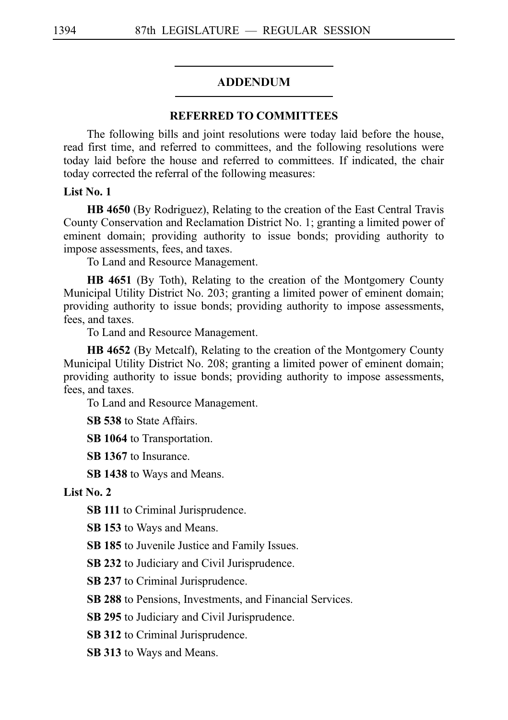#### ADDENDUM

#### **REFERRED TO COMMITTEES**

The following bills and joint resolutions were today laid before the house, read first time, and referred to committees, and the following resolutions were today laid before the house and referred to committees. If indicated, the chair today corrected the referral of the following measures:

#### **List No. 1**

**HB 4650** (By Rodriguez), Relating to the creation of the East Central Travis County Conservation and Reclamation District No. 1; granting a limited power of eminent domain; providing authority to issue bonds; providing authority to impose assessments, fees, and taxes.

To Land and Resource Management.

**HB 4651** (By Toth), Relating to the creation of the Montgomery County Municipal Utility District No. 203; granting a limited power of eminent domain; providing authority to issue bonds; providing authority to impose assessments, fees, and taxes.

To Land and Resource Management.

**HB 4652** (By Metcalf), Relating to the creation of the Montgomery County Municipal Utility District No. 208; granting a limited power of eminent domain; providing authority to issue bonds; providing authority to impose assessments, fees, and taxes.

To Land and Resource Management.

**SB 538** to State Affairs.

**SB 1064** to Transportation.

**SB 1367** to Insurance.

**SB 1438** to Ways and Means.

**List No. 2**

**SB 111** to Criminal Jurisprudence.

**SB 153** to Ways and Means.

**SB 185** to Juvenile Justice and Family Issues.

**SB 232** to Judiciary and Civil Jurisprudence.

**SB 237** to Criminal Jurisprudence.

**SB 288** to Pensions, Investments, and Financial Services.

**SB 295** to Judiciary and Civil Jurisprudence.

**SB 312** to Criminal Jurisprudence.

**SB 313** to Ways and Means.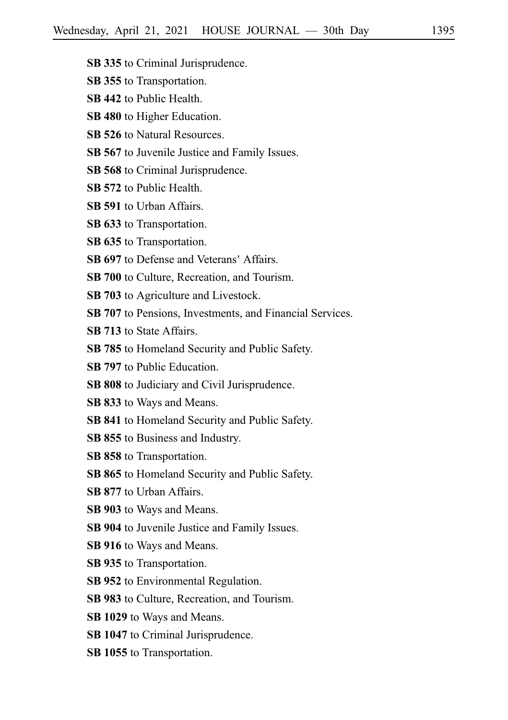- **SB 335** to Criminal Jurisprudence.
- **SB 355** to Transportation.
- **SB 442** to Public Health.
- **SB 480** to Higher Education.
- **SB 526** to Natural Resources.
- **SB 567** to Juvenile Justice and Family Issues.
- **SB 568** to Criminal Jurisprudence.
- **SB 572** to Public Health.
- **SB 591** to Urban Affairs.
- **SB 633** to Transportation.
- **SB 635** to Transportation.
- **SB 697** to Defense and Veterans' Affairs.
- **SB 700** to Culture, Recreation, and Tourism.
- **SB 703** to Agriculture and Livestock.
- **SB 707** to Pensions, Investments, and Financial Services.
- **SB 713** to State Affairs.
- **SB 785** to Homeland Security and Public Safety.
- **SB 797** to Public Education.
- **SB 808** to Judiciary and Civil Jurisprudence.
- **SB 833** to Ways and Means.
- **SB 841** to Homeland Security and Public Safety.
- **SB 855** to Business and Industry.
- **SB 858** to Transportation.
- **SB 865** to Homeland Security and Public Safety.
- **SB 877** to Urban Affairs.
- **SB 903** to Ways and Means.
- **SB 904** to Juvenile Justice and Family Issues.
- **SB 916** to Ways and Means.
- **SB 935** to Transportation.
- **SB 952** to Environmental Regulation.
- **SB 983** to Culture, Recreation, and Tourism.
- **SB 1029** to Ways and Means.
- **SB 1047** to Criminal Jurisprudence.
- **SB 1055** to Transportation.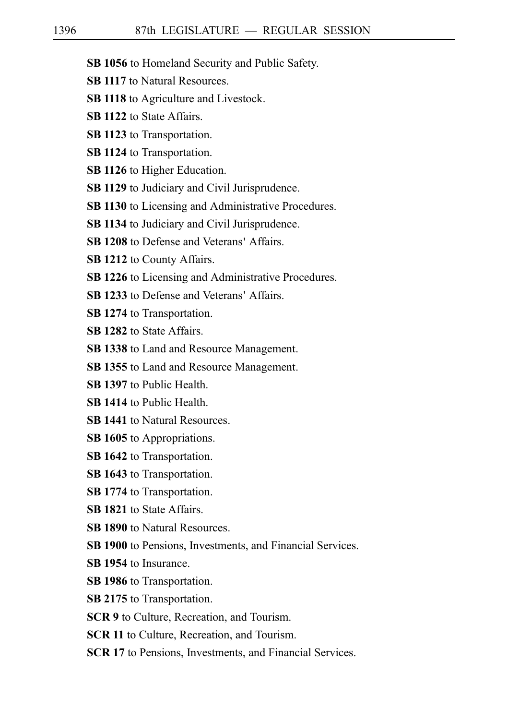- **SB 1056** to Homeland Security and Public Safety.
- **SB 1117** to Natural Resources.
- **SB 1118** to Agriculture and Livestock.
- **SB 1122** to State Affairs.
- **SB 1123** to Transportation.
- **SB 1124** to Transportation.
- **SB 1126** to Higher Education.
- **SB 1129** to Judiciary and Civil Jurisprudence.
- **SB 1130** to Licensing and Administrative Procedures.
- **SB 1134** to Judiciary and Civil Jurisprudence.
- **SB 1208** to Defense and Veterans' Affairs.
- **SB 1212** to County Affairs.
- **SB 1226** to Licensing and Administrative Procedures.
- **SB 1233** to Defense and Veterans' Affairs.
- **SB 1274** to Transportation.
- **SB 1282** to State Affairs.
- **SB 1338** to Land and Resource Management.
- **SB 1355** to Land and Resource Management.
- **SB 1397** to Public Health.
- **SB 1414** to Public Health.
- **SB 1441** to Natural Resources.
- **SB 1605** to Appropriations.
- **SB 1642** to Transportation.
- **SB 1643** to Transportation.
- **SB 1774** to Transportation.
- **SB 1821** to State Affairs.
- **SB 1890** to Natural Resources.
- **SB 1900** to Pensions, Investments, and Financial Services.
- **SB 1954** to Insurance.
- **SB 1986** to Transportation.
- **SB 2175** to Transportation.
- **SCR 9** to Culture, Recreation, and Tourism.
- **SCR 11** to Culture, Recreation, and Tourism.
- **SCR 17** to Pensions, Investments, and Financial Services.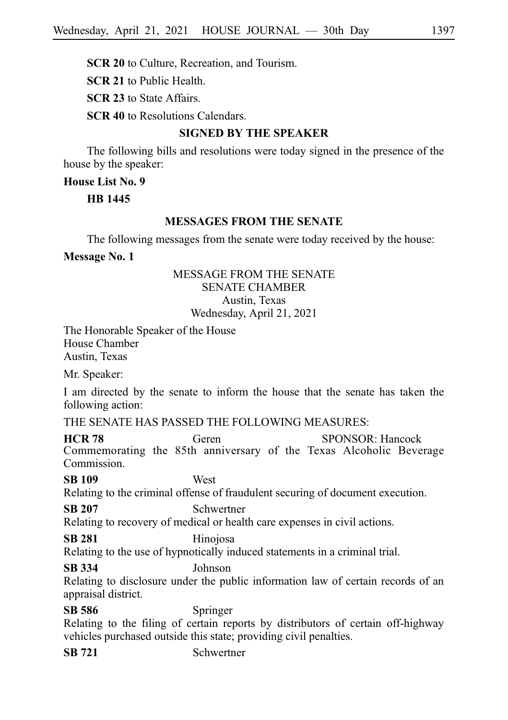**SCR 21** to Public Health.

**SCR 23** to State Affairs.

**SCR 40** to Resolutions Calendars.

## **SIGNED BY THE SPEAKER**

The following bills and resolutions were today signed in the presence of the house by the speaker:

**House List No. 9**

**HB**i**1445**

## **MESSAGES FROM THE SENATE**

The following messages from the senate were today received by the house:

**Message No. 1**

## MESSAGE FROM THE SENATE SENATE CHAMBER Austin, Texas Wednesday, April 21, 2021

The Honorable Speaker of the House House Chamber Austin, Texas

Mr. Speaker:

I am directed by the senate to inform the house that the senate has taken the following action:

THE SENATE HAS PASSED THE FOLLOWING MEASURES:

**HCR 78** Geren SPONSOR: Hancock Commemorating the 85th anniversary of the Texas Alcoholic Beverage Commission.

**SB 109** West

Relating to the criminal offense of fraudulent securing of document execution.

**SB 207** Schwertner

Relating to recovery of medical or health care expenses in civil actions.

## **SB 281** Hinojosa

Relating to the use of hypnotically induced statements in a criminal trial.

**SB 334** Johnson

Relating to disclosure under the public information law of certain records of an appraisal district.

**SB 586** Springer

Relating to the filing of certain reports by distributors of certain off-highway vehicles purchased outside this state; providing civil penalties.

**SB 721** Schwertner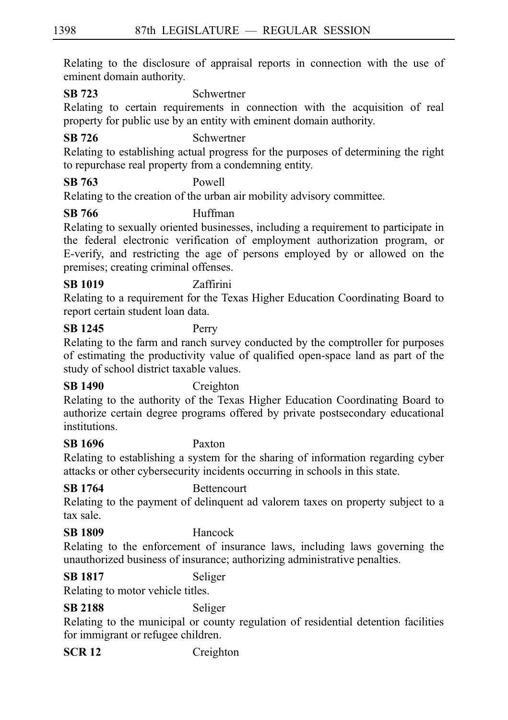Relating to the disclosure of appraisal reports in connection with the use of eminent domain authority.

**SB 723** Schwertner

Relating to certain requirements in connection with the acquisition of real property for public use by an entity with eminent domain authority.

## **SB 726** Schwertner

Relating to establishing actual progress for the purposes of determining the right to repurchase real property from a condemning entity.

## **SB 763** Powell

Relating to the creation of the urban air mobility advisory committee.

## **SB 766** Huffman

Relating to sexually oriented businesses, including a requirement to participate in the federal electronic verification of employment authorization program, or E-verify, and restricting the age of persons employed by or allowed on the premises; creating criminal offenses.

## **SB 1019** Zaffirini

Relating to a requirement for the Texas Higher Education Coordinating Board to report certain student loan data.

## **SB 1245** Perry

Relating to the farm and ranch survey conducted by the comptroller for purposes of estimating the productivity value of qualified open-space land as part of the study of school district taxable values.

## **SB 1490** Creighton

Relating to the authority of the Texas Higher Education Coordinating Board to authorize certain degree programs offered by private postsecondary educational institutions.

## **SB 1696** Paxton

Relating to establishing a system for the sharing of information regarding cyber attacks or other cybersecurity incidents occurring in schools in this state.

**SB 1764** Bettencourt

Relating to the payment of delinquent ad valorem taxes on property subject to a tax sale.

## **SB 1809** Hancock

Relating to the enforcement of insurance laws, including laws governing the unauthorized business of insurance; authorizing administrative penalties.

## **SB 1817** Seliger

Relating to motor vehicle titles.

**SB 2188** Seliger

Relating to the municipal or county regulation of residential detention facilities for immigrant or refugee children.

**SCR 12** Creighton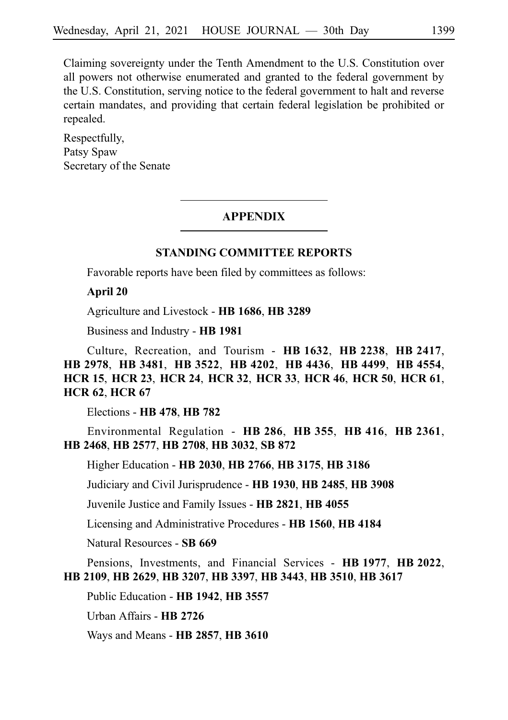Claiming sovereignty under the Tenth Amendment to the U.S. Constitution over all powers not otherwise enumerated and granted to the federal government by the U.S. Constitution, serving notice to the federal government to halt and reverse certain mandates, and providing that certain federal legislation be prohibited or repealed.

Respectfully, Patsy Spaw Secretary of the Senate

#### **APPENDIX**

#### **STANDING COMMITTEE REPORTS**

Favorable reports have been filed by committees as follows:

#### **April 20**

Agriculture and Livestock - **HB**i**1686**, **HB**i**3289**

Business and Industry - **HB**i**1981**

Culture, Recreation, and Tourism - **HB**i**1632**, **HB**i**2238**, **HB**i**2417**, **HB**i**2978**, **HB**i**3481**, **HB**i**3522**, **HB**i**4202**, **HB**i**4436**, **HB**i**4499**, **HB**i**4554**, **HCR**i**15**, **HCR**i**23**, **HCR**i**24**, **HCR**i**32**, **HCR**i**33**, **HCR**i**46**, **HCR**i**50**, **HCR**i**61**, **HCR**i**62**, **HCR**i**67**

Elections - **HB**i**478**, **HB**i**782**

Environmental Regulation - **HB**i**286**, **HB**i**355**, **HB**i**416**, **HB**i**2361**, **HB**i**2468**, **HB**i**2577**, **HB**i**2708**, **HB**i**3032**, **SB**i**872**

Higher Education - **HB**i**2030**, **HB**i**2766**, **HB**i**3175**, **HB**i**3186**

Judiciary and Civil Jurisprudence - **HB**i**1930**, **HB**i**2485**, **HB**i**3908**

Juvenile Justice and Family Issues - **HB**i**2821**, **HB**i**4055**

Licensing and Administrative Procedures - **HB**i**1560**, **HB**i**4184**

Natural Resources - **SB**i**669**

Pensions, Investments, and Financial Services - **HB**i**1977**, **HB**i**2022**, **HB**i**2109**, **HB**i**2629**, **HB**i**3207**, **HB**i**3397**, **HB**i**3443**, **HB**i**3510**, **HB**i**3617**

Public Education - **HB**i**1942**, **HB**i**3557**

Urban Affairs - **HB**i**2726**

Ways and Means - **HB**i**2857**, **HB**i**3610**